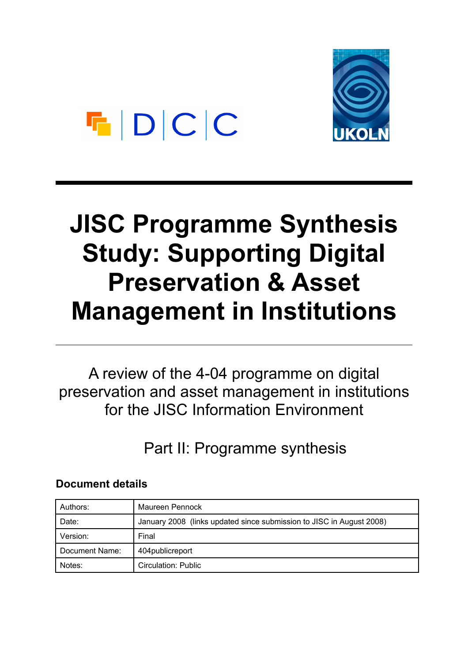# $F|D|C|C$

## **JISC Programme Synthesis Study: Supporting Digital Preservation & Asset Management in Institutions**

A review of the 4-04 programme on digital preservation and asset management in institutions for the JISC Information Environment

Part II: Programme synthesis

## **Document details**

| Authors:       | Maureen Pennock                                                      |
|----------------|----------------------------------------------------------------------|
| Date:          | January 2008 (links updated since submission to JISC in August 2008) |
| Version:       | Final                                                                |
| Document Name: | 404 public report                                                    |
| Notes:         | Circulation: Public                                                  |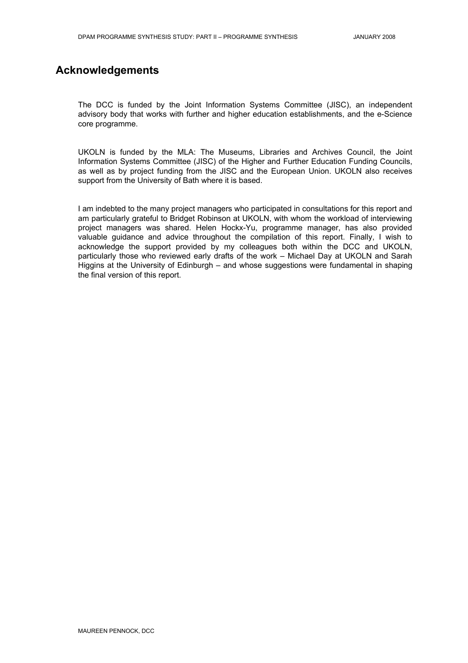### **Acknowledgements**

The DCC is funded by the Joint Information Systems Committee (JISC), an independent advisory body that works with further and higher education establishments, and the e-Science core programme.

UKOLN is funded by the MLA: The Museums, Libraries and Archives Council, the Joint Information Systems Committee (JISC) of the Higher and Further Education Funding Councils, as well as by project funding from the JISC and the European Union. UKOLN also receives support from the University of Bath where it is based.

I am indebted to the many project managers who participated in consultations for this report and am particularly grateful to Bridget Robinson at UKOLN, with whom the workload of interviewing project managers was shared. Helen Hockx-Yu, programme manager, has also provided valuable guidance and advice throughout the compilation of this report. Finally, I wish to acknowledge the support provided by my colleagues both within the DCC and UKOLN, particularly those who reviewed early drafts of the work – Michael Day at UKOLN and Sarah Higgins at the University of Edinburgh – and whose suggestions were fundamental in shaping the final version of this report.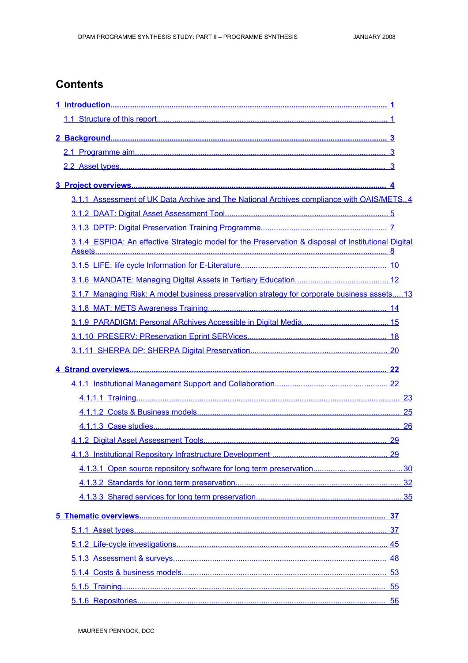## **Contents**

| 3.1.1 Assessment of UK Data Archive and The National Archives compliance with OAIS/METS4            |  |
|-----------------------------------------------------------------------------------------------------|--|
|                                                                                                     |  |
|                                                                                                     |  |
| 3.1.4 ESPIDA: An effective Strategic model for the Preservation & disposal of Institutional Digital |  |
|                                                                                                     |  |
|                                                                                                     |  |
| 3.1.7 Managing Risk: A model business preservation strategy for corporate business assets 13        |  |
|                                                                                                     |  |
|                                                                                                     |  |
|                                                                                                     |  |
|                                                                                                     |  |
|                                                                                                     |  |
|                                                                                                     |  |
|                                                                                                     |  |
|                                                                                                     |  |
|                                                                                                     |  |
|                                                                                                     |  |
|                                                                                                     |  |
|                                                                                                     |  |
|                                                                                                     |  |
|                                                                                                     |  |
|                                                                                                     |  |
|                                                                                                     |  |
|                                                                                                     |  |
|                                                                                                     |  |
|                                                                                                     |  |
|                                                                                                     |  |
|                                                                                                     |  |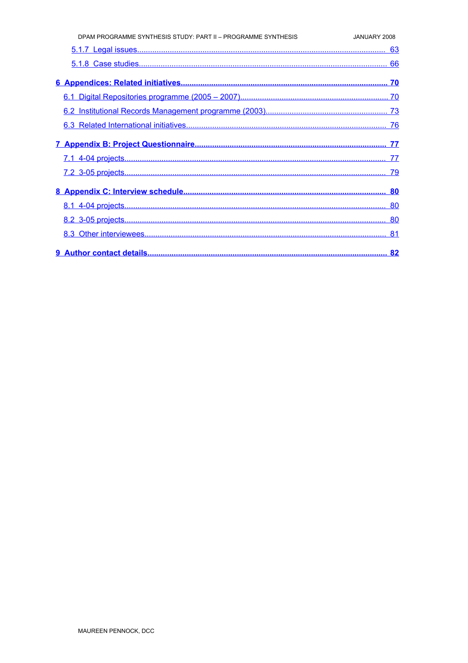| DPAM PROGRAMME SYNTHESIS STUDY: PART II - PROGRAMME SYNTHESIS | JANUARY 2008 |
|---------------------------------------------------------------|--------------|
|                                                               |              |
|                                                               |              |
|                                                               |              |
|                                                               |              |
|                                                               |              |
|                                                               |              |
|                                                               |              |
|                                                               |              |
|                                                               |              |
|                                                               |              |
|                                                               |              |
|                                                               |              |
|                                                               |              |
|                                                               | . 82         |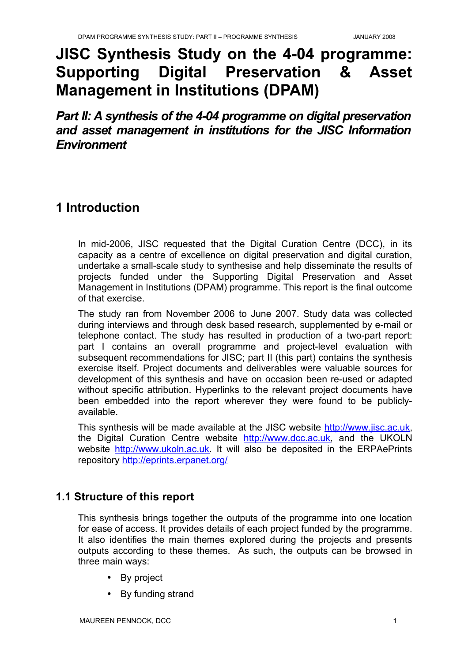## **JISC Synthesis Study on the 4-04 programme: Supporting Digital Preservation & Asset Management in Institutions (DPAM)**

*Part II: A synthesis of the 4-04 programme on digital preservation and asset management in institutions for the JISC Information Environment*

## <span id="page-4-1"></span>**1 Introduction**

In mid-2006, JISC requested that the Digital Curation Centre (DCC), in its capacity as a centre of excellence on digital preservation and digital curation, undertake a small-scale study to synthesise and help disseminate the results of projects funded under the Supporting Digital Preservation and Asset Management in Institutions (DPAM) programme. This report is the final outcome of that exercise.

The study ran from November 2006 to June 2007. Study data was collected during interviews and through desk based research, supplemented by e-mail or telephone contact. The study has resulted in production of a two-part report: part I contains an overall programme and project-level evaluation with subsequent recommendations for JISC; part II (this part) contains the synthesis exercise itself. Project documents and deliverables were valuable sources for development of this synthesis and have on occasion been re-used or adapted without specific attribution. Hyperlinks to the relevant project documents have been embedded into the report wherever they were found to be publiclyavailable.

This synthesis will be made available at the JISC website [http://www.jisc.ac.uk](http://www.jisc.ac.uk/), the Digital Curation Centre website [http://www.dcc.ac.uk,](http://www.dcc.ac.uk/) and the UKOLN website [http://www.ukoln.ac.uk](http://www.ukoln.ac.uk/). It will also be deposited in the ERPAePrints repository<http://eprints.erpanet.org/>

### <span id="page-4-0"></span>**1.1 Structure of this report**

This synthesis brings together the outputs of the programme into one location for ease of access. It provides details of each project funded by the programme. It also identifies the main themes explored during the projects and presents outputs according to these themes. As such, the outputs can be browsed in three main ways:

- By project
- By funding strand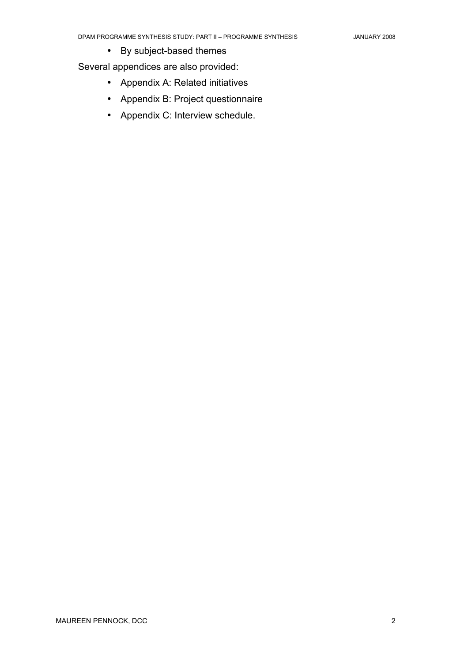• By subject-based themes

Several appendices are also provided:

- Appendix A: Related initiatives
- Appendix B: Project questionnaire
- Appendix C: Interview schedule.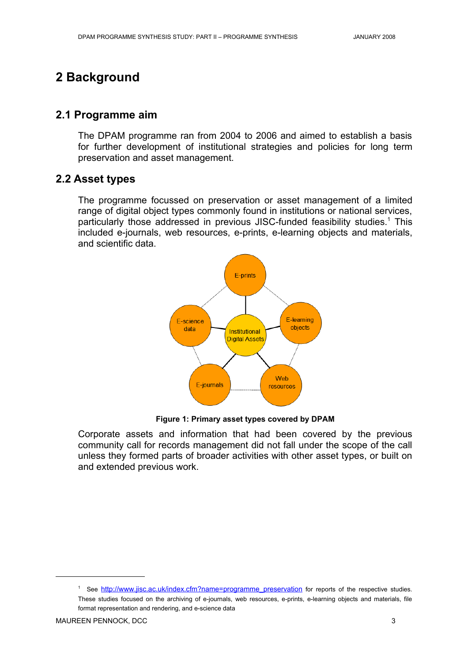## <span id="page-6-2"></span>**2 Background**

#### <span id="page-6-1"></span>**2.1 Programme aim**

The DPAM programme ran from 2004 to 2006 and aimed to establish a basis for further development of institutional strategies and policies for long term preservation and asset management.

#### <span id="page-6-0"></span>**2.2 Asset types**

The programme focussed on preservation or asset management of a limited range of digital object types commonly found in institutions or national services, particularly those addressed in previous JISC-funded feasibility studies.<sup>[1](#page-6-3)</sup> This included e-journals, web resources, e-prints, e-learning objects and materials, and scientific data.



**Figure 1: Primary asset types covered by DPAM**

Corporate assets and information that had been covered by the previous community call for records management did not fall under the scope of the call unless they formed parts of broader activities with other asset types, or built on and extended previous work.

<span id="page-6-3"></span><sup>&</sup>lt;sup>1</sup> See [http://www.jisc.ac.uk/index.cfm?name=programme\\_preservation](http://www.jisc.ac.uk/index.cfm?name=programme_preservation) for reports of the respective studies. These studies focused on the archiving of e-journals, web resources, e-prints, e-learning objects and materials, file format representation and rendering, and e-science data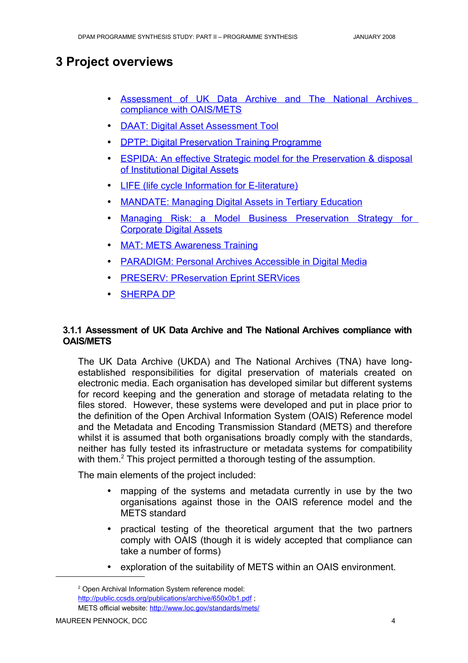## <span id="page-7-1"></span>**3 Project overviews**

- Assessment of UK Data Archive and The National Archives compliance with [OAIS/METS](#page-7-0)
- DAAT: Digital Asset [Assessment](#page-8-0) Tool
- DPTP: Digital [Preservation](#page-10-0) Training Programme
- <span id="page-7-4"></span>• ESPIDA: An effective Strategic model for the [Preservation](#page-7-4) & disposal of [Institutional](#page-7-4) Digital Assets
- LIFE (life cycle Information [for E-literature\)](#page-13-0)
- MANDATE: Managing Digital Assets in [Tertiary Education](#page-15-0)
- <span id="page-7-3"></span>• Managing Risk: a Model Business [Preservation](#page-7-3) Strategy for [Corporate](#page-7-3) Digital Assets
- MAT: [METS Awareness Training](#page-17-0)
- PARADIGM: Personal [Archives Accessible](#page-18-0) in Digital Media
- **PRESERV: [PReservation](#page-21-0) Eprint SERVices**
- <span id="page-7-2"></span>**SHERPA DP**

#### <span id="page-7-0"></span>**3.1.1 Assessment of UK Data Archive and The National Archives compliance with OAIS/METS**

The UK Data Archive (UKDA) and The National Archives (TNA) have longestablished responsibilities for digital preservation of materials created on electronic media. Each organisation has developed similar but different systems for record keeping and the generation and storage of metadata relating to the files stored. However, these systems were developed and put in place prior to the definition of the Open Archival Information System (OAIS) Reference model and the Metadata and Encoding Transmission Standard (METS) and therefore whilst it is assumed that both organisations broadly comply with the standards, neither has fully tested its infrastructure or metadata systems for compatibility with them.<sup>[2](#page-7-5)</sup> This project permitted a thorough testing of the assumption.

The main elements of the project included:

- mapping of the systems and metadata currently in use by the two organisations against those in the OAIS reference model and the METS standard
- practical testing of the theoretical argument that the two partners comply with OAIS (though it is widely accepted that compliance can take a number of forms)
- exploration of the suitability of METS within an OAIS environment.

<span id="page-7-5"></span><sup>2</sup> Open Archival Information System reference model: <http://public.ccsds.org/publications/archive/650x0b1.pdf>; METS official website:<http://www.loc.gov/standards/mets/>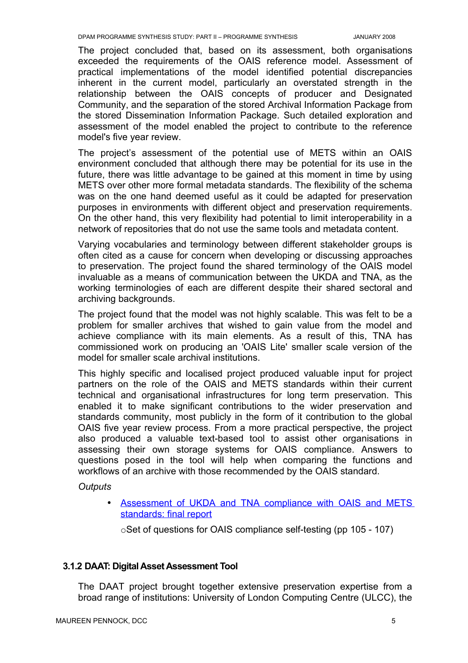The project concluded that, based on its assessment, both organisations exceeded the requirements of the OAIS reference model. Assessment of practical implementations of the model identified potential discrepancies inherent in the current model, particularly an overstated strength in the relationship between the OAIS concepts of producer and Designated Community, and the separation of the stored Archival Information Package from the stored Dissemination Information Package. Such detailed exploration and assessment of the model enabled the project to contribute to the reference model's five year review.

The project's assessment of the potential use of METS within an OAIS environment concluded that although there may be potential for its use in the future, there was little advantage to be gained at this moment in time by using METS over other more formal metadata standards. The flexibility of the schema was on the one hand deemed useful as it could be adapted for preservation purposes in environments with different object and preservation requirements. On the other hand, this very flexibility had potential to limit interoperability in a network of repositories that do not use the same tools and metadata content.

Varying vocabularies and terminology between different stakeholder groups is often cited as a cause for concern when developing or discussing approaches to preservation. The project found the shared terminology of the OAIS model invaluable as a means of communication between the UKDA and TNA, as the working terminologies of each are different despite their shared sectoral and archiving backgrounds.

The project found that the model was not highly scalable. This was felt to be a problem for smaller archives that wished to gain value from the model and achieve compliance with its main elements. As a result of this, TNA has commissioned work on producing an 'OAIS Lite' smaller scale version of the model for smaller scale archival institutions.

This highly specific and localised project produced valuable input for project partners on the role of the OAIS and METS standards within their current technical and organisational infrastructures for long term preservation. This enabled it to make significant contributions to the wider preservation and standards community, most publicly in the form of it contribution to the global OAIS five year review process. From a more practical perspective, the project also produced a valuable text-based tool to assist other organisations in assessing their own storage systems for OAIS compliance. Answers to questions posed in the tool will help when comparing the functions and workflows of an archive with those recommended by the OAIS standard.

*Outputs*

• Assessment of UKDA and TNA compliance with OAIS and METS [standards:](http://www.jisc.ac.uk/uploaded_documents/oaismets.pdf) final report

oSet of questions for OAIS compliance self-testing (pp 105 - 107)

#### <span id="page-8-0"></span>**3.1.2 DAAT: Digital Asset Assessment Tool**

The DAAT project brought together extensive preservation expertise from a broad range of institutions: University of London Computing Centre (ULCC), the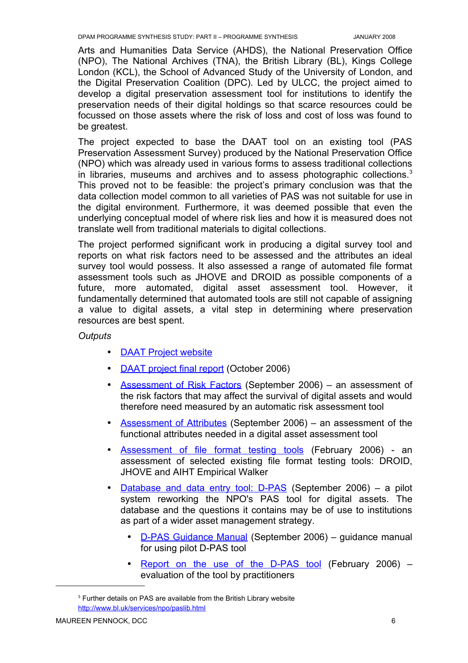Arts and Humanities Data Service (AHDS), the National Preservation Office (NPO), The National Archives (TNA), the British Library (BL), Kings College London (KCL), the School of Advanced Study of the University of London, and the Digital Preservation Coalition (DPC). Led by ULCC, the project aimed to develop a digital preservation assessment tool for institutions to identify the preservation needs of their digital holdings so that scarce resources could be focussed on those assets where the risk of loss and cost of loss was found to be greatest.

The project expected to base the DAAT tool on an existing tool (PAS Preservation Assessment Survey) produced by the National Preservation Office (NPO) which was already used in various forms to assess traditional collections in libraries, museums and archives and to assess photographic collections.<sup>[3](#page-9-0)</sup> This proved not to be feasible: the project's primary conclusion was that the data collection model common to all varieties of PAS was not suitable for use in the digital environment. Furthermore, it was deemed possible that even the underlying conceptual model of where risk lies and how it is measured does not translate well from traditional materials to digital collections.

The project performed significant work in producing a digital survey tool and reports on what risk factors need to be assessed and the attributes an ideal survey tool would possess. It also assessed a range of automated file format assessment tools such as JHOVE and DROID as possible components of a future, more automated, digital asset assessment tool. However, it fundamentally determined that automated tools are still not capable of assigning a value to digital assets, a vital step in determining where preservation resources are best spent.

*Outputs*

- DAAT Project [website](http://www.ulcc.ac.uk/daat.html)
- DAAT [project](http://www.ulcc.ac.uk/fileadmin/documents/digital_preservation/daat/DAAT_final_report_2006.pdf) final report (October 2006)
- Assessment of Risk Factors (September 2006) an assessment of the risk factors that may affect the survival of digital assets and would therefore need measured by an automatic risk assessment tool
- Assessment of Attributes (September 2006) an assessment of the functional attributes needed in a digital asset assessment tool
- Assessment of file format testing tools (February 2006) an assessment of selected existing file format testing tools: DROID, JHOVE and AIHT Empirical Walker
- Database and data entry tool: D-PAS (September 2006) a pilot system reworking the NPO's PAS tool for digital assets. The database and the questions it contains may be of use to institutions as part of a wider asset management strategy.
	- D-PAS [Guidance](http://www.ulcc.ac.uk/daat/project-deliverables.html) Manual (September 2006) guidance manual for using pilot D-PAS tool
	- Report on the use of the [D-PAS](http://www.ulcc.ac.uk/uploads/media/DAAT_usage_report_DPAS.pdf) tool (February 2006) evaluation of the tool by practitioners

<span id="page-9-0"></span><sup>&</sup>lt;sup>3</sup> Further details on PAS are available from the British Library website <http://www.bl.uk/services/npo/paslib.html>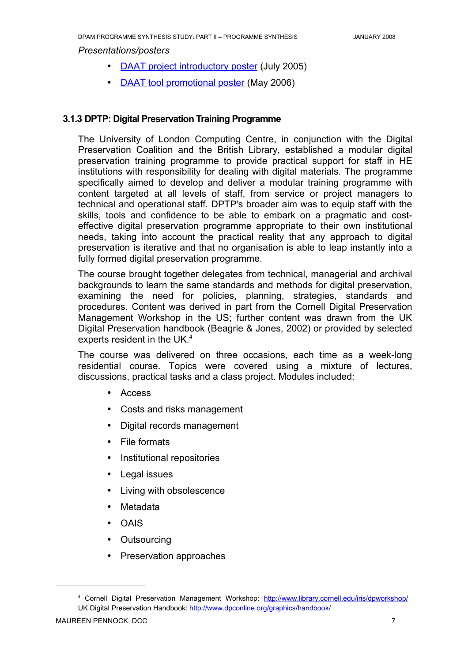*Presentations/posters*

- DAAT project [introductory poster](http://www.ulcc.ac.uk/uploads/media/ulcc_daat_poster.pdf) (July 2005)
- DAAT tool [promotional](http://www.ulcc.ac.uk/uploads/media/daat_poster_2006.pdf) poster (May 2006)

#### <span id="page-10-0"></span>**3.1.3 DPTP: Digital Preservation Training Programme**

The University of London Computing Centre, in conjunction with the Digital Preservation Coalition and the British Library, established a modular digital preservation training programme to provide practical support for staff in HE institutions with responsibility for dealing with digital materials. The programme specifically aimed to develop and deliver a modular training programme with content targeted at all levels of staff, from service or project managers to technical and operational staff. DPTP's broader aim was to equip staff with the skills, tools and confidence to be able to embark on a pragmatic and costeffective digital preservation programme appropriate to their own institutional needs, taking into account the practical reality that any approach to digital preservation is iterative and that no organisation is able to leap instantly into a fully formed digital preservation programme.

The course brought together delegates from technical, managerial and archival backgrounds to learn the same standards and methods for digital preservation, examining the need for policies, planning, strategies, standards and procedures. Content was derived in part from the Cornell Digital Preservation Management Workshop in the US; further content was drawn from the UK Digital Preservation handbook (Beagrie & Jones, 2002) or provided by selected experts resident in the UK.<sup>[4](#page-10-1)</sup>

The course was delivered on three occasions, each time as a week-long residential course. Topics were covered using a mixture of lectures, discussions, practical tasks and a class project. Modules included:

- Access
- Costs and risks management
- Digital records management
- File formats
- Institutional repositories
- Legal issues
- Living with obsolescence
- Metadata
- OAIS
- Outsourcing
- Preservation approaches

<span id="page-10-1"></span><sup>&</sup>lt;sup>4</sup> Cornell Digital Preservation Management Workshop: <http://www.library.cornell.edu/iris/dpworkshop/> UK Digital Preservation Handbook: <http://www.dpconline.org/graphics/handbook/>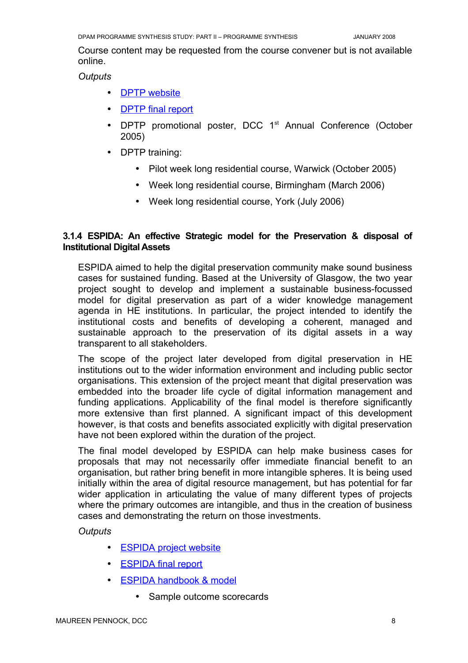Course content may be requested from the course convener but is not available online.

*Outputs*

- DPTP website
- DPTP final report
- DPTP promotional poster, DCC 1<sup>st</sup> Annual Conference (October 2005)
- DPTP training:
	- Pilot week long residential course, Warwick (October 2005)
	- Week long residential course, Birmingham (March 2006)
	- Week long residential course, York (July 2006)

#### <span id="page-11-0"></span>**3.1.4 ESPIDA: An effective Strategic model for the Preservation & disposal of Institutional Digital Assets**

ESPIDA aimed to help the digital preservation community make sound business cases for sustained funding. Based at the University of Glasgow, the two year project sought to develop and implement a sustainable business-focussed model for digital preservation as part of a wider knowledge management agenda in HE institutions. In particular, the project intended to identify the institutional costs and benefits of developing a coherent, managed and sustainable approach to the preservation of its digital assets in a way transparent to all stakeholders.

The scope of the project later developed from digital preservation in HE institutions out to the wider information environment and including public sector organisations. This extension of the project meant that digital preservation was embedded into the broader life cycle of digital information management and funding applications. Applicability of the final model is therefore significantly more extensive than first planned. A significant impact of this development however, is that costs and benefits associated explicitly with digital preservation have not been explored within the duration of the project.

The final model developed by ESPIDA can help make business cases for proposals that may not necessarily offer immediate financial benefit to an organisation, but rather bring benefit in more intangible spheres. It is being used initially within the area of digital resource management, but has potential for far wider application in articulating the value of many different types of projects where the primary outcomes are intangible, and thus in the creation of business cases and demonstrating the return on those investments.

*Outputs*

- ESPIDA project website
- ESPIDA final report
- ESPIDA handbook & model
	- Sample outcome scorecards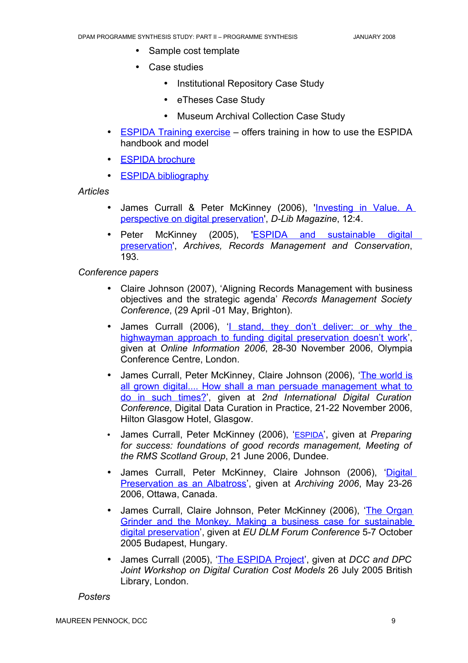- Sample cost template
- Case studies
	- Institutional Repository Case Study
	- eTheses Case Study
	- Museum Archival Collection Case Study
- ESPIDA Training [exercise](https://dspace.gla.ac.uk/handle/1905/685) offers training in how to use the ESPIDA handbook and model
- ESPIDA brochure
- $\bullet$  ESPIDA bibliography

*Articles*

- James Currall & Peter McKinney (2006), '[Investing](http://www.dlib.org/dlib/april06/mckinney/04mckinney.html) in Value. A perspective on digital [preservation'](http://www.dlib.org/dlib/april06/mckinney/04mckinney.html), *D-Lib Magazine*, 12:4.
- Peter McKinney (2005), **ESPIDA and [sustainable](https://dspace.gla.ac.uk/handle/1905/443) digital** [preservation](https://dspace.gla.ac.uk/handle/1905/443)', *Archives, Records Management and Conservation*, 193.

*Conference papers*

- Claire Johnson (2007), 'Aligning Records Management with business objectives and the strategic agenda' *Records Management Society Conference*, (29 April -01 May, Brighton).
- James Currall (2006), '*L* stand, they don't [deliver:](https://dspace.gla.ac.uk/handle/1905/662) or why the [highwayman](https://dspace.gla.ac.uk/handle/1905/662) approach to funding digital preservation doesn't work', given at *Online Information 2006*, 28-30 November 2006, Olympia Conference Centre, London.
- James Currall, Peter McKinney, Claire Johnson (2006), 'The [world](https://dspace.gla.ac.uk/handle/1905/690) is all grown digital.... How shall a man persuade [management](https://dspace.gla.ac.uk/handle/1905/690) what to do in such [times?](https://dspace.gla.ac.uk/handle/1905/690)', given at *2nd International Digital Curation Conference*, Digital Data Curation in Practice, 21-22 November 2006, Hilton Glasgow Hotel, Glasgow.
- James Currall, Peter McKinney (2006), '[ESPIDA](http://www.rms-gb.org.uk/sigs/scotland/meetings/768)', given at *Preparing for success: foundations of good records management, Meeting of the RMS Scotland Group*, 21 June 2006, Dundee.
- James Currall, Peter McKinney, Claire Johnson (2006), '[Digital](https://dspace.gla.ac.uk/handle/1905/535) [Preservation](https://dspace.gla.ac.uk/handle/1905/535) as an Albatross', given at *Archiving 2006*, May 23-26 2006, Ottawa, Canada.
- James Currall, Claire Johnson, Peter McKinney (2006), 'The [Organ](http://hdl.handle.net/1905/455) Grinder and the Monkey. Making a business case for [sustainable](http://hdl.handle.net/1905/455) digital [preservation](http://hdl.handle.net/1905/455)', given at *EU DLM Forum Conference* 5-7 October 2005 Budapest, Hungary.
- James Currall (2005), 'The [ESPIDA](http://www.gla.ac.uk/espida/documents/dccdpc_jc.pdf.) Project', given at *DCC and DPC Joint Workshop on Digital Curation Cost Models* 26 July 2005 British Library, London.

*Posters*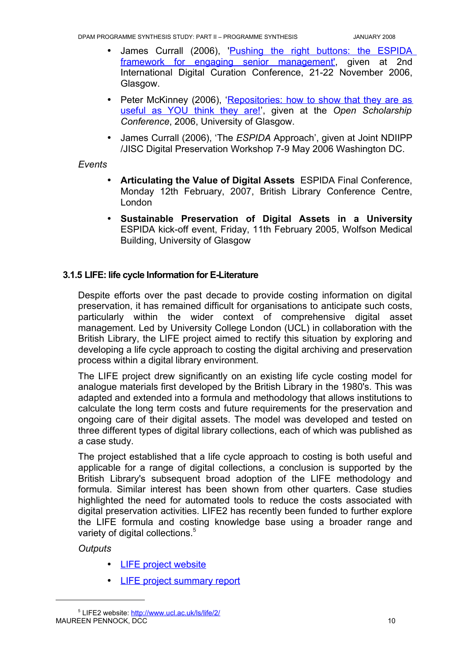- James Currall (2006), 'Pushing the right buttons: the [ESPIDA](http://www.dcc.ac.uk/events/dcc-2006/posters/DCC poster PP06.pdf) framework for engaging senior [management](http://www.dcc.ac.uk/events/dcc-2006/posters/DCC poster PP06.pdf)',given at 2nd International Digital Curation Conference, 21-22 November 2006, Glasgow.
- Peter McKinney (2006), ['Repositories:](http://www.gla.ac.uk/espida/documentation.shtml) how to show that they are as [useful](http://www.gla.ac.uk/espida/documentation.shtml) as YOU think they are!', given at the *Open Scholarship Conference*, 2006, University of Glasgow.
- James Currall (2006), 'The *ESPIDA* Approach', given at Joint NDIIPP /JISC Digital Preservation Workshop 7-9 May 2006 Washington DC.

#### *Events*

- **Articulating the Value of Digital Assets** ESPIDA Final Conference, Monday 12th February, 2007, British Library Conference Centre, London
- **Sustainable Preservation of Digital Assets in a University** ESPIDA kick-off event, Friday, 11th February 2005, Wolfson Medical Building, University of Glasgow

#### <span id="page-13-0"></span>**3.1.5 LIFE: life cycle Information for E-Literature**

Despite efforts over the past decade to provide costing information on digital preservation, it has remained difficult for organisations to anticipate such costs, particularly within the wider context of comprehensive digital asset management. Led by University College London (UCL) in collaboration with the British Library, the LIFE project aimed to rectify this situation by exploring and developing a life cycle approach to costing the digital archiving and preservation process within a digital library environment.

The LIFE project drew significantly on an existing life cycle costing model for analogue materials first developed by the British Library in the 1980's. This was adapted and extended into a formula and methodology that allows institutions to calculate the long term costs and future requirements for the preservation and ongoing care of their digital assets. The model was developed and tested on three different types of digital library collections, each of which was published as a case study.

The project established that a life cycle approach to costing is both useful and applicable for a range of digital collections, a conclusion is supported by the British Library's subsequent broad adoption of the LIFE methodology and formula. Similar interest has been shown from other quarters. Case studies highlighted the need for automated tools to reduce the costs associated with digital preservation activities. LIFE2 has recently been funded to further explore the LIFE formula and costing knowledge base using a broader range and variety of digital collections.<sup>[5](#page-13-1)</sup>

#### *Outputs*

- LIFE project website
- LIFE project [summary report](http://eprints.ucl.ac.uk/archive/00001855/)

<span id="page-13-1"></span><sup>&</sup>lt;sup>5</sup> LIFE2 website: <http://www.ucl.ac.uk/ls/life/2/> MAUREEN PENNOCK, DCC 10 and 10 and 10 and 10 and 10 and 10 and 10 and 10 and 10 and 10 and 10 and 10 and 10 and 10 and 10 and 10 and 10 and 10 and 10 and 10 and 10 and 10 and 10 and 10 and 10 and 10 and 10 and 10 and 10 an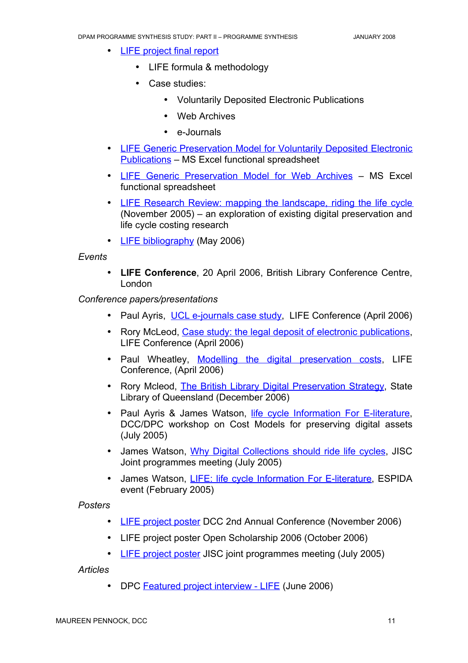- LIFE project final report
	- LIFE formula & methodology
	- Case studies:
		- Voluntarily Deposited Electronic Publications
		- Web Archives
		- e-Journals
- LIFE Generic [Preservation](http://www.ucl.ac.uk/ls/lifeproject/documentation/) Model for Voluntarily Deposited Electronic [Publications](http://www.ucl.ac.uk/ls/lifeproject/documentation/) – MS Excel functional spreadsheet
- LIFE Generic [Preservation](http://www.ucl.ac.uk/ls/lifeproject/documentation/) Model for Web Archives MS Excel functional spreadsheet
- LIFE Research Review: mapping the [landscape,](http://eprints.ucl.ac.uk/archive/00001856/01/review.pdf) riding the life cycle (November 2005) – an exploration of existing digital preservation and life cycle costing research
- LIFE bibliography (May 2006)

#### *Events*

• **LIFE Conference**, 20 April 2006, British Library Conference Centre, London

#### *Conference papers/presentations*

- Paul Ayris, UCL [e-journals case](http://eprints.ucl.ac.uk/archive/00001850/) study, LIFE Conference (April 2006)
- Rory McLeod, Case study: the legal deposit of electronic [publications](http://eprints.ucl.ac.uk/archive/00001852/), LIFE Conference (April 2006)
- Paul Wheatley, Modelling the digital [preservation](http://eprints.ucl.ac.uk/archive/00001853/) costs, LIFE Conference, (April 2006)
- Rory Mcleod, The British Library Digital [Preservation](http://www.slq.qld.gov.au/info/publib/tech/diglib/rory_mcleod) Strategy, State Library of Queensland (December 2006)
- Paul Ayris & James Watson, life cycle [Information](http://www.ucl.ac.uk/ls/lifeproject/documentation/dcc_dpc_26_7.pdf) For E-literature, DCC/DPC workshop on Cost Models for preserving digital assets (July 2005)
- James Watson, Why Digital [Collections](http://www.ucl.ac.uk/ls/lifeproject/documentation/JISC_meeting1.pdf) should ride life cycles, JISC Joint programmes meeting (July 2005)
- James Watson, LIFE: life cycle [Information](http://www.ucl.ac.uk/ls/lifeproject/documentation/espida_event.pdf) For E-literature, ESPIDA event (February 2005)

#### *Posters*

- LIFE project poster DCC 2nd Annual Conference (November 2006)
- LIFE project poster Open Scholarship 2006 (October 2006)
- LIFE project poster JISC joint programmes meeting (July 2005)

*Articles*

• DPC [Featured](http://www.dpconline.org/graphics/join/life.html) project interview - LIFE (June 2006)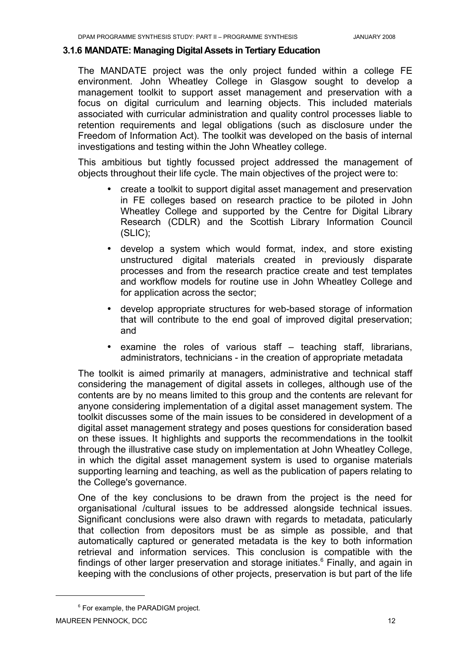#### <span id="page-15-0"></span>**3.1.6 MANDATE: Managing Digital Assets in Tertiary Education**

The MANDATE project was the only project funded within a college FE environment. John Wheatley College in Glasgow sought to develop a management toolkit to support asset management and preservation with a focus on digital curriculum and learning objects. This included materials associated with curricular administration and quality control processes liable to retention requirements and legal obligations (such as disclosure under the Freedom of Information Act). The toolkit was developed on the basis of internal investigations and testing within the John Wheatley college.

This ambitious but tightly focussed project addressed the management of objects throughout their life cycle. The main objectives of the project were to:

- create a toolkit to support digital asset management and preservation in FE colleges based on research practice to be piloted in John Wheatley College and supported by the Centre for Digital Library Research (CDLR) and the Scottish Library Information Council (SLIC);
- develop a system which would format, index, and store existing unstructured digital materials created in previously disparate processes and from the research practice create and test templates and workflow models for routine use in John Wheatley College and for application across the sector;
- develop appropriate structures for web-based storage of information that will contribute to the end goal of improved digital preservation; and
- examine the roles of various staff teaching staff, librarians, administrators, technicians - in the creation of appropriate metadata

The toolkit is aimed primarily at managers, administrative and technical staff considering the management of digital assets in colleges, although use of the contents are by no means limited to this group and the contents are relevant for anyone considering implementation of a digital asset management system. The toolkit discusses some of the main issues to be considered in development of a digital asset management strategy and poses questions for consideration based on these issues. It highlights and supports the recommendations in the toolkit through the illustrative case study on implementation at John Wheatley College, in which the digital asset management system is used to organise materials supporting learning and teaching, as well as the publication of papers relating to the College's governance.

One of the key conclusions to be drawn from the project is the need for organisational /cultural issues to be addressed alongside technical issues. Significant conclusions were also drawn with regards to metadata, paticularly that collection from depositors must be as simple as possible, and that automatically captured or generated metadata is the key to both information retrieval and information services. This conclusion is compatible with the findings of other larger preservation and storage initiates. $6$  Finally, and again in keeping with the conclusions of other projects, preservation is but part of the life

<span id="page-15-1"></span><sup>&</sup>lt;sup>6</sup> For example, the PARADIGM project.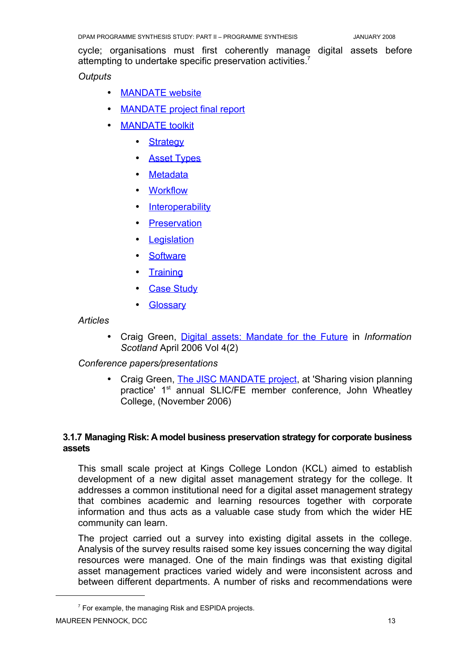cycle; organisations must first coherently manage digital assets before attempting to undertake specific preservation activities.<sup>[7](#page-16-1)</sup>

#### *Outputs*

- MANDATE website
- **MANDATE** project final report
- **MANDATE** toolkit
	- Strategy
	- Asset [Types](http://mandate.cdlr.strath.ac.uk/assettypes.htm)
	- **Metadata**
	- Workflow
	- Interoperability
	- Preservation
	- Legislation
	- Software
	- Training
	- Case [Study](http://mandate.cdlr.strath.ac.uk/casestudy.htm)
	- **Glossary**

*Articles*

• Craig Green, Digital assets: [Mandate](http://www.slainte.org.uk/publications/serials/infoscot/vol4(2)/vol4(2)article4.htm) for the Future in *Information Scotland* April 2006 Vol 4(2)

*Conference papers/presentations*

• Craig Green, The JISC [MANDATE](http://www.slainte.org.uk/Furtherednetwork/reportsandpresentations/061111/greenc.pps ) project, at 'Sharing vision planning practice' 1<sup>st</sup> annual SLIC/FE member conference, John Wheatley College, (November 2006)

#### <span id="page-16-0"></span>**3.1.7 Managing Risk: A model business preservation strategy for corporate business assets**

This small scale project at Kings College London (KCL) aimed to establish development of a new digital asset management strategy for the college. It addresses a common institutional need for a digital asset management strategy that combines academic and learning resources together with corporate information and thus acts as a valuable case study from which the wider HE community can learn.

The project carried out a survey into existing digital assets in the college. Analysis of the survey results raised some key issues concerning the way digital resources were managed. One of the main findings was that existing digital asset management practices varied widely and were inconsistent across and between different departments. A number of risks and recommendations were

<span id="page-16-1"></span><sup>&</sup>lt;sup>7</sup> For example, the managing Risk and ESPIDA projects.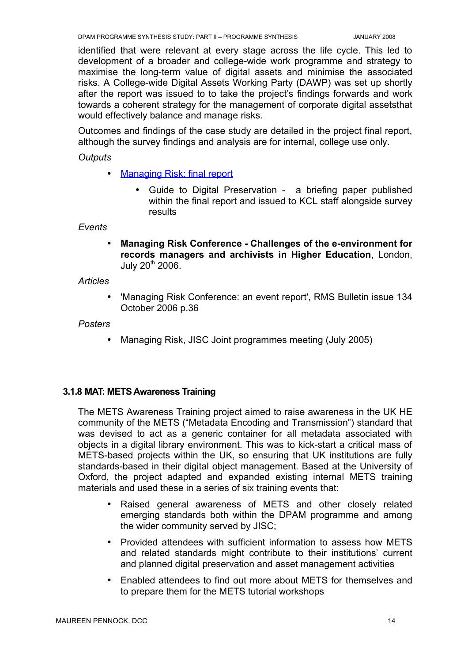identified that were relevant at every stage across the life cycle. This led to development of a broader and college-wide work programme and strategy to maximise the long-term value of digital assets and minimise the associated risks. A College-wide Digital Assets Working Party (DAWP) was set up shortly after the report was issued to to take the project's findings forwards and work towards a coherent strategy for the management of corporate digital assetsthat would effectively balance and manage risks.

Outcomes and findings of the case study are detailed in the project final report, although the survey findings and analysis are for internal, college use only.

*Outputs*

- Managing Risk: final report
	- Guide to Digital Preservation a briefing paper published within the final report and issued to KCL staff alongside survey results

*Events*

• **Managing Risk Conference - Challenges of the e-environment for records managers and archivists in Higher Education**, London, July 20<sup>th</sup> 2006.

*Articles*

• 'Managing Risk Conference: an event report', RMS Bulletin issue 134 October 2006 p.36

*Posters*

• Managing Risk, JISC Joint programmes meeting (July 2005)

#### <span id="page-17-0"></span>**3.1.8 MAT: METS Awareness Training**

The METS Awareness Training project aimed to raise awareness in the UK HE community of the METS ("Metadata Encoding and Transmission") standard that was devised to act as a generic container for all metadata associated with objects in a digital library environment. This was to kick-start a critical mass of METS-based projects within the UK, so ensuring that UK institutions are fully standards-based in their digital object management. Based at the University of Oxford, the project adapted and expanded existing internal METS training materials and used these in a series of six training events that:

- Raised general awareness of METS and other closely related emerging standards both within the DPAM programme and among the wider community served by JISC;
- Provided attendees with sufficient information to assess how METS and related standards might contribute to their institutions' current and planned digital preservation and asset management activities
- Enabled attendees to find out more about METS for themselves and to prepare them for the METS tutorial workshops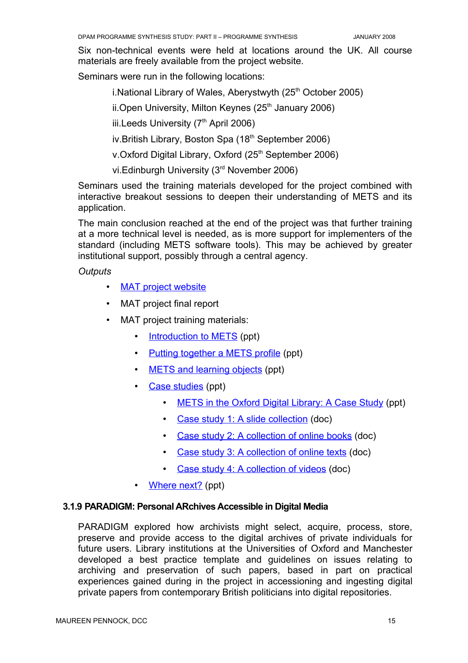Six non-technical events were held at locations around the UK. All course materials are freely available from the project website.

Seminars were run in the following locations:

i.National Library of Wales, Aberystwyth (25<sup>th</sup> October 2005)

ii.Open University, Milton Keynes (25<sup>th</sup> January 2006)

iii.Leeds University  $(7<sup>th</sup>$  April 2006)

iv.British Library, Boston Spa (18<sup>th</sup> September 2006)

v.Oxford Digital Library, Oxford (25<sup>th</sup> September 2006)

vi.Edinburgh University (3rd November 2006)

Seminars used the training materials developed for the project combined with interactive breakout sessions to deepen their understanding of METS and its application.

The main conclusion reached at the end of the project was that further training at a more technical level is needed, as is more support for implementers of the standard (including METS software tools). This may be achieved by greater institutional support, possibly through a central agency.

*Outputs*

- [MAT project](http://www.odl.ox.ac.uk/projects/projects_mets.htm) website
- MAT project final report
- MAT project training materials:
	- Introduction to METS (ppt)
	- Putting together a [METS profile](http://www.odl.ox.ac.uk/projects/docs/mets-standards.ppt) (ppt)
	- METS and learning objects (ppt)
	- Case [studies](http://www.odl.ox.ac.uk/projects/docs/case-study-results.ppt) (ppt)
		- METS in the Oxford Digital Library: A Case Study (ppt)
		- Case study 1: A slide [collection](http://www.odl.ox.ac.uk/projects/casestudy/casestudy1.doc) (doc)
		- Case study 2: [A collection](http://www.odl.ox.ac.uk/projects/casestudy/casestudy2.doc) of online books (doc)
		- Case study 3: [A collection](http://www.odl.ox.ac.uk/projects/casestudy/casestudy3.doc) of online texts (doc)
		- Case study 4: [A collection](http://www.odl.ox.ac.uk/projects/casestudy/casestudy4.doc) of videos (doc)
	- Where next? (ppt)

#### <span id="page-18-0"></span>**3.1.9 PARADIGM: Personal ARchives Accessible in Digital Media**

PARADIGM explored how archivists might select, acquire, process, store, preserve and provide access to the digital archives of private individuals for future users. Library institutions at the Universities of Oxford and Manchester developed a best practice template and guidelines on issues relating to archiving and preservation of such papers, based in part on practical experiences gained during in the project in accessioning and ingesting digital private papers from contemporary British politicians into digital repositories.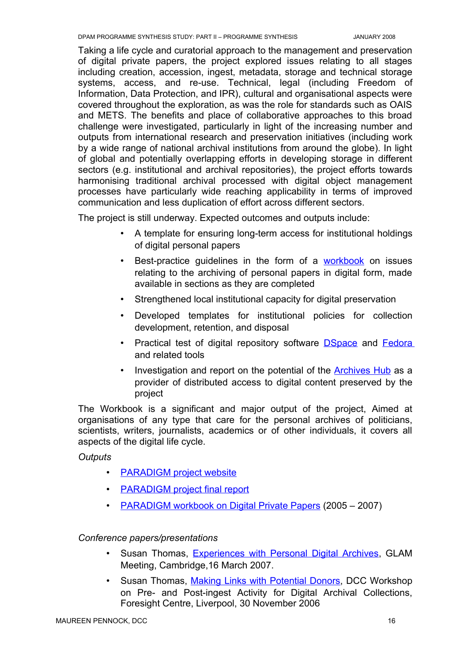Taking a life cycle and curatorial approach to the management and preservation of digital private papers, the project explored issues relating to all stages including creation, accession, ingest, metadata, storage and technical storage systems, access, and re-use. Technical, legal (including Freedom of Information, Data Protection, and IPR), cultural and organisational aspects were covered throughout the exploration, as was the role for standards such as OAIS and METS. The benefits and place of collaborative approaches to this broad challenge were investigated, particularly in light of the increasing number and outputs from international research and preservation initiatives (including work by a wide range of national archival institutions from around the globe). In light of global and potentially overlapping efforts in developing storage in different sectors (e.g. institutional and archival repositories), the project efforts towards harmonising traditional archival processed with digital object management processes have particularly wide reaching applicability in terms of improved communication and less duplication of effort across different sectors.

The project is still underway. Expected outcomes and outputs include:

- A template for ensuring long-term access for institutional holdings of digital personal papers
- Best-practice guidelines in the form of a [workbook](http://www.paradigm.ac.uk/workbook/index.html) on issues relating to the archiving of personal papers in digital form, made available in sections as they are completed
- Strengthened local institutional capacity for digital preservation
- Developed templates for institutional policies for collection development, retention, and disposal
- Practical test of digital repository software **[DSpace](http://dspace.org/index.html)** and [Fedora](http://www.fedora.info/) and related tools
- Investigation and report on the potential of the [Archives](http://www.archiveshub.ac.uk/) Hub as a provider of distributed access to digital content preserved by the project

The Workbook is a significant and major output of the project, Aimed at organisations of any type that care for the personal archives of politicians, scientists, writers, journalists, academics or of other individuals, it covers all aspects of the digital life cycle.

#### *Outputs*

- PARADIGM project website
- PARADIGM project final report
- PARADIGM workbook on Digital Private Papers (2005 2007)

#### *Conference papers/presentations*

- Susan Thomas, [Experiences](http://archives.li.man.ac.uk/glam/st160307.pdf) with Personal Digital Archives, GLAM Meeting, Cambridge,16 March 2007.
- Susan Thomas, Making Links with [Potential](http://www.dcc.ac.uk/events/archives-2006/thomas-200611.pdf) Donors, DCC Workshop on Pre- and Post-ingest Activity for Digital Archival Collections, Foresight Centre, Liverpool, 30 November 2006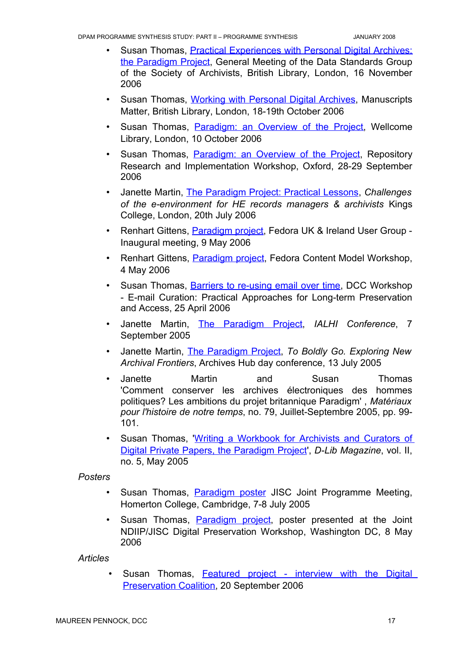- Susan Thomas, Practical [Experiences](http://www.paradigm.ac.uk/projectdocs/papers/20061116dataexchangegroup.pdf) with Personal Digital Archives: the [Paradigm](http://www.paradigm.ac.uk/projectdocs/papers/20061116dataexchangegroup.pdf) Project, General Meeting of the Data Standards Group of the Society of Archivists, British Library, London, 16 November 2006
- Susan Thomas, Working with [Personal](http://www.paradigm.ac.uk/projectdocs/papers/200610mssmatter.pdf) Digital Archives, Manuscripts Matter, British Library, London, 18-19th October 2006
- Susan Thomas, [Paradigm:](http://www.paradigm.ac.uk/projectdocs/papers/200610wellcome.pdf) an Overview of the Project, Wellcome Library, London, 10 October 2006
- Susan Thomas, [Paradigm:](http://www.paradigm.ac.uk/projectdocs/papers/200609oxrep.pdf) an Overview of the Project, Repository Research and Implementation Workshop, Oxford, 28-29 September 2006
- Janette Martin, The [Paradigm](http://www.paradigm.ac.uk/projectdocs/papers/200607kcl.pdf) Project: Practical Lessons, *Challenges of the e-environment for HE records managers & archivists* Kings College, London, 20th July 2006
- Renhart Gittens, [Paradigm project,](http://www.paradigm.ac.uk/projectdocs/papers/hull-final.pdf) Fedora UK & Ireland User Group -Inaugural meeting, 9 May 2006
- Renhart Gittens, [Paradigm](http://www.paradigm.ac.uk/projectdocs/papers/karlsruhe-final.pdf) project, Fedora Content Model Workshop, 4 May 2006
- Susan Thomas, **Barriers to [re-using](http://www.paradigm.ac.uk/projectdocs/papers/dcc-email-final.pdf) email over time**, DCC Workshop - E-mail Curation: Practical Approaches for Long-term Preservation and Access, 25 April 2006
- Janette Martin, The [Paradigm](http://www.paradigm.ac.uk/projectdocs/papers/200509ialhi.pdf) Project, *IALHI Conference*, 7 September 2005
- Janette Martin, The [Paradigm](http://www.paradigm.ac.uk/projectdocs/papers/200507archiveshub.pdf) Project, *To Boldly Go. Exploring New Archival Frontiers*, Archives Hub day conference, 13 July 2005
- Janette Martin and Susan Thomas 'Comment conserver les archives électroniques des hommes politiques? Les ambitions du projet britannique Paradigm' , *Matériaux pour l'histoire de notre temps*, no. 79, Juillet-Septembre 2005, pp. 99- 101.
- Susan Thomas, 'Writing a [Workbook](http://www.dlib.org/dlib/may05/05inbrief.html) for Archivists and Curators of Digital Private Papers, the [Paradigm](http://www.dlib.org/dlib/may05/05inbrief.html) Project', *D-Lib Magazine*, vol. II, no. 5, May 2005

#### *Posters*

- Susan Thomas, **[Paradigm](http://www.paradigm.ac.uk/projectdocs/papers/paradigm-poster-jisc2005.pdf) poster** JISC Joint Programme Meeting, Homerton College, Cambridge, 7-8 July 2005
- Susan Thomas, [Paradigm](http://www.paradigm.ac.uk/projectdocs/papers/2006-jisc-ndiipp-washingtondc.pdf) project, poster presented at the Joint NDIIP/JISC Digital Preservation Workshop, Washington DC, 8 May 2006

#### *Articles*

• Susan Thomas, [Featured](http://www.dpconline.org/graphics/join/paradigm.html) project - interview with the Digital [Preservation](http://www.dpconline.org/graphics/join/paradigm.html) Coalition, 20 September 2006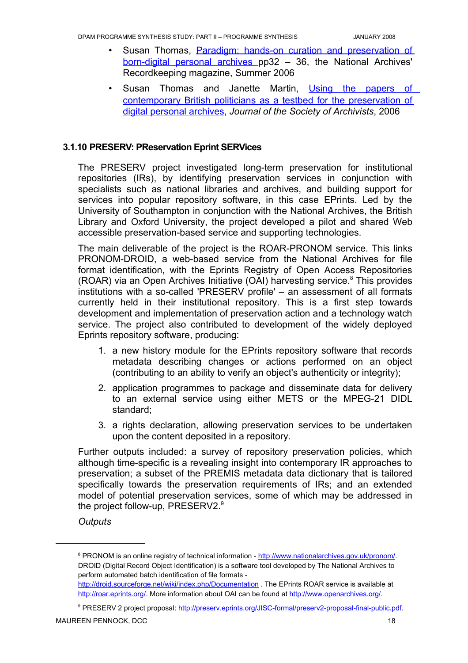- Susan Thomas, Paradigm: hands-on curation and [preservation](http://www.nationalarchives.gov.uk/documents/summer2006.pdf) of [born-digital](http://www.nationalarchives.gov.uk/documents/summer2006.pdf) personal archives pp32 – 36, the National Archives' Recordkeeping magazine, Summer 2006
- Susan Thomas and Janette Martin, Using the [papers](http://www.paradigm.ac.uk/projectdocs/papers/paradigm-preprint.pdf) of [contemporary](http://www.paradigm.ac.uk/projectdocs/papers/paradigm-preprint.pdf) British politicians as a testbed for the preservation of digital [personal](http://www.paradigm.ac.uk/projectdocs/papers/paradigm-preprint.pdf) archives, *Journal of the Society of Archivists*, 2006

#### **3.1.10 PRESERV: PReservation Eprint SERVices**

<span id="page-21-0"></span>The PRESERV project investigated long-term preservation for institutional repositories (IRs), by identifying preservation services in conjunction with specialists such as national libraries and archives, and building support for services into popular repository software, in this case EPrints. Led by the University of Southampton in conjunction with the National Archives, the British Library and Oxford University, the project developed a pilot and shared Web accessible preservation-based service and supporting technologies.

The main deliverable of the project is the ROAR-PRONOM service. This links PRONOM-DROID, a web-based service from the National Archives for file format identification, with the Eprints Registry of Open Access Repositories (ROAR) via an Open Archives Initiative (OAI) harvesting service. [8](#page-21-1) This provides institutions with a so-called 'PRESERV profile' – an assessment of all formats currently held in their institutional repository. This is a first step towards development and implementation of preservation action and a technology watch service. The project also contributed to development of the widely deployed Eprints repository software, producing:

- 1. a new history module for the EPrints repository software that records metadata describing changes or actions performed on an object (contributing to an ability to verify an object's authenticity or integrity);
- 2. application programmes to package and disseminate data for delivery to an external service using either METS or the MPEG-21 DIDL standard;
- 3. a rights declaration, allowing preservation services to be undertaken upon the content deposited in a repository.

Further outputs included: a survey of repository preservation policies, which although time-specific is a revealing insight into contemporary IR approaches to preservation; a subset of the PREMIS metadata data dictionary that is tailored specifically towards the preservation requirements of IRs; and an extended model of potential preservation services, some of which may be addressed in the project follow-up, PRESERV2.<sup>[9](#page-21-2)</sup>

*Outputs*

<span id="page-21-1"></span><sup>&</sup>lt;sup>8</sup> PRONOM is an online registry of technical information -<http://www.nationalarchives.gov.uk/pronom/>. DROID (Digital Record Object Identification) is a software tool developed by The National Archives to perform automated batch identification of file formats -

<http://droid.sourceforge.net/wiki/index.php/Documentation> . The EPrints ROAR service is available at [http://roar.eprints.org/.](http://roar.eprints.org/) More information about OAI can be found at <http://www.openarchives.org/>.

<span id="page-21-2"></span>PRESERV 2 project proposal: [http://preserv.eprints.org/JISC-formal/preserv2-proposal-final-public.pdf.](http://preserv.eprints.org/JISC-formal/preserv2-proposal-final-public.pdf)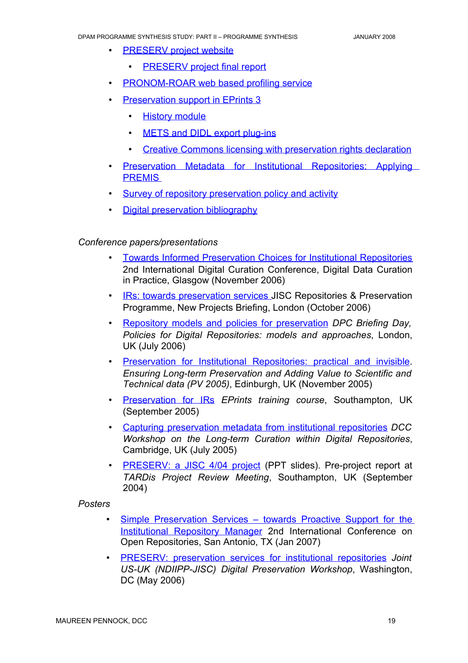- **PRESERV** project website
	- **PRESERV** project final report
- PRONOM-ROAR web based profiling service
- Preservation support in EPrints 3
	- History module
	- METS and DIDL export plug-ins
	- Creative Commons licensing with preservation rights declaration
- Preservation Metadata for Institutional [Repositories:](http://preserv.eprints.org/papers/presmeta/presmeta-paper.html ) Applying **PREMIS**
- Survey of [repository preservation](http://preserv.eprints.org/papers/survey/survey-results.html) policy and activity
- Digital [preservation](http://preserv.eprints.org/Preserv-bibliography.html) bibliography

#### *Conference papers/presentations*

- **Towards Informed [Preservation](http://www.dcc.ac.uk/events/dcc-2006/programme/presentations/hey-et-al.ppt) Choices for Institutional Repositories** 2nd International Digital Curation Conference, Digital Data Curation in Practice, Glasgow (November 2006)
- IRs: towards [preservation](http://preserv.eprints.org/talks/hitchcock-jiscnew-251006.ppt) services JISC Repositories & Preservation Programme, New Projects Briefing, London (October 2006)
- R epository models and policies for [preservation](http://www.dpconline.org/docs/events/06briefdigrephitchcock.pdf) *DPC Briefing Day, Policies for Digital Repositories: models and approaches*, London, UK (July 2006)
- Preservation for Institutional [Repositories:](http://preserv.eprints.org/papers/PV05/pv05-preserv-hitchcock.doc) practical and invisible. *Ensuring Long-term Preservation and Adding Value to Scientific and Technical data (PV 2005)*, Edinburgh, UK (November 2005)
- Preservation for IRs *EPrints training course*, Southampton, UK (September 2005)
- C apturing [preservation](http://preserv.eprints.org/talks/hitchcock-dcccambridge060705.ppt) metadata from institutional repositories *DCC Workshop on the Long-term Curation within Digital Repositories*, Cambridge, UK (July 2005)
- PRESERV: a JISC 4/04 project (PPT slides). Pre-project report at *TARDis Project Review Meeting*, Southampton, UK (September 2004)

#### *Posters*

- Simple [Preservation](http://preserv.eprints.org/talks/preserv-or07.ppt) Services towards Proactive Support for the [Institutional](http://preserv.eprints.org/talks/preserv-or07.ppt) Repository Manager 2nd International Conference on Open Repositories, San Antonio, TX (Jan 2007)
- PR ESERV: [preservation](http://preserv.eprints.org/talks/preserv-jiscndiipp-v1-2.ppt) services for institutional repositories *Joint US-UK (NDIIPP-JISC) Digital Preservation Workshop*, Washington, DC (May 2006)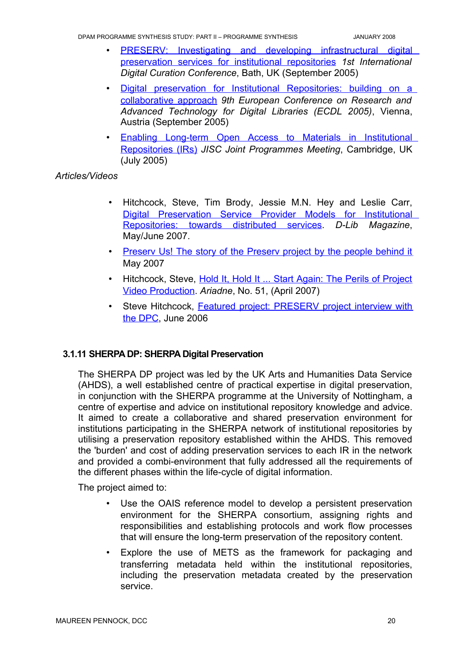DPAM PROGRAMME SYNTHESIS STUDY: PART II – PROGRAMME SYNTHESIS JANUARY 2008

- PRESERV: Investigating and developing [infrastructural](http://eprints.soton.ac.uk/18773/) digital [preservation](http://eprints.soton.ac.uk/18773/) services for institutional repositories *1st International Digital Curation Conference*, Bath, UK (September 2005)
- Digital preservation for Institutional [Repositories:](http://eprints.soton.ac.uk/18167/) building on a [collaborative](http://eprints.soton.ac.uk/18167/) approach *9th European Conference on Research and Advanced Technology for Digital Libraries (ECDL 2005)*, Vienna, Austria (September 2005)
- Enabling Long-term Open Access to Materials in [Institutional](http://eprints.soton.ac.uk/16281/) [Repositories](http://eprints.soton.ac.uk/16281/) (IRs) *JISC Joint Programmes Meeting*, Cambridge, UK (July 2005)

#### *Articles/Videos*

- Hitchcock, Steve, Tim Brody, Jessie M.N. Hey and Leslie Carr, Digital [Preservation](http://preserv.eprints.org/papers/models/models-paper.html) Service Provider Models for Institutional [Repositories:](http://preserv.eprints.org/papers/models/models-paper.html) towards distributed services. *D-Lib Magazine*, May/June 2007.
- Presery Us! The story of the Presery project by the people behind it May 2007
- Hitchcock, Steve, Hold It, Hold It ... Start Again: The Perils of [Project](http://dev.ariadne.ac.uk/issue51/hitchcock/) Video [Production.](http://dev.ariadne.ac.uk/issue51/hitchcock/) *Ariadne*, No. 51, (April 2007)
- Steve Hitchcock, Featured project: [PRESERV](http://www.dpconline.org/graphics/join/preserv.html) project interview with the [DPC,](http://www.dpconline.org/graphics/join/preserv.html) June 2006

#### **3.1.11 SHERPA DP: SHERPA Digital Preservation**

<span id="page-23-0"></span>The SHERPA DP project was led by the UK Arts and Humanities Data Service (AHDS), a well established centre of practical expertise in digital preservation, in conjunction with the SHERPA programme at the University of Nottingham, a centre of expertise and advice on institutional repository knowledge and advice. It aimed to create a collaborative and shared preservation environment for institutions participating in the SHERPA network of institutional repositories by utilising a preservation repository established within the AHDS. This removed the 'burden' and cost of adding preservation services to each IR in the network and provided a combi-environment that fully addressed all the requirements of the different phases within the life-cycle of digital information.

The project aimed to:

- Use the OAIS reference model to develop a persistent preservation environment for the SHERPA consortium, assigning rights and responsibilities and establishing protocols and work flow processes that will ensure the long-term preservation of the repository content.
- Explore the use of METS as the framework for packaging and transferring metadata held within the institutional repositories, including the preservation metadata created by the preservation service.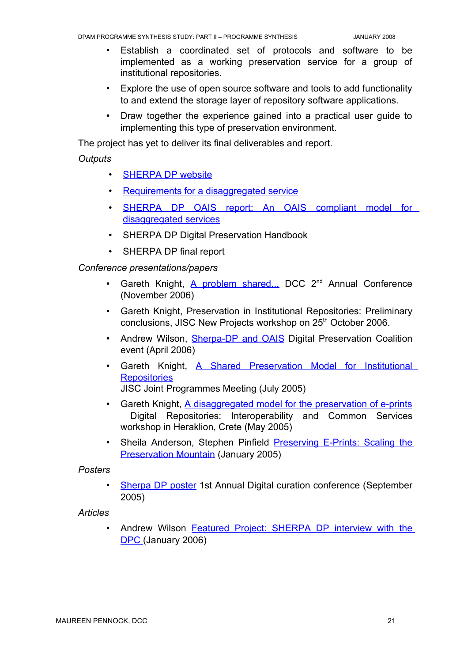- Establish a coordinated set of protocols and software to be implemented as a working preservation service for a group of institutional repositories.
- Explore the use of open source software and tools to add functionality to and extend the storage layer of repository software applications.
- Draw together the experience gained into a practical user guide to implementing this type of preservation environment.

The project has yet to deliver its final deliverables and report.

#### *Outputs*

- SHERPA DP website
- Requirements for a disaggregated service
- SHERPA DP OAIS report: An OAIS [compliant](http://www.sherpadp.org.uk/documents/sherpa-dp-oais-report.pdf) model for [disaggregated](http://www.sherpadp.org.uk/documents/sherpa-dp-oais-report.pdf) services
- SHERPA DP Digital Preservation Handbook
- SHERPA DP final report

*Conference presentations/papers*

- Gareth Knight, A problem [shared...](http://www.sherpadp.org.uk/presentations/dcc_presentation2006.pdf) DCC 2<sup>nd</sup> Annual Conference (November 2006)
- Gareth Knight, Preservation in Institutional Repositories: Preliminary conclusions, JISC New Projects workshop on 25<sup>th</sup> October 2006.
- Andrew Wilson, **[Sherpa-DP](http://www.sherpadp.org.uk/presentations/dpc_march2006.pdf) and OAIS** Digital Preservation Coalition event (April 2006)
- Gareth Knight, A Shared [Preservation](http://www.sherpadp.org.uk/presentations/jisc_programme_2005.pdf) Model for Institutional **[Repositories](http://www.sherpadp.org.uk/presentations/jisc_programme_2005.pdf)** JISC Joint Programmes Meeting (July 2005)
- Gareth Knight, A [disaggregated](http://www.sherpadp.org.uk/presentations/delos_presentation2005.pdf) model for the preservation of e-prints Digital Repositories: Interoperability and Common Services workshop in Heraklion, Crete (May 2005)
- Sheila Anderson, Stephen Pinfield [Preserving](http://www.sherpadp.org.uk/presentations/preserving-e-prints.ppt) E-Prints: Scaling the [Preservation](http://www.sherpadp.org.uk/presentations/preserving-e-prints.ppt) Mountain (January 2005)

*Posters*

• Sherpa DP poster 1st Annual Digital curation conference (September 2005)

*Articles*

• Andrew Wilson Featured Project: [SHERPA](http://www.dpconline.org/graphics/join/sherpa.html) DP interview with the [DPC](http://www.dpconline.org/graphics/join/sherpa.html) (January 2006)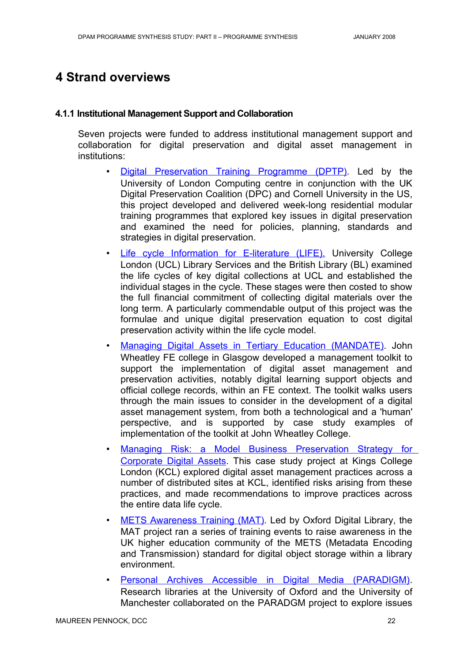## <span id="page-25-1"></span>**4 Strand overviews**

#### <span id="page-25-0"></span>**4.1.1 Institutional Management Support and Collaboration**

Seven projects were funded to address institutional management support and collaboration for digital preservation and digital asset management in institutions:

- Digital [Preservation](http://www.ulcc.ac.uk/dptp/) Training Programme (DPTP). Led by the University of London Computing centre in conjunction with the UK Digital Preservation Coalition (DPC) and Cornell University in the US, this project developed and delivered week-long residential modular training programmes that explored key issues in digital preservation and examined the need for policies, planning, standards and strategies in digital preservation.
- Life cycle [Information](http://www.ucl.ac.uk/ls/life/) for E-literature (LIFE). University College London (UCL) Library Services and the British Library (BL) examined the life cycles of key digital collections at UCL and established the individual stages in the cycle. These stages were then costed to show the full financial commitment of collecting digital materials over the long term. A particularly commendable output of this project was the formulae and unique digital preservation equation to cost digital preservation activity within the life cycle model.
- Managing Digital Assets in Tertiary Education [\(MANDATE\).](http://www.jwheatley.ac.uk/mandate/) John Wheatley FE college in Glasgow developed a management toolkit to support the implementation of digital asset management and preservation activities, notably digital learning support objects and official college records, within an FE context. The toolkit walks users through the main issues to consider in the development of a digital asset management system, from both a technological and a 'human' perspective, and is supported by case study examples of implementation of the toolkit at John Wheatley College.
- Managing Risk: a Model Business [Preservation](http://www.jisc.ac.uk/whatwedo/programmes/programme_preservation/programme_404/project_managingrisk.aspx) Strategy for [Corporate](http://www.jisc.ac.uk/whatwedo/programmes/programme_preservation/programme_404/project_managingrisk.aspx) Digital Assets. This case study project at Kings College London (KCL) explored digital asset management practices across a number of distributed sites at KCL, identified risks arising from these practices, and made recommendations to improve practices across the entire data life cycle.
- METS [Awareness](http://www.odl.ox.ac.uk/projects/projects_mets.htm) Training (MAT). Led by Oxford Digital Library, the MAT project ran a series of training events to raise awareness in the UK higher education community of the METS (Metadata Encoding and Transmission) standard for digital object storage within a library environment.
- **Personal Archives Accessible in Digital Media [\(PARADIGM\)](http://www.paradigm.ac.uk/).** Research libraries at the University of Oxford and the University of Manchester collaborated on the PARADGM project to explore issues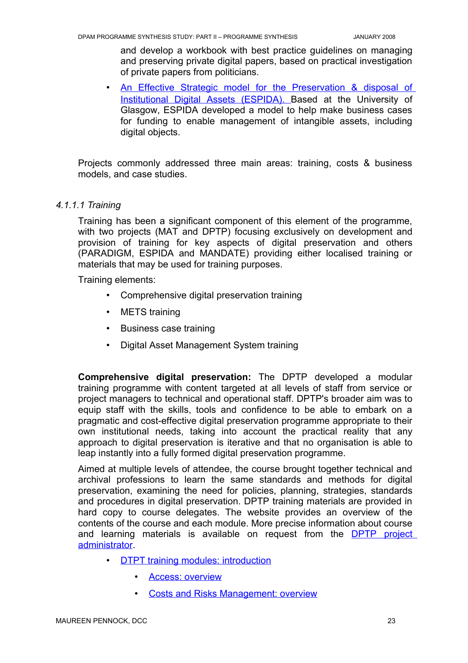and develop a workbook with best practice guidelines on managing and preserving private digital papers, based on practical investigation of private papers from politicians.

• [An Effective](http://www.gla.ac.uk/espida/) Strategic model for the Preservation & disposal of Institutional Digital Assets (ESPIDA)[. B](http://www.ulcc.ac.uk/dptp/)ased at the University of Glasgow, ESPIDA developed a model to help make business cases for funding to enable management of intangible assets, including digital objects.

Projects commonly addressed three main areas: training, costs & business models, and case studies.

#### *4.1.1.1 Training*

<span id="page-26-0"></span>Training has been a significant component of this element of the programme, with two projects (MAT and DPTP) focusing exclusively on development and provision of training for key aspects of digital preservation and others (PARADIGM, ESPIDA and MANDATE) providing either localised training or materials that may be used for training purposes.

Training elements:

- Comprehensive digital preservation training
- METS training
- Business case training
- Digital Asset Management System training

**Comprehensive digital preservation:** The DPTP developed a modular training programme with content targeted at all levels of staff from service or project managers to technical and operational staff. DPTP's broader aim was to equip staff with the skills, tools and confidence to be able to embark on a pragmatic and cost-effective digital preservation programme appropriate to their own institutional needs, taking into account the practical reality that any approach to digital preservation is iterative and that no organisation is able to leap instantly into a fully formed digital preservation programme.

Aimed at multiple levels of attendee, the course brought together technical and archival professions to learn the same standards and methods for digital preservation, examining the need for policies, planning, strategies, standards and procedures in digital preservation. DPTP training materials are provided in hard copy to course delegates. The website provides an overview of the contents of the course and each module. More precise information about course and learning materials is available on request from the **DPTP** [project](mailto:dptp-admin@ulcc.ac.uk) [administrator.](mailto:dptp-admin@ulcc.ac.uk)

- D TPT training modules: [introduction](http://www.ulcc.ac.uk/dptp/modules.html)
	- **Access: [overview](http://www.ulcc.ac.uk/dptp/modules/access.html)**
	- **Costs and [Risks Management:](http://www.ulcc.ac.uk/dptp/modules/costs-and-risks-management.html) overview**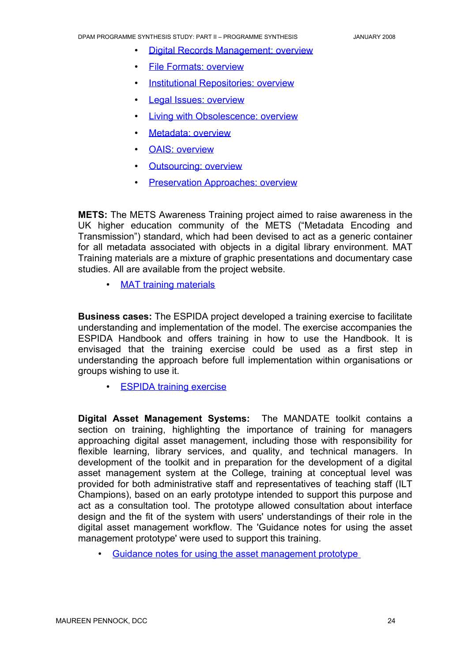- **Digital [Records Management:](http://www.ulcc.ac.uk/dptp/modules/digital-records-management.html) overview**
- File Formats: [overview](http://www.ulcc.ac.uk/dptp/modules/file-formats.html)
- Institutional [Repositories:](http://www.ulcc.ac.uk/dptp/modules/institutional-repositories.html) overview
- Legal Issues: [overview](http://www.ulcc.ac.uk/dptp/modules/legal-issues.html)
- **Living with [Obsolescence:](http://www.ulcc.ac.uk/dptp/modules/living-with-obsolescence.html) overview**
- Metadata: overview
- **OAIS: [overview](http://www.ulcc.ac.uk/dptp/modules/oais.html)**
- Outsourcing: overview
- Preservation Approaches: overview

**METS:** The METS Awareness Training project aimed to raise awareness in the UK higher education community of the METS ("Metadata Encoding and Transmission") standard, which had been devised to act as a generic container for all metadata associated with objects in a digital library environment. MAT Training materials are a mixture of graphic presentations and documentary case studies. All are available from the project website.

• [MAT training](http://www.odl.ox.ac.uk/projects/projects_mets.htm) materials

**Business cases:** The ESPIDA project developed a training exercise to facilitate understanding and implementation of the model. The exercise accompanies the ESPIDA Handbook and offers training in how to use the Handbook. It is envisaged that the training exercise could be used as a first step in understanding the approach before full implementation within organisations or groups wishing to use it.

• ESPIDA training exercise

**Digital Asset Management Systems:** The MANDATE toolkit contains a section on training, highlighting the importance of training for managers approaching digital asset management, including those with responsibility for flexible learning, library services, and quality, and technical managers. In development of the toolkit and in preparation for the development of a digital asset management system at the College, training at conceptual level was provided for both administrative staff and representatives of teaching staff (ILT Champions), based on an early prototype intended to support this purpose and act as a consultation tool. The prototype allowed consultation about interface design and the fit of the system with users' understandings of their role in the digital asset management workflow. The 'Guidance notes for using the asset management prototype' were used to support this training.

• Guidance [notes for using](http://www.jwheatley.ac.uk/mandate/Toolkit/docs/GuidanceNotesForUsingTheAssetManagementPrototype.pdf) the asset management prototype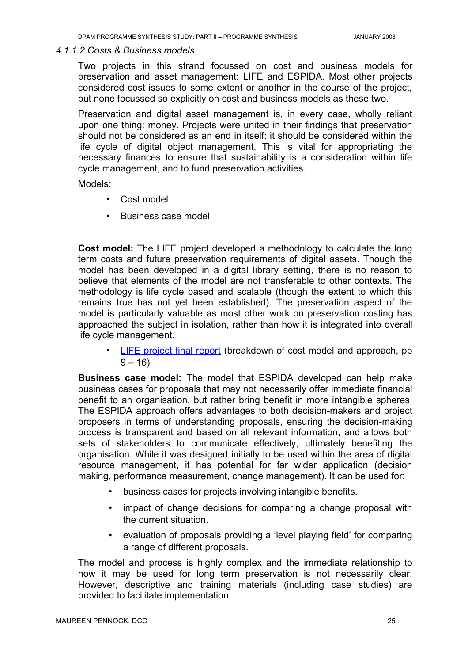#### *4.1.1.2 Costs & Business models*

<span id="page-28-0"></span>Two projects in this strand focussed on cost and business models for preservation and asset management: LIFE and ESPIDA. Most other projects considered cost issues to some extent or another in the course of the project, but none focussed so explicitly on cost and business models as these two.

Preservation and digital asset management is, in every case, wholly reliant upon one thing: money. Projects were united in their findings that preservation should not be considered as an end in itself: it should be considered within the life cycle of digital object management. This is vital for appropriating the necessary finances to ensure that sustainability is a consideration within life cycle management, and to fund preservation activities.

Models:

- Cost model
- Business case model

**Cost model:** The LIFE project developed a methodology to calculate the long term costs and future preservation requirements of digital assets. Though the model has been developed in a digital library setting, there is no reason to believe that elements of the model are not transferable to other contexts. The methodology is life cycle based and scalable (though the extent to which this remains true has not yet been established). The preservation aspect of the model is particularly valuable as most other work on preservation costing has approached the subject in isolation, rather than how it is integrated into overall life cycle management.

• LIFE [project](http://eprints.ucl.ac.uk/archive/00001854/) final report (breakdown of cost model and approach, pp  $9 - 16$ 

**Business case model:** The model that ESPIDA developed can help make business cases for proposals that may not necessarily offer immediate financial benefit to an organisation, but rather bring benefit in more intangible spheres. The ESPIDA approach offers advantages to both decision-makers and project proposers in terms of understanding proposals, ensuring the decision-making process is transparent and based on all relevant information, and allows both sets of stakeholders to communicate effectively, ultimately benefiting the organisation. While it was designed initially to be used within the area of digital resource management, it has potential for far wider application (decision making, performance measurement, change management). It can be used for:

- business cases for projects involving intangible benefits.
- impact of change decisions for comparing a change proposal with the current situation.
- evaluation of proposals providing a 'level playing field' for comparing a range of different proposals.

The model and process is highly complex and the immediate relationship to how it may be used for long term preservation is not necessarily clear. However, descriptive and training materials (including case studies) are provided to facilitate implementation.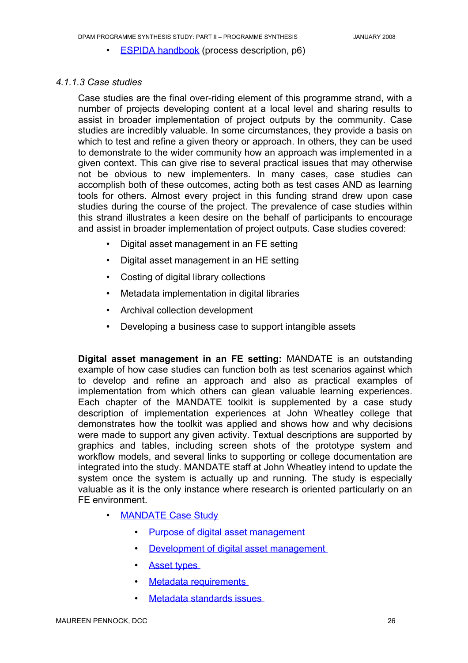• ESPIDA handbook (process description, p6)

#### *4.1.1.3 Case studies*

<span id="page-29-0"></span>Case studies are the final over-riding element of this programme strand, with a number of projects developing content at a local level and sharing results to assist in broader implementation of project outputs by the community. Case studies are incredibly valuable. In some circumstances, they provide a basis on which to test and refine a given theory or approach. In others, they can be used to demonstrate to the wider community how an approach was implemented in a given context. This can give rise to several practical issues that may otherwise not be obvious to new implementers. In many cases, case studies can accomplish both of these outcomes, acting both as test cases AND as learning tools for others. Almost every project in this funding strand drew upon case studies during the course of the project. The prevalence of case studies within this strand illustrates a keen desire on the behalf of participants to encourage and assist in broader implementation of project outputs. Case studies covered:

- Digital asset management in an FE setting
- Digital asset management in an HE setting
- Costing of digital library collections
- Metadata implementation in digital libraries
- Archival collection development
- Developing a business case to support intangible assets

**Digital asset management in an FE setting:** MANDATE is an outstanding example of how case studies can function both as test scenarios against which to develop and refine an approach and also as practical examples of implementation from which others can glean valuable learning experiences. Each chapter of the MANDATE toolkit is supplemented by a case study description of implementation experiences at John Wheatley college that demonstrates how the toolkit was applied and shows how and why decisions were made to support any given activity. Textual descriptions are supported by graphics and tables, including screen shots of the prototype system and workflow models, and several links to supporting or college documentation are integrated into the study. MANDATE staff at John Wheatley intend to update the system once the system is actually up and running. The study is especially valuable as it is the only instance where research is oriented particularly on an FE environment.

- **MANDATE Case Study** 
	- Purpose of digital asset [management](http://www.jwheatley.ac.uk/mandate/Toolkit/casestudy.htm#strategypurpose)
	- Development of digital asset management
	- Asset types
	- Metadata requirements
	- Metadata standards issues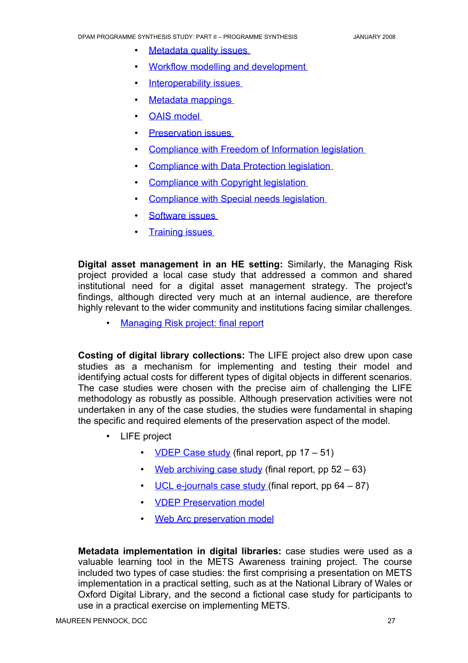- **Metadata quality issues**
- Workflow modelling and development
- Interoperability issues
- Metadata mappings
- OAIS model
- **Preservation issues**
- Compliance with Freedom of Information legislation
- Compliance with Data Protection legislation
- Compliance with Copyright legislation
- Compliance with Special needs legislation
- Software issues
- **Training issues**

**Digital asset management in an HE setting:** Similarly, the Managing Risk project provided a local case study that addressed a common and shared institutional need for a digital asset management strategy. The project's findings, although directed very much at an internal audience, are therefore highly relevant to the wider community and institutions facing similar challenges.

• Managing [Risk project:](http://www.jisc.ac.uk/whatwedo/programmes/programme_preservation/programme_404/project_managingrisk.aspx) final report

**Costing of digital library collections:** The LIFE project also drew upon case studies as a mechanism for implementing and testing their model and identifying actual costs for different types of digital objects in different scenarios. The case studies were chosen with the precise aim of challenging the LIFE methodology as robustly as possible. Although preservation activities were not undertaken in any of the case studies, the studies were fundamental in shaping the specific and required elements of the preservation aspect of the model.

- LIFE project
	- VDEP Case study (final report, pp  $17 51$ )
	- Web [archiving](http://eprints.ucl.ac.uk/archive/00001854/01/LifeProjMaster.pdf) case study (final report, pp  $52 63$ )
	- UCL [e-journals case](http://eprints.ucl.ac.uk/archive/00001854/01/LifeProjMaster.pdf) study (final report, pp  $64 87$ )
	- **VDEP Preservation model**
	- Web [Arc preservation](http://www.ucl.ac.uk/ls/lifeproject/documentation/WebArcPreserve.xls) model

**Metadata implementation in digital libraries:** case studies were used as a valuable learning tool in the METS Awareness training project. The course included two types of case studies: the first comprising a presentation on METS implementation in a practical setting, such as at the National Library of Wales or Oxford Digital Library, and the second a fictional case study for participants to use in a practical exercise on implementing METS.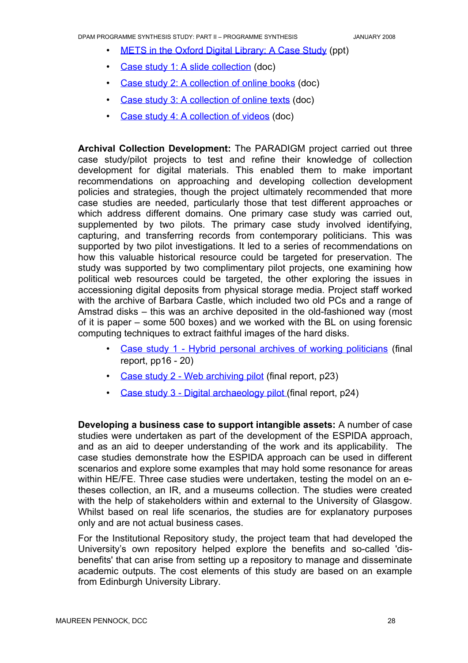- METS in the Oxford Digital Library: A Case Study (ppt)
- Case study 1: A slide [collection](http://www.odl.ox.ac.uk/projects/casestudy/casestudy1.doc) (doc)
- Case study 2: [A collection](http://www.odl.ox.ac.uk/projects/casestudy/casestudy2.doc) of online books (doc)
- Case study 3: [A collection](http://www.odl.ox.ac.uk/projects/casestudy/casestudy3.doc) of online texts (doc)
- Case study 4: [A collection](http://www.odl.ox.ac.uk/projects/casestudy/casestudy4.doc) of videos (doc)

**Archival Collection Development:** The PARADIGM project carried out three case study/pilot projects to test and refine their knowledge of collection development for digital materials. This enabled them to make important recommendations on approaching and developing collection development policies and strategies, though the project ultimately recommended that more case studies are needed, particularly those that test different approaches or which address different domains. One primary case study was carried out, supplemented by two pilots. The primary case study involved identifying, capturing, and transferring records from contemporary politicians. This was supported by two pilot investigations. It led to a series of recommendations on how this valuable historical resource could be targeted for preservation. The study was supported by two complimentary pilot projects, one examining how political web resources could be targeted, the other exploring the issues in accessioning digital deposits from physical storage media. Project staff worked with the archive of Barbara Castle, which included two old PCs and a range of Amstrad disks – this was an archive deposited in the old-fashioned way (most of it is paper – some 500 boxes) and we worked with the BL on using forensic computing techniques to extract faithful images of the hard disks.

- Case study 1 Hybrid personal archives of working [politicians](http://www.paradigm.ac.uk/projectdocs/jiscreports/ParadigmFinalReportv1.pdf) (final report, pp16 - 20)
- Case study 2 Web [archiving](http://www.paradigm.ac.uk/projectdocs/jiscreports/ParadigmFinalReportv1.pdf) pilot (final report, p23)
- Case study 3 Digital [archaeology pilot](http://www.paradigm.ac.uk/projectdocs/jiscreports/ParadigmFinalReportv1.pdf) (final report, p24)

**Developing a business case to support intangible assets:** A number of case studies were undertaken as part of the development of the ESPIDA approach, and as an aid to deeper understanding of the work and its applicability. The case studies demonstrate how the ESPIDA approach can be used in different scenarios and explore some examples that may hold some resonance for areas within HE/FE. Three case studies were undertaken, testing the model on an etheses collection, an IR, and a museums collection. The studies were created with the help of stakeholders within and external to the University of Glasgow. Whilst based on real life scenarios, the studies are for explanatory purposes only and are not actual business cases.

For the Institutional Repository study, the project team that had developed the University's own repository helped explore the benefits and so-called 'disbenefits' that can arise from setting up a repository to manage and disseminate academic outputs. The cost elements of this study are based on an example from Edinburgh University Library.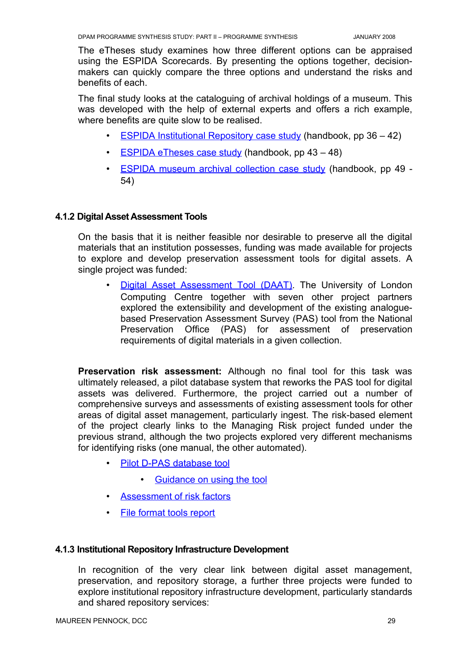The eTheses study examines how three different options can be appraised using the ESPIDA Scorecards. By presenting the options together, decisionmakers can quickly compare the three options and understand the risks and benefits of each.

The final study looks at the cataloguing of archival holdings of a museum. This was developed with the help of external experts and offers a rich example, where benefits are quite slow to be realised.

- ESPIDA Institutional Repository case study (handbook, pp  $36 42$ )
- ESPIDA eTheses case study (handbook, pp  $43 48$ )
- ESPIDA museum archival [collection](http://hdl.handle.net/1905/691) case study (handbook, pp 49 -54)

#### <span id="page-32-1"></span>**4.1.2 Digital Asset Assessment Tools**

On the basis that it is neither feasible nor desirable to preserve all the digital materials that an institution possesses, funding was made available for projects to explore and develop preservation assessment tools for digital assets. A single project was funded:

Digital Asset [Assessment](http://www.ulcc.ac.uk/daat) Tool (DAAT). The University of London Computing Centre together with seven other project partners explored the extensibility and development of the existing analoguebased Preservation Assessment Survey (PAS) tool from the National Preservation Office (PAS) for assessment of preservation requirements of digital materials in a given collection.

**Preservation risk assessment:** Although no final tool for this task was ultimately released, a pilot database system that reworks the PAS tool for digital assets was delivered. Furthermore, the project carried out a number of comprehensive surveys and assessments of existing assessment tools for other areas of digital asset management, particularly ingest. The risk-based element of the project clearly links to the Managing Risk project funded under the previous strand, although the two projects explored very different mechanisms for identifying risks (one manual, the other automated).

- Pilot [D-PAS database](http://www.ulcc.ac.uk/uploads/media/DAAT5.1.mdb) tool
	- Guidance on using the tool
- Assessment of risk factors
- File format [tools report](http://www.ulcc.ac.uk/uploads/media/DAAT_file_format_tools_report.pdf)

#### <span id="page-32-0"></span>**4.1.3 Institutional Repository Infrastructure Development**

In recognition of the very clear link between digital asset management, preservation, and repository storage, a further three projects were funded to explore institutional repository infrastructure development, particularly standards and shared repository services: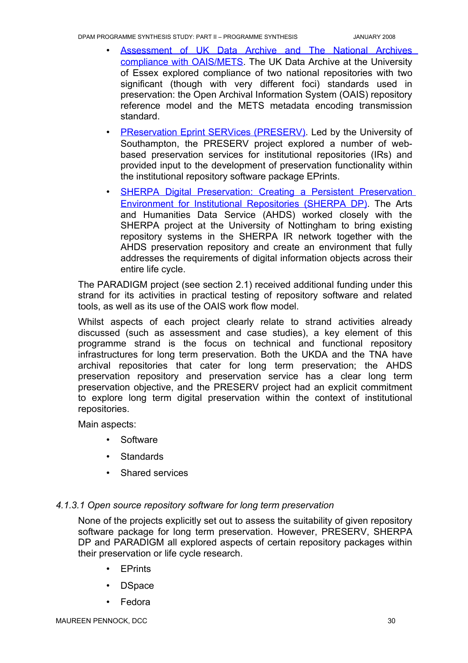- Assessment of UK Data Archive and The National Archives compliance with [OAIS/METS](http://www.jisc.ac.uk/whatwedo/programmes/programme_preservation/programme_404/project_oais.aspx). The UK Data Archive at the University of Essex explored compliance of two national repositories with two significant (though with very different foci) standards used in preservation: the Open Archival Information System (OAIS) repository reference model and the METS metadata encoding transmission standard.
- PReservation Eprint SERVices (PRESERV). Led by the University of Southampton, the PRESERV project explored a number of webbased preservation services for institutional repositories (IRs) and provided input to the development of preservation functionality within the institutional repository software package EPrints.
- **SHERPA Digital [Preservation:](http://www.sherpadp.org.uk/index.html) Creating a Persistent Preservation** [Environment](http://www.sherpadp.org.uk/index.html) for Institutional Repositories (SHERPA DP). The Arts and Humanities Data Service (AHDS) worked closely with the SHERPA project at the University of Nottingham to bring existing repository systems in the SHERPA IR network together with the AHDS preservation repository and create an environment that fully addresses the requirements of digital information objects across their entire life cycle.

The PARADIGM project (see section 2.1) received additional funding under this strand for its activities in practical testing of repository software and related tools, as well as its use of the OAIS work flow model.

Whilst aspects of each project clearly relate to strand activities already discussed (such as assessment and case studies), a key element of this programme strand is the focus on technical and functional repository infrastructures for long term preservation. Both the UKDA and the TNA have archival repositories that cater for long term preservation; the AHDS preservation repository and preservation service has a clear long term preservation objective, and the PRESERV project had an explicit commitment to explore long term digital preservation within the context of institutional repositories.

Main aspects:

- Software
- Standards
- Shared services

#### *4.1.3.1 Open source repository software for long term preservation*

<span id="page-33-0"></span>None of the projects explicitly set out to assess the suitability of given repository software package for long term preservation. However, PRESERV, SHERPA DP and PARADIGM all explored aspects of certain repository packages within their preservation or life cycle research.

- **EPrints**
- DSpace
- Fedora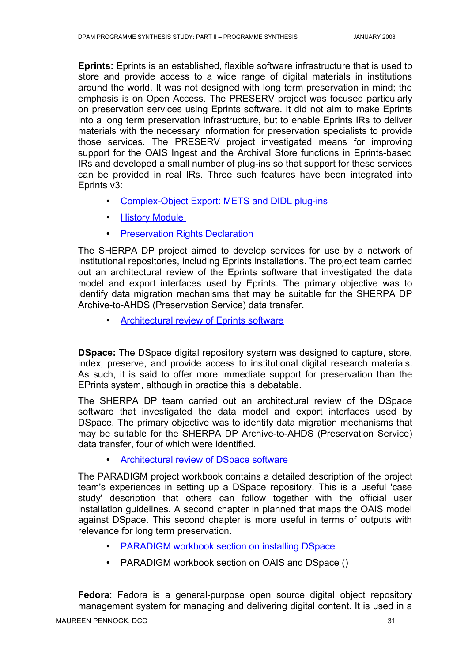**Eprints:** Eprints is an established, flexible software infrastructure that is used to store and provide access to a wide range of digital materials in institutions around the world. It was not designed with long term preservation in mind; the emphasis is on Open Access. The PRESERV project was focused particularly on preservation services using Eprints software. It did not aim to make Eprints into a long term preservation infrastructure, but to enable Eprints IRs to deliver materials with the necessary information for preservation specialists to provide those services. The PRESERV project investigated means for improving support for the OAIS Ingest and the Archival Store functions in Eprints-based IRs and developed a small number of plug-ins so that support for these services can be provided in real IRs. Three such features have been integrated into Eprints v3:

- Complex-Object Export: METS and DIDL plug-ins
- History Module
- Preservation [Rights Declaration](http://wiki.eprints.org/w/Preservation_Support#Preservation_Rights_Declaration)

The SHERPA DP project aimed to develop services for use by a network of institutional repositories, including Eprints installations. The project team carried out an architectural review of the Eprints software that investigated the data model and export interfaces used by Eprints. The primary objective was to identify data migration mechanisms that may be suitable for the SHERPA DP Archive-to-AHDS (Preservation Service) data transfer.

• Architectural review of [Eprints software](http://www.sherpadp.org.uk/documents/wp53-eprintsreview.pdf)

**DSpace:** The DSpace digital repository system was designed to capture, store, index, preserve, and provide access to institutional digital research materials. As such, it is said to offer more immediate support for preservation than the EPrints system, although in practice this is debatable.

The SHERPA DP team carried out an architectural review of the DSpace software that investigated the data model and export interfaces used by DSpace. The primary objective was to identify data migration mechanisms that may be suitable for the SHERPA DP Archive-to-AHDS (Preservation Service) data transfer, four of which were identified.

Architectural review of DSpace software

The PARADIGM project workbook contains a detailed description of the project team's experiences in setting up a DSpace repository. This is a useful 'case study' description that others can follow together with the official user installation guidelines. A second chapter in planned that maps the OAIS model against DSpace. This second chapter is more useful in terms of outputs with relevance for long term preservation.

- PARADIGM workbook section on installing DSpace
- PARADIGM workbook section on OAIS and DSpace ()

**Fedora**: Fedora is a general-purpose open source digital object repository management system for managing and delivering digital content. It is used in a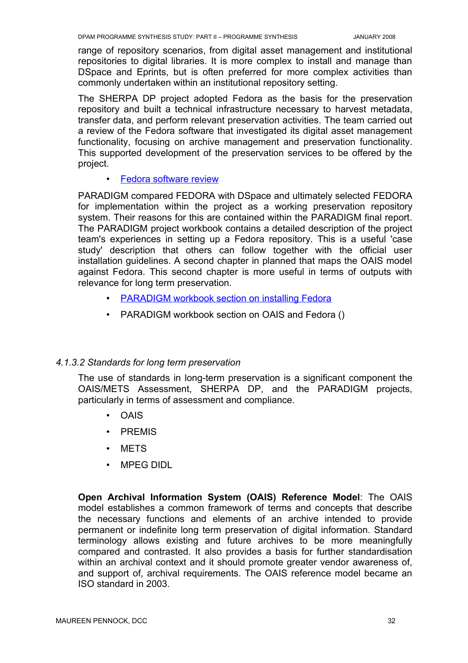range of repository scenarios, from digital asset management and institutional repositories to digital libraries. It is more complex to install and manage than DSpace and Eprints, but is often preferred for more complex activities than commonly undertaken within an institutional repository setting.

The SHERPA DP project adopted Fedora as the basis for the preservation repository and built a technical infrastructure necessary to harvest metadata, transfer data, and perform relevant preservation activities. The team carried out a review of the Fedora software that investigated its digital asset management functionality, focusing on archive management and preservation functionality. This supported development of the preservation services to be offered by the project.

**Fedora [software](http://www.sherpadp.org.uk/documents/wp56-fedora.pdf) review** 

PARADIGM compared FEDORA with DSpace and ultimately selected FEDORA for implementation within the project as a working preservation repository system. Their reasons for this are contained within the PARADIGM final report. The PARADIGM project workbook contains a detailed description of the project team's experiences in setting up a Fedora repository. This is a useful 'case study' description that others can follow together with the official user installation guidelines. A second chapter in planned that maps the OAIS model against Fedora. This second chapter is more useful in terms of outputs with relevance for long term preservation.

- PARADIGM workbook section on installing Fedora
- PARADIGM workbook section on OAIS and Fedora ()

#### *4.1.3.2 Standards for long term preservation*

<span id="page-35-0"></span>The use of standards in long-term preservation is a significant component the OAIS/METS Assessment, SHERPA DP, and the PARADIGM projects, particularly in terms of assessment and compliance.

- OAIS
- PREMIS
- METS
- MPEG DIDL

**Open Archival Information System (OAIS) Reference Model**: The OAIS model establishes a common framework of terms and concepts that describe the necessary functions and elements of an archive intended to provide permanent or indefinite long term preservation of digital information. Standard terminology allows existing and future archives to be more meaningfully compared and contrasted. It also provides a basis for further standardisation within an archival context and it should promote greater vendor awareness of, and support of, archival requirements. The OAIS reference model became an ISO standard in 2003.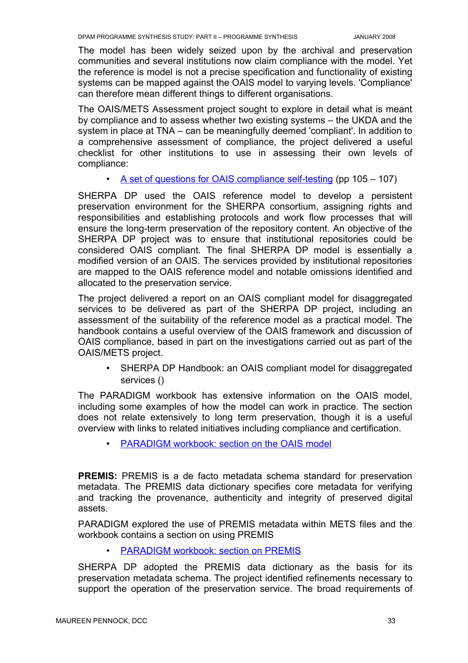The model has been widely seized upon by the archival and preservation communities and several institutions now claim compliance with the model. Yet the reference is model is not a precise specification and functionality of existing systems can be mapped against the OAIS model to varying levels. 'Compliance' can therefore mean different things to different organisations.

The OAIS/METS Assessment project sought to explore in detail what is meant by compliance and to assess whether two existing systems – the UKDA and the system in place at TNA – can be meaningfully deemed 'compliant'. In addition to a comprehensive assessment of compliance, the project delivered a useful checklist for other institutions to use in assessing their own levels of compliance:

• A set of [questions for OAIS compliance](http://www.jisc.ac.uk/uploaded_documents/oaismets.pdf) self-testing (pp 105 – 107)

SHERPA DP used the OAIS reference model to develop a persistent preservation environment for the SHERPA consortium, assigning rights and responsibilities and establishing protocols and work flow processes that will ensure the long-term preservation of the repository content. An objective of the SHERPA DP project was to ensure that institutional repositories could be considered OAIS compliant. The final SHERPA DP model is essentially a modified version of an OAIS. The services provided by institutional repositories are mapped to the OAIS reference model and notable omissions identified and allocated to the preservation service.

The project delivered a report on an OAIS compliant model for disaggregated services to be delivered as part of the SHERPA DP project, including an assessment of the suitability of the reference model as a practical model. The handbook contains a useful overview of the OAIS framework and discussion of OAIS compliance, based in part on the investigations carried out as part of the OAIS/METS project.

• SHERPA DP Handbook: an OAIS compliant model for disaggregated services ()

The PARADIGM workbook has extensive information on the OAIS model, including some examples of how the model can work in practice. The section does not relate extensively to long term preservation, though it is a useful overview with links to related initiatives including compliance and certification.

• PARADIGM workbook: section on the OAIS model

**PREMIS:** PREMIS is a de facto metadata schema standard for preservation metadata. The PREMIS data dictionary specifies core metadata for verifying and tracking the provenance, authenticity and integrity of preserved digital assets.

PARADIGM explored the use of PREMIS metadata within METS files and the workbook contains a section on using PREMIS

• PARADIGM workbook: section on PREMIS

SHERPA DP adopted the PREMIS data dictionary as the basis for its preservation metadata schema. The project identified refinements necessary to support the operation of the preservation service. The broad requirements of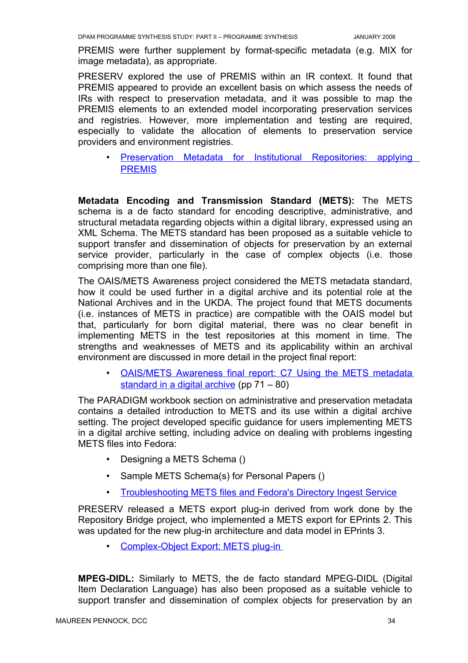PREMIS were further supplement by format-specific metadata (e.g. MIX for image metadata), as appropriate.

PRESERV explored the use of PREMIS within an IR context. It found that PREMIS appeared to provide an excellent basis on which assess the needs of IRs with respect to preservation metadata, and it was possible to map the PREMIS elements to an extended model incorporating preservation services and registries. However, more implementation and testing are required, especially to validate the allocation of elements to preservation service providers and environment registries.

• Preservation Metadata for Institutional [Repositories:](http://preserv.eprints.org/papers/presmeta/presmeta-paper.html) applying **[PREMIS](http://preserv.eprints.org/papers/presmeta/presmeta-paper.html)** 

**Metadata Encoding and Transmission Standard (METS):** The METS schema is a de facto standard for encoding descriptive, administrative, and structural metadata regarding objects within a digital library, expressed using an XML Schema. The METS standard has been proposed as a suitable vehicle to support transfer and dissemination of objects for preservation by an external service provider, particularly in the case of complex objects (i.e. those comprising more than one file).

The OAIS/METS Awareness project considered the METS metadata standard, how it could be used further in a digital archive and its potential role at the National Archives and in the UKDA. The project found that METS documents (i.e. instances of METS in practice) are compatible with the OAIS model but that, particularly for born digital material, there was no clear benefit in implementing METS in the test repositories at this moment in time. The strengths and weaknesses of METS and its applicability within an archival environment are discussed in more detail in the project final report:

OAIS/METS Awareness final report: C7 Using the METS metadata [standard](http://www.jisc.ac.uk/uploaded_documents/oaismets.pdf) in a digital archive (pp 71 – 80)

The PARADIGM workbook section on administrative and preservation metadata contains a detailed introduction to METS and its use within a digital archive setting. The project developed specific guidance for users implementing METS in a digital archive setting, including advice on dealing with problems ingesting METS files into Fedora:

- Designing a METS Schema ()
- Sample METS Schema(s) for Personal Papers ()
- Troubleshooting METS files and [Fedora's Directory Ingest](http://www.paradigm.ac.uk/workbook/ingest/fedora-diringest.html) Service

PRESERV released a METS export plug-in derived from work done by the Repository Bridge project, who implemented a METS export for EPrints 2. This was updated for the new plug-in architecture and data model in EPrints 3.

• Complex-Object Export: METS plug-in

**MPEG-DIDL:** Similarly to METS, the de facto standard MPEG-DIDL (Digital Item Declaration Language) has also been proposed as a suitable vehicle to support transfer and dissemination of complex objects for preservation by an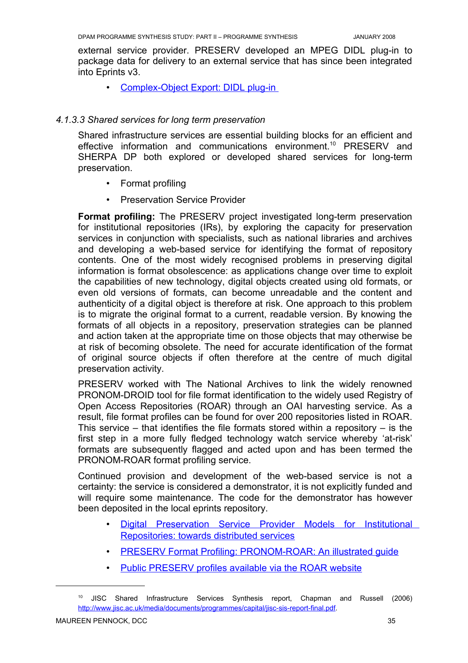external service provider. PRESERV developed an MPEG DIDL plug-in to package data for delivery to an external service that has since been integrated into Eprints v3.

• Complex-Object Export: DIDL plug-in

## *4.1.3.3 Shared services for long term preservation*

Shared infrastructure services are essential building blocks for an efficient and effective information and communications environment. [10](#page-38-0) PRESERV and SHERPA DP both explored or developed shared services for long-term preservation.

- Format profiling
- Preservation Service Provider

**Format profiling:** The PRESERV project investigated long-term preservation for institutional repositories (IRs), by exploring the capacity for preservation services in conjunction with specialists, such as national libraries and archives and developing a web-based service for identifying the format of repository contents. One of the most widely recognised problems in preserving digital information is format obsolescence: as applications change over time to exploit the capabilities of new technology, digital objects created using old formats, or even old versions of formats, can become unreadable and the content and authenticity of a digital object is therefore at risk. One approach to this problem is to migrate the original format to a current, readable version. By knowing the formats of all objects in a repository, preservation strategies can be planned and action taken at the appropriate time on those objects that may otherwise be at risk of becoming obsolete. The need for accurate identification of the format of original source objects if often therefore at the centre of much digital preservation activity.

PRESERV worked with The National Archives to link the widely renowned PRONOM-DROID tool for file format identification to the widely used Registry of Open Access Repositories (ROAR) through an OAI harvesting service. As a result, file format profiles can be found for over 200 repositories listed in ROAR. This service  $-$  that identifies the file formats stored within a repository  $-$  is the first step in a more fully fledged technology watch service whereby 'at-risk' formats are subsequently flagged and acted upon and has been termed the PRONOM-ROAR format profiling service.

Continued provision and development of the web-based service is not a certainty: the service is considered a demonstrator, it is not explicitly funded and will require some maintenance. The code for the demonstrator has however been deposited in the local eprints repository.

- Digital [Preservation](http://preserv.eprints.org/papers/models/models-paper.html) Service Provider Models for Institutional Repositories: [towards distributed](http://preserv.eprints.org/papers/models/models-paper.html) services
- PRESERV Format Profiling: PRONOM-ROAR: An illustrated quide
- Public PRESERV profiles available via the ROAR website

<span id="page-38-0"></span><sup>10</sup> JISC Shared Infrastructure Services Synthesis report, Chapman and Russell (2006) [http://www.jisc.ac.uk/media/documents/programmes/capital/jisc-sis-report-final.pdf.](http://www.jisc.ac.uk/media/documents/programmes/capital/jisc-sis-report-final.pdf)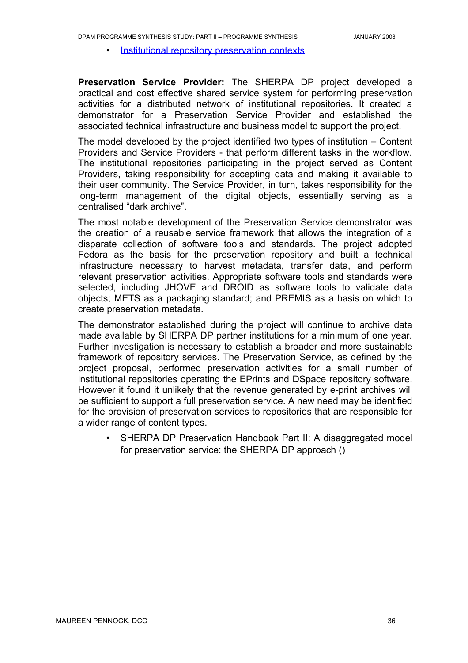• Institutional [repository preservation](http://preserv.eprints.org/contexts.shtml) contexts

**Preservation Service Provider:** The SHERPA DP project developed a practical and cost effective shared service system for performing preservation activities for a distributed network of institutional repositories. It created a demonstrator for a Preservation Service Provider and established the associated technical infrastructure and business model to support the project.

The model developed by the project identified two types of institution – Content Providers and Service Providers - that perform different tasks in the workflow. The institutional repositories participating in the project served as Content Providers, taking responsibility for accepting data and making it available to their user community. The Service Provider, in turn, takes responsibility for the long-term management of the digital objects, essentially serving as a centralised "dark archive".

The most notable development of the Preservation Service demonstrator was the creation of a reusable service framework that allows the integration of a disparate collection of software tools and standards. The project adopted Fedora as the basis for the preservation repository and built a technical infrastructure necessary to harvest metadata, transfer data, and perform relevant preservation activities. Appropriate software tools and standards were selected, including JHOVE and DROID as software tools to validate data objects; METS as a packaging standard; and PREMIS as a basis on which to create preservation metadata.

The demonstrator established during the project will continue to archive data made available by SHERPA DP partner institutions for a minimum of one year. Further investigation is necessary to establish a broader and more sustainable framework of repository services. The Preservation Service, as defined by the project proposal, performed preservation activities for a small number of institutional repositories operating the EPrints and DSpace repository software. However it found it unlikely that the revenue generated by e-print archives will be sufficient to support a full preservation service. A new need may be identified for the provision of preservation services to repositories that are responsible for a wider range of content types.

• SHERPA DP Preservation Handbook Part II: A disaggregated model for preservation service: the SHERPA DP approach ()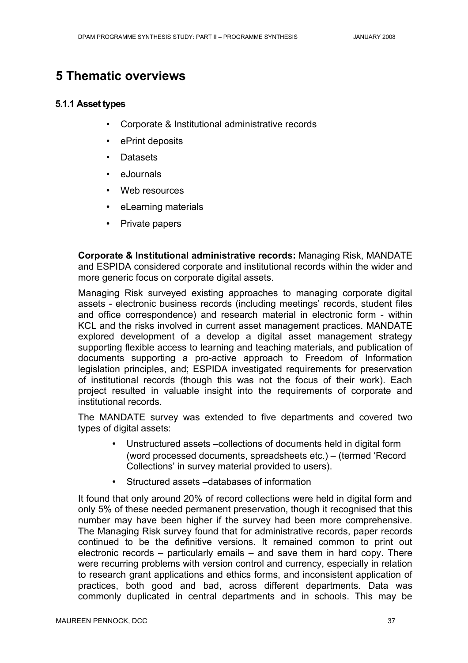# **5 Thematic overviews**

## **5.1.1 Asset types**

- Corporate & Institutional administrative records
- ePrint deposits
- Datasets
- eJournals
- Web resources
- eLearning materials
- Private papers

**Corporate & Institutional administrative records:** Managing Risk, MANDATE and ESPIDA considered corporate and institutional records within the wider and more generic focus on corporate digital assets.

Managing Risk surveyed existing approaches to managing corporate digital assets - electronic business records (including meetings' records, student files and office correspondence) and research material in electronic form - within KCL and the risks involved in current asset management practices. MANDATE explored development of a develop a digital asset management strategy supporting flexible access to learning and teaching materials, and publication of documents supporting a pro-active approach to Freedom of Information legislation principles, and; ESPIDA investigated requirements for preservation of institutional records (though this was not the focus of their work). Each project resulted in valuable insight into the requirements of corporate and institutional records.

The MANDATE survey was extended to five departments and covered two types of digital assets:

- Unstructured assets –collections of documents held in digital form (word processed documents, spreadsheets etc.) – (termed 'Record Collections' in survey material provided to users).
- Structured assets –databases of information

It found that only around 20% of record collections were held in digital form and only 5% of these needed permanent preservation, though it recognised that this number may have been higher if the survey had been more comprehensive. The Managing Risk survey found that for administrative records, paper records continued to be the definitive versions. It remained common to print out electronic records – particularly emails – and save them in hard copy. There were recurring problems with version control and currency, especially in relation to research grant applications and ethics forms, and inconsistent application of practices, both good and bad, across different departments. Data was commonly duplicated in central departments and in schools. This may be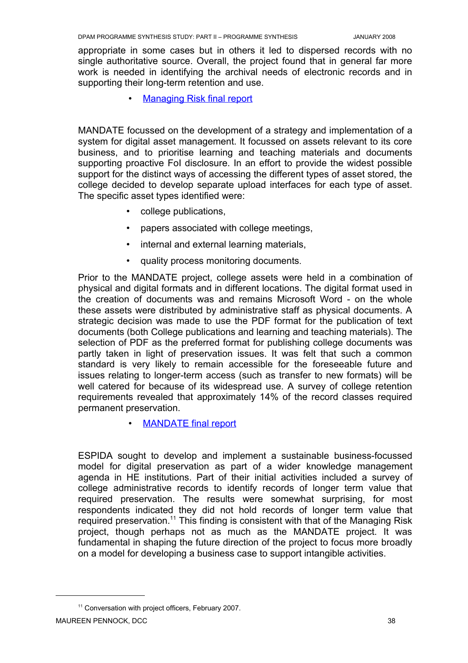appropriate in some cases but in others it led to dispersed records with no single authoritative source. Overall, the project found that in general far more work is needed in identifying the archival needs of electronic records and in supporting their long-term retention and use.

**Managing Risk final report** 

MANDATE focussed on the development of a strategy and implementation of a system for digital asset management. It focussed on assets relevant to its core business, and to prioritise learning and teaching materials and documents supporting proactive FoI disclosure. In an effort to provide the widest possible support for the distinct ways of accessing the different types of asset stored, the college decided to develop separate upload interfaces for each type of asset. The specific asset types identified were:

- college publications,
- papers associated with college meetings,
- internal and external learning materials,
- quality process monitoring documents.

Prior to the MANDATE project, college assets were held in a combination of physical and digital formats and in different locations. The digital format used in the creation of documents was and remains Microsoft Word - on the whole these assets were distributed by administrative staff as physical documents. A strategic decision was made to use the PDF format for the publication of text documents (both College publications and learning and teaching materials). The selection of PDF as the preferred format for publishing college documents was partly taken in light of preservation issues. It was felt that such a common standard is very likely to remain accessible for the foreseeable future and issues relating to longer-term access (such as transfer to new formats) will be well catered for because of its widespread use. A survey of college retention requirements revealed that approximately 14% of the record classes required permanent preservation.

**MANDATE** final report

ESPIDA sought to develop and implement a sustainable business-focussed model for digital preservation as part of a wider knowledge management agenda in HE institutions. Part of their initial activities included a survey of college administrative records to identify records of longer term value that required preservation. The results were somewhat surprising, for most respondents indicated they did not hold records of longer term value that required preservation.<sup>[11](#page-41-0)</sup> This finding is consistent with that of the Managing Risk project, though perhaps not as much as the MANDATE project. It was fundamental in shaping the future direction of the project to focus more broadly on a model for developing a business case to support intangible activities.

<span id="page-41-0"></span><sup>&</sup>lt;sup>11</sup> Conversation with project officers, February 2007.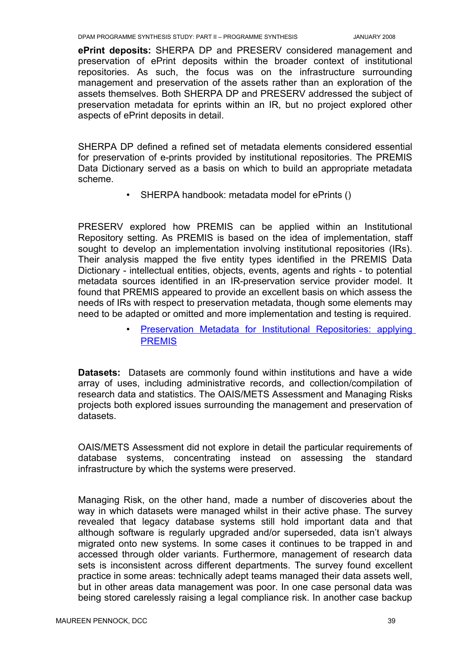**ePrint deposits:** SHERPA DP and PRESERV considered management and preservation of ePrint deposits within the broader context of institutional repositories. As such, the focus was on the infrastructure surrounding management and preservation of the assets rather than an exploration of the assets themselves. Both SHERPA DP and PRESERV addressed the subject of preservation metadata for eprints within an IR, but no project explored other aspects of ePrint deposits in detail.

SHERPA DP defined a refined set of metadata elements considered essential for preservation of e-prints provided by institutional repositories. The PREMIS Data Dictionary served as a basis on which to build an appropriate metadata scheme.

• SHERPA handbook: metadata model for ePrints ()

PRESERV explored how PREMIS can be applied within an Institutional Repository setting. As PREMIS is based on the idea of implementation, staff sought to develop an implementation involving institutional repositories (IRs). Their analysis mapped the five entity types identified in the PREMIS Data Dictionary - intellectual entities, objects, events, agents and rights - to potential metadata sources identified in an IR-preservation service provider model. It found that PREMIS appeared to provide an excellent basis on which assess the needs of IRs with respect to preservation metadata, though some elements may need to be adapted or omitted and more implementation and testing is required.

> • Preservation Metadata for Institutional [Repositories:](http://preserv.eprints.org/papers/presmeta/presmeta-paper.html) applying **[PREMIS](http://preserv.eprints.org/papers/presmeta/presmeta-paper.html)**

**Datasets:** Datasets are commonly found within institutions and have a wide array of uses, including administrative records, and collection/compilation of research data and statistics. The OAIS/METS Assessment and Managing Risks projects both explored issues surrounding the management and preservation of datasets.

OAIS/METS Assessment did not explore in detail the particular requirements of database systems, concentrating instead on assessing the standard infrastructure by which the systems were preserved.

Managing Risk, on the other hand, made a number of discoveries about the way in which datasets were managed whilst in their active phase. The survey revealed that legacy database systems still hold important data and that although software is regularly upgraded and/or superseded, data isn't always migrated onto new systems. In some cases it continues to be trapped in and accessed through older variants. Furthermore, management of research data sets is inconsistent across different departments. The survey found excellent practice in some areas: technically adept teams managed their data assets well, but in other areas data management was poor. In one case personal data was being stored carelessly raising a legal compliance risk. In another case backup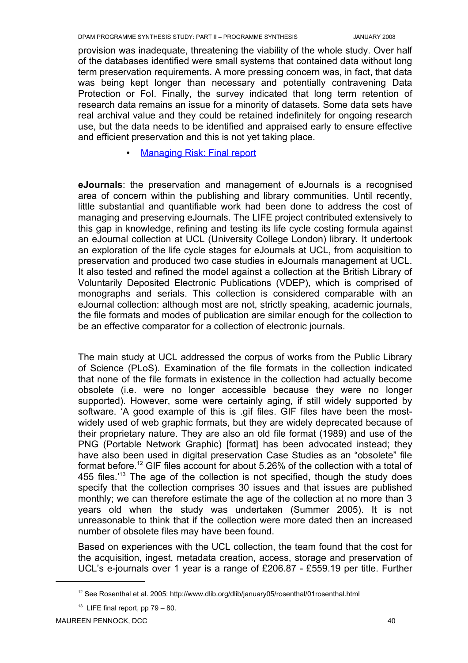provision was inadequate, threatening the viability of the whole study. Over half of the databases identified were small systems that contained data without long term preservation requirements. A more pressing concern was, in fact, that data was being kept longer than necessary and potentially contravening Data Protection or FoI. Finally, the survey indicated that long term retention of research data remains an issue for a minority of datasets. Some data sets have real archival value and they could be retained indefinitely for ongoing research use, but the data needs to be identified and appraised early to ensure effective and efficient preservation and this is not yet taking place.

• Managing Risk: Final report

**eJournals**: the preservation and management of eJournals is a recognised area of concern within the publishing and library communities. Until recently, little substantial and quantifiable work had been done to address the cost of managing and preserving eJournals. The LIFE project contributed extensively to this gap in knowledge, refining and testing its life cycle costing formula against an eJournal collection at UCL (University College London) library. It undertook an exploration of the life cycle stages for eJournals at UCL, from acquisition to preservation and produced two case studies in eJournals management at UCL. It also tested and refined the model against a collection at the British Library of Voluntarily Deposited Electronic Publications (VDEP), which is comprised of monographs and serials. This collection is considered comparable with an eJournal collection: although most are not, strictly speaking, academic journals, the file formats and modes of publication are similar enough for the collection to be an effective comparator for a collection of electronic journals.

The main study at UCL addressed the corpus of works from the Public Library of Science (PLoS). Examination of the file formats in the collection indicated that none of the file formats in existence in the collection had actually become obsolete (i.e. were no longer accessible because they were no longer supported). However, some were certainly aging, if still widely supported by software. 'A good example of this is .gif files. GIF files have been the mostwidely used of web graphic formats, but they are widely deprecated because of their proprietary nature. They are also an old file format (1989) and use of the PNG (Portable Network Graphic) [format] has been advocated instead; they have also been used in digital preservation Case Studies as an "obsolete" file format before.<sup>[12](#page-43-0)</sup> GIF files account for about 5.26% of the collection with a total of 455 files.<sup> $13$ </sup> The age of the collection is not specified, though the study does specify that the collection comprises 30 issues and that issues are published monthly; we can therefore estimate the age of the collection at no more than 3 years old when the study was undertaken (Summer 2005). It is not unreasonable to think that if the collection were more dated then an increased number of obsolete files may have been found.

Based on experiences with the UCL collection, the team found that the cost for the acquisition, ingest, metadata creation, access, storage and preservation of UCL's e-journals over 1 year is a range of £206.87 - £559.19 per title. Further

<span id="page-43-0"></span><sup>&</sup>lt;sup>12</sup> See Rosenthal et al. 2005: http://www.dlib.org/dlib/january05/rosenthal/01rosenthal.html

<span id="page-43-1"></span> $13$  LIFE final report, pp 79 - 80.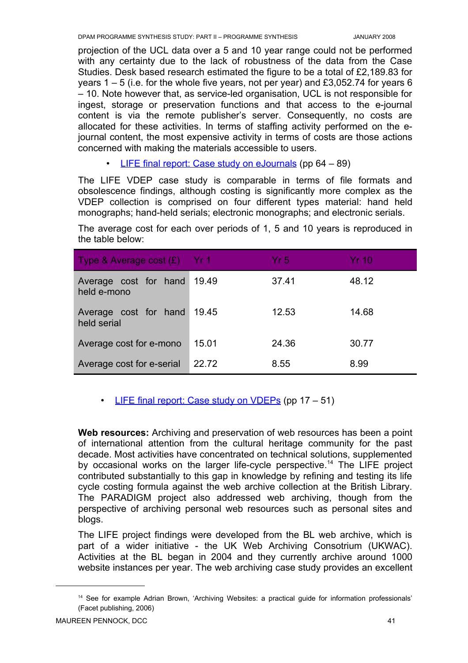projection of the UCL data over a 5 and 10 year range could not be performed with any certainty due to the lack of robustness of the data from the Case Studies. Desk based research estimated the figure to be a total of £2,189.83 for years  $1 - 5$  (i.e. for the whole five years, not per year) and £3,052.74 for years 6 – 10. Note however that, as service-led organisation, UCL is not responsible for ingest, storage or preservation functions and that access to the e-journal content is via the remote publisher's server. Consequently, no costs are allocated for these activities. In terms of staffing activity performed on the ejournal content, the most expensive activity in terms of costs are those actions concerned with making the materials accessible to users.

• LIFE final report: Case study on [eJournals](http://eprints.ucl.ac.uk/archive/00001854/) (pp 64 – 89)

The LIFE VDEP case study is comparable in terms of file formats and obsolescence findings, although costing is significantly more complex as the VDEP collection is comprised on four different types material: hand held monographs; hand-held serials; electronic monographs; and electronic serials.

The average cost for each over periods of 1, 5 and 10 years is reproduced in the table below:

| Type & Average cost $(E)$ Yr 1       |       | Yr 5. | Yr 10 |
|--------------------------------------|-------|-------|-------|
| Average cost for hand<br>held e-mono | 19.49 | 37.41 | 48.12 |
| Average cost for hand<br>held serial | 19.45 | 12.53 | 14.68 |
| Average cost for e-mono              | 15.01 | 24.36 | 30.77 |
| Average cost for e-serial            | 22.72 | 8.55  | 8.99  |

# • LIFE final report: Case study on VDEPs (pp  $17 - 51$ )

**Web resources:** Archiving and preservation of web resources has been a point of international attention from the cultural heritage community for the past decade. Most activities have concentrated on technical solutions, supplemented by occasional works on the larger life-cycle perspective.<sup>[14](#page-44-0)</sup> The LIFE project contributed substantially to this gap in knowledge by refining and testing its life cycle costing formula against the web archive collection at the British Library. The PARADIGM project also addressed web archiving, though from the perspective of archiving personal web resources such as personal sites and blogs.

The LIFE project findings were developed from the BL web archive, which is part of a wider initiative - the UK Web Archiving Consotrium (UKWAC). Activities at the BL began in 2004 and they currently archive around 1000 website instances per year. The web archiving case study provides an excellent

<span id="page-44-0"></span><sup>&</sup>lt;sup>14</sup> See for example Adrian Brown, 'Archiving Websites: a practical guide for information professionals' (Facet publishing, 2006)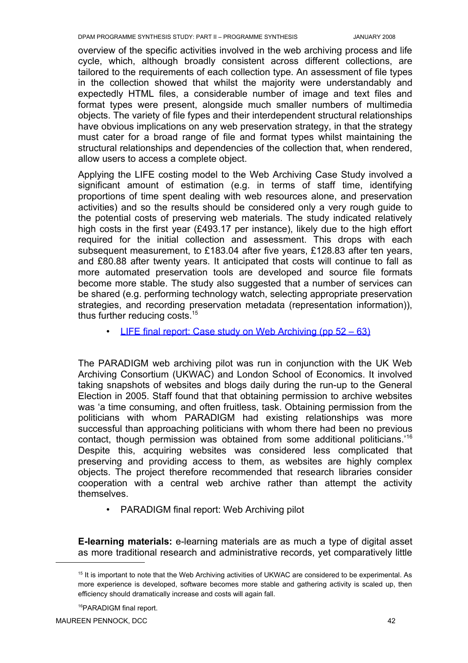overview of the specific activities involved in the web archiving process and life cycle, which, although broadly consistent across different collections, are tailored to the requirements of each collection type. An assessment of file types in the collection showed that whilst the majority were understandably and expectedly HTML files, a considerable number of image and text files and format types were present, alongside much smaller numbers of multimedia objects. The variety of file fypes and their interdependent structural relationships have obvious implications on any web preservation strategy, in that the strategy must cater for a broad range of file and format types whilst maintaining the structural relationships and dependencies of the collection that, when rendered, allow users to access a complete object.

Applying the LIFE costing model to the Web Archiving Case Study involved a significant amount of estimation (e.g. in terms of staff time, identifying proportions of time spent dealing with web resources alone, and preservation activities) and so the results should be considered only a very rough guide to the potential costs of preserving web materials. The study indicated relatively high costs in the first year (£493.17 per instance), likely due to the high effort required for the initial collection and assessment. This drops with each subsequent measurement, to £183.04 after five years, £128.83 after ten years, and £80.88 after twenty years. It anticipated that costs will continue to fall as more automated preservation tools are developed and source file formats become more stable. The study also suggested that a number of services can be shared (e.g. performing technology watch, selecting appropriate preservation strategies, and recording preservation metadata (representation information)), thus further reducing costs.<sup>[15](#page-45-0)</sup>

• LIFE final report: Case study on Web Archiving (pp 52 – 63)

The PARADIGM web archiving pilot was run in conjunction with the UK Web Archiving Consortium (UKWAC) and London School of Economics. It involved taking snapshots of websites and blogs daily during the run-up to the General Election in 2005. Staff found that that obtaining permission to archive websites was 'a time consuming, and often fruitless, task. Obtaining permission from the politicians with whom PARADIGM had existing relationships was more successful than approaching politicians with whom there had been no previous contact, though permission was obtained from some additional politicians.' [16](#page-45-1) Despite this, acquiring websites was considered less complicated that preserving and providing access to them, as websites are highly complex objects. The project therefore recommended that research libraries consider cooperation with a central web archive rather than attempt the activity themselves.

• PARADIGM final report: Web Archiving pilot

**E-learning materials:** e-learning materials are as much a type of digital asset as more traditional research and administrative records, yet comparatively little

<span id="page-45-0"></span><sup>15</sup> It is important to note that the Web Archiving activities of UKWAC are considered to be experimental. As more experience is developed, software becomes more stable and gathering activity is scaled up, then efficiency should dramatically increase and costs will again fall.

<span id="page-45-1"></span><sup>16</sup>PARADIGM final report.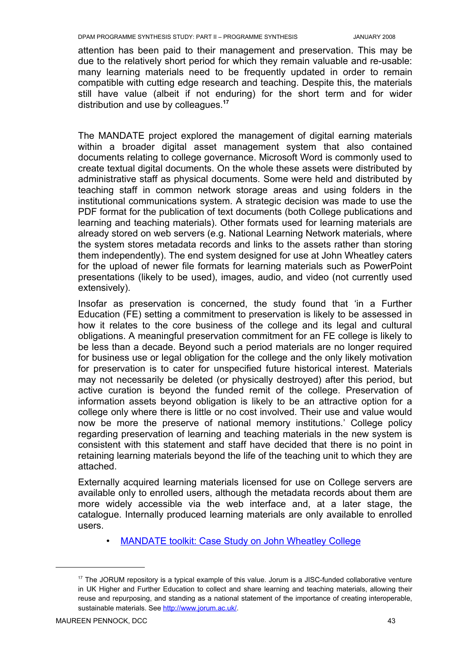attention has been paid to their management and preservation. This may be due to the relatively short period for which they remain valuable and re-usable: many learning materials need to be frequently updated in order to remain compatible with cutting edge research and teaching. Despite this, the materials still have value (albeit if not enduring) for the short term and for wider distribution and use by colleagues. **[17](#page-46-0)**

The MANDATE project explored the management of digital earning materials within a broader digital asset management system that also contained documents relating to college governance. Microsoft Word is commonly used to create textual digital documents. On the whole these assets were distributed by administrative staff as physical documents. Some were held and distributed by teaching staff in common network storage areas and using folders in the institutional communications system. A strategic decision was made to use the PDF format for the publication of text documents (both College publications and learning and teaching materials). Other formats used for learning materials are already stored on web servers (e.g. National Learning Network materials, where the system stores metadata records and links to the assets rather than storing them independently). The end system designed for use at John Wheatley caters for the upload of newer file formats for learning materials such as PowerPoint presentations (likely to be used), images, audio, and video (not currently used extensively).

Insofar as preservation is concerned, the study found that 'in a Further Education (FE) setting a commitment to preservation is likely to be assessed in how it relates to the core business of the college and its legal and cultural obligations. A meaningful preservation commitment for an FE college is likely to be less than a decade. Beyond such a period materials are no longer required for business use or legal obligation for the college and the only likely motivation for preservation is to cater for unspecified future historical interest. Materials may not necessarily be deleted (or physically destroyed) after this period, but active curation is beyond the funded remit of the college. Preservation of information assets beyond obligation is likely to be an attractive option for a college only where there is little or no cost involved. Their use and value would now be more the preserve of national memory institutions.' College policy regarding preservation of learning and teaching materials in the new system is consistent with this statement and staff have decided that there is no point in retaining learning materials beyond the life of the teaching unit to which they are attached.

Externally acquired learning materials licensed for use on College servers are available only to enrolled users, although the metadata records about them are more widely accessible via the web interface and, at a later stage, the catalogue. Internally produced learning materials are only available to enrolled users.

**MANDATE toolkit: Case Study on John Wheatley College** 

<span id="page-46-0"></span><sup>&</sup>lt;sup>17</sup> The JORUM repository is a typical example of this value. Jorum is a JISC-funded collaborative venture in UK Higher and Further Education to collect and share learning and teaching materials, allowing their reuse and repurposing, and standing as a national statement of the importance of creating interoperable, sustainable materials. See [http://www.jorum.ac.uk/.](http://www.jorum.ac.uk/)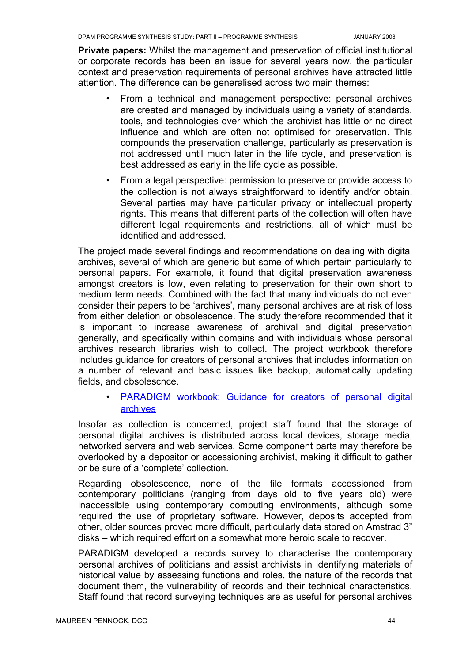**Private papers:** Whilst the management and preservation of official institutional or corporate records has been an issue for several years now, the particular context and preservation requirements of personal archives have attracted little attention. The difference can be generalised across two main themes:

- From a technical and management perspective: personal archives are created and managed by individuals using a variety of standards, tools, and technologies over which the archivist has little or no direct influence and which are often not optimised for preservation. This compounds the preservation challenge, particularly as preservation is not addressed until much later in the life cycle, and preservation is best addressed as early in the life cycle as possible.
- From a legal perspective: permission to preserve or provide access to the collection is not always straightforward to identify and/or obtain. Several parties may have particular privacy or intellectual property rights. This means that different parts of the collection will often have different legal requirements and restrictions, all of which must be identified and addressed.

The project made several findings and recommendations on dealing with digital archives, several of which are generic but some of which pertain particularly to personal papers. For example, it found that digital preservation awareness amongst creators is low, even relating to preservation for their own short to medium term needs. Combined with the fact that many individuals do not even consider their papers to be 'archives', many personal archives are at risk of loss from either deletion or obsolescence. The study therefore recommended that it is important to increase awareness of archival and digital preservation generally, and specifically within domains and with individuals whose personal archives research libraries wish to collect. The project workbook therefore includes guidance for creators of personal archives that includes information on a number of relevant and basic issues like backup, automatically updating fields, and obsolescnce.

# **PARADIGM workbook: Guidance for creators of personal digital** [archives](http://www.paradigm.ac.uk/workbook/record-creators/guidance.html)

Insofar as collection is concerned, project staff found that the storage of personal digital archives is distributed across local devices, storage media, networked servers and web services. Some component parts may therefore be overlooked by a depositor or accessioning archivist, making it difficult to gather or be sure of a 'complete' collection.

Regarding obsolescence, none of the file formats accessioned from contemporary politicians (ranging from days old to five years old) were inaccessible using contemporary computing environments, although some required the use of proprietary software. However, deposits accepted from other, older sources proved more difficult, particularly data stored on Amstrad 3" disks – which required effort on a somewhat more heroic scale to recover.

PARADIGM developed a records survey to characterise the contemporary personal archives of politicians and assist archivists in identifying materials of historical value by assessing functions and roles, the nature of the records that document them, the vulnerability of records and their technical characteristics. Staff found that record surveying techniques are as useful for personal archives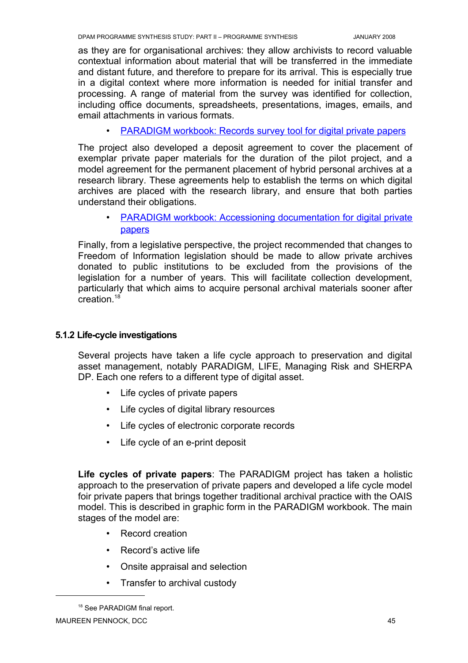as they are for organisational archives: they allow archivists to record valuable contextual information about material that will be transferred in the immediate and distant future, and therefore to prepare for its arrival. This is especially true in a digital context where more information is needed for initial transfer and processing. A range of material from the survey was identified for collection, including office documents, spreadsheets, presentations, images, emails, and email attachments in various formats.

• PARADIGM workbook: Records survey tool for digital private papers

The project also developed a deposit agreement to cover the placement of exemplar private paper materials for the duration of the pilot project, and a model agreement for the permanent placement of hybrid personal archives at a research library. These agreements help to establish the terms on which digital archives are placed with the research library, and ensure that both parties understand their obligations.

• PARADIGM workbook: Accessioning [documentation](http://www.paradigm.ac.uk/workbook/accessioning/documentation/index.html) for digital private [papers](http://www.paradigm.ac.uk/workbook/accessioning/documentation/index.html)

Finally, from a legislative perspective, the project recommended that changes to Freedom of Information legislation should be made to allow private archives donated to public institutions to be excluded from the provisions of the legislation for a number of years. This will facilitate collection development, particularly that which aims to acquire personal archival materials sooner after creation. [18](#page-48-0)

## **5.1.2 Life-cycle investigations**

Several projects have taken a life cycle approach to preservation and digital asset management, notably PARADIGM, LIFE, Managing Risk and SHERPA DP. Each one refers to a different type of digital asset.

- Life cycles of private papers
- Life cycles of digital library resources
- Life cycles of electronic corporate records
- Life cycle of an e-print deposit

**Life cycles of private papers**: The PARADIGM project has taken a holistic approach to the preservation of private papers and developed a life cycle model foir private papers that brings together traditional archival practice with the OAIS model. This is described in graphic form in the PARADIGM workbook. The main stages of the model are:

- Record creation
- Record's active life
- Onsite appraisal and selection
- Transfer to archival custody

<span id="page-48-0"></span><sup>&</sup>lt;sup>18</sup> See PARADIGM final report.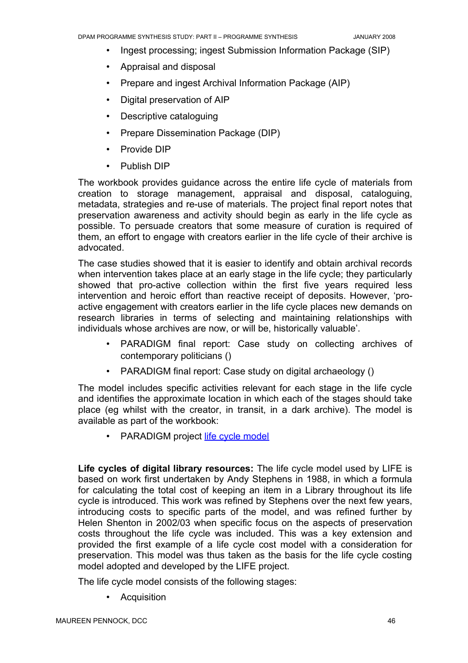- Ingest processing; ingest Submission Information Package (SIP)
- Appraisal and disposal
- Prepare and ingest Archival Information Package (AIP)
- Digital preservation of AIP
- Descriptive cataloguing
- Prepare Dissemination Package (DIP)
- Provide DIP
- Publish DIP

The workbook provides guidance across the entire life cycle of materials from creation to storage management, appraisal and disposal, cataloguing, metadata, strategies and re-use of materials. The project final report notes that preservation awareness and activity should begin as early in the life cycle as possible. To persuade creators that some measure of curation is required of them, an effort to engage with creators earlier in the life cycle of their archive is advocated.

The case studies showed that it is easier to identify and obtain archival records when intervention takes place at an early stage in the life cycle; they particularly showed that pro-active collection within the first five years required less intervention and heroic effort than reactive receipt of deposits. However, 'proactive engagement with creators earlier in the life cycle places new demands on research libraries in terms of selecting and maintaining relationships with individuals whose archives are now, or will be, historically valuable'.

- PARADIGM final report: Case study on collecting archives of contemporary politicians ()
- PARADIGM final report: Case study on digital archaeology ()

The model includes specific activities relevant for each stage in the life cycle and identifies the approximate location in which each of the stages should take place (eg whilst with the creator, in transit, in a dark archive). The model is available as part of the workbook:

• PARADIGM project life cycle [model](http://www.paradigm.ac.uk/workbook/introduction/paradigm-lifecycle.html)

**Life cycles of digital library resources:** The life cycle model used by LIFE is based on work first undertaken by Andy Stephens in 1988, in which a formula for calculating the total cost of keeping an item in a Library throughout its life cycle is introduced. This work was refined by Stephens over the next few years, introducing costs to specific parts of the model, and was refined further by Helen Shenton in 2002/03 when specific focus on the aspects of preservation costs throughout the life cycle was included. This was a key extension and provided the first example of a life cycle cost model with a consideration for preservation. This model was thus taken as the basis for the life cycle costing model adopted and developed by the LIFE project.

The life cycle model consists of the following stages:

• Acquisition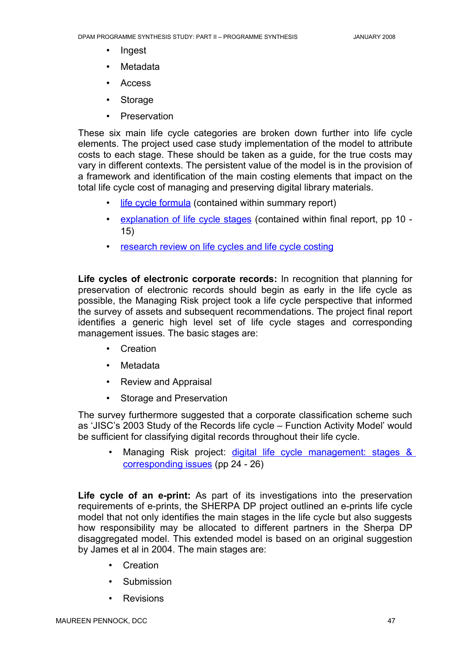- Ingest
- Metadata
- Access
- **Storage**
- **Preservation**

These six main life cycle categories are broken down further into life cycle elements. The project used case study implementation of the model to attribute costs to each stage. These should be taken as a guide, for the true costs may vary in different contexts. The persistent value of the model is in the provision of a framework and identification of the main costing elements that impact on the total life cycle cost of managing and preserving digital library materials.

- life cycle [formula](http://eprints.ucl.ac.uk/archive/00001855/) (contained within summary report)
- explanation of life cycle stages (contained within final report, pp 10 -15)
- research review on life [cycles and](http://eprints.ucl.ac.uk/archive/00001856/) life cycle costing

**Life cycles of electronic corporate records:** In recognition that planning for preservation of electronic records should begin as early in the life cycle as possible, the Managing Risk project took a life cycle perspective that informed the survey of assets and subsequent recommendations. The project final report identifies a generic high level set of life cycle stages and corresponding management issues. The basic stages are:

- Creation
- Metadata
- Review and Appraisal
- Storage and Preservation

The survey furthermore suggested that a corporate classification scheme such as 'JISC's 2003 Study of the Records life cycle – Function Activity Model' would be sufficient for classifying digital records throughout their life cycle.

Managing Risk project: digital life cycle [management:](http://www.jisc.ac.uk/whatwedo/programmes/programme_preservation/programme_404/project_managingrisk.aspx) stages & [corresponding](http://www.jisc.ac.uk/whatwedo/programmes/programme_preservation/programme_404/project_managingrisk.aspx) issues (pp 24 - 26)

**Life cycle of an e-print:** As part of its investigations into the preservation requirements of e-prints, the SHERPA DP project outlined an e-prints life cycle model that not only identifies the main stages in the life cycle but also suggests how responsibility may be allocated to different partners in the Sherpa DP disaggregated model. This extended model is based on an original suggestion by James et al in 2004. The main stages are:

- Creation
- Submission
- Revisions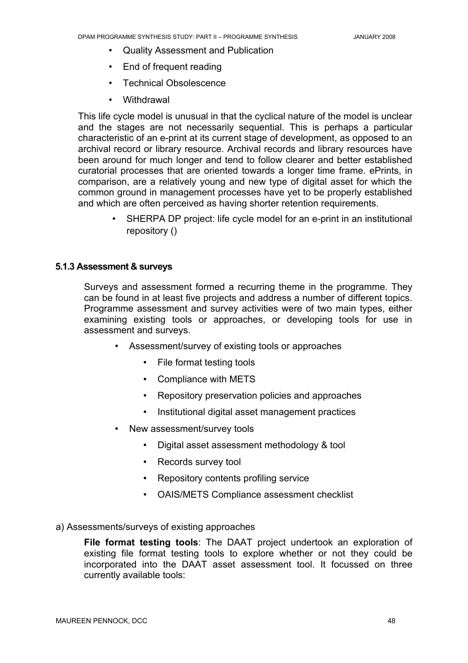- Quality Assessment and Publication
- End of frequent reading
- Technical Obsolescence
- **Withdrawal**

This life cycle model is unusual in that the cyclical nature of the model is unclear and the stages are not necessarily sequential. This is perhaps a particular characteristic of an e-print at its current stage of development, as opposed to an archival record or library resource. Archival records and library resources have been around for much longer and tend to follow clearer and better established curatorial processes that are oriented towards a longer time frame. ePrints, in comparison, are a relatively young and new type of digital asset for which the common ground in management processes have yet to be properly established and which are often perceived as having shorter retention requirements.

> • SHERPA DP project: life cycle model for an e-print in an institutional repository ()

#### **5.1.3 Assessment & surveys**

Surveys and assessment formed a recurring theme in the programme. They can be found in at least five projects and address a number of different topics. Programme assessment and survey activities were of two main types, either examining existing tools or approaches, or developing tools for use in assessment and surveys.

- Assessment/survey of existing tools or approaches
	- File format testing tools
	- Compliance with METS
	- Repository preservation policies and approaches
	- Institutional digital asset management practices
- New assessment/survey tools
	- Digital asset assessment methodology & tool
	- Records survey tool
	- Repository contents profiling service
	- OAIS/METS Compliance assessment checklist
- a) Assessments/surveys of existing approaches

**File format testing tools**: The DAAT project undertook an exploration of existing file format testing tools to explore whether or not they could be incorporated into the DAAT asset assessment tool. It focussed on three currently available tools: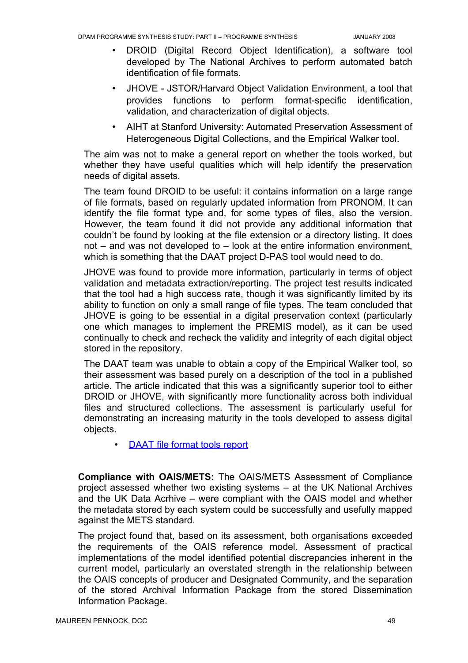- DROID (Digital Record Object Identification), a software tool developed by The National Archives to perform automated batch identification of file formats.
- JHOVE JSTOR/Harvard Object Validation Environment, a tool that provides functions to perform format-specific identification, validation, and characterization of digital objects.
- AIHT at Stanford University: Automated Preservation Assessment of Heterogeneous Digital Collections, and the Empirical Walker tool.

The aim was not to make a general report on whether the tools worked, but whether they have useful qualities which will help identify the preservation needs of digital assets.

The team found DROID to be useful: it contains information on a large range of file formats, based on regularly updated information from PRONOM. It can identify the file format type and, for some types of files, also the version. However, the team found it did not provide any additional information that couldn't be found by looking at the file extension or a directory listing. It does not – and was not developed to – look at the entire information environment, which is something that the DAAT project D-PAS tool would need to do.

JHOVE was found to provide more information, particularly in terms of object validation and metadata extraction/reporting. The project test results indicated that the tool had a high success rate, though it was significantly limited by its ability to function on only a small range of file types. The team concluded that JHOVE is going to be essential in a digital preservation context (particularly one which manages to implement the PREMIS model), as it can be used continually to check and recheck the validity and integrity of each digital object stored in the repository.

The DAAT team was unable to obtain a copy of the Empirical Walker tool, so their assessment was based purely on a description of the tool in a published article. The article indicated that this was a significantly superior tool to either DROID or JHOVE, with significantly more functionality across both individual files and structured collections. The assessment is particularly useful for demonstrating an increasing maturity in the tools developed to assess digital objects.

# • DAAT file format [tools report](http://www.ulcc.ac.uk/daat/project-deliverables.html)

**Compliance with OAIS/METS:** The OAIS/METS Assessment of Compliance project assessed whether two existing systems – at the UK National Archives and the UK Data Acrhive – were compliant with the OAIS model and whether the metadata stored by each system could be successfully and usefully mapped against the METS standard.

The project found that, based on its assessment, both organisations exceeded the requirements of the OAIS reference model. Assessment of practical implementations of the model identified potential discrepancies inherent in the current model, particularly an overstated strength in the relationship between the OAIS concepts of producer and Designated Community, and the separation of the stored Archival Information Package from the stored Dissemination Information Package.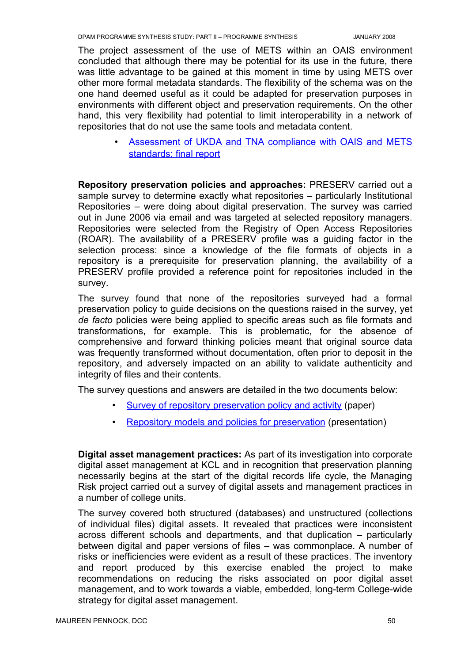The project assessment of the use of METS within an OAIS environment concluded that although there may be potential for its use in the future, there was little advantage to be gained at this moment in time by using METS over other more formal metadata standards. The flexibility of the schema was on the one hand deemed useful as it could be adapted for preservation purposes in environments with different object and preservation requirements. On the other hand, this very flexibility had potential to limit interoperability in a network of repositories that do not use the same tools and metadata content.

> Assessment of UKDA and TNA compliance with OAIS and METS [standards:](http://www.jisc.ac.uk/uploaded_documents/oaismets.pdf) final report

**Repository preservation policies and approaches:** PRESERV carried out a sample survey to determine exactly what repositories – particularly Institutional Repositories – were doing about digital preservation. The survey was carried out in June 2006 via email and was targeted at selected repository managers. Repositories were selected from the Registry of Open Access Repositories (ROAR). The availability of a PRESERV profile was a guiding factor in the selection process: since a knowledge of the file formats of objects in a repository is a prerequisite for preservation planning, the availability of a PRESERV profile provided a reference point for repositories included in the survey.

The survey found that none of the repositories surveyed had a formal preservation policy to guide decisions on the questions raised in the survey, yet *de facto* policies were being applied to specific areas such as file formats and transformations, for example. This is problematic, for the absence of comprehensive and forward thinking policies meant that original source data was frequently transformed without documentation, often prior to deposit in the repository, and adversely impacted on an ability to validate authenticity and integrity of files and their contents.

The survey questions and answers are detailed in the two documents below:

- Survey of [repository preservation](http://preserv.eprints.org/papers/survey/survey-results.html) policy and activity (paper)
- Repository models and [policies for preservation](http://www.dpconline.org/docs/events/06briefdigrephitchcock.pdf) (presentation)

**Digital asset management practices:** As part of its investigation into corporate digital asset management at KCL and in recognition that preservation planning necessarily begins at the start of the digital records life cycle, the Managing Risk project carried out a survey of digital assets and management practices in a number of college units.

The survey covered both structured (databases) and unstructured (collections of individual files) digital assets. It revealed that practices were inconsistent across different schools and departments, and that duplication – particularly between digital and paper versions of files – was commonplace. A number of risks or inefficiencies were evident as a result of these practices. The inventory and report produced by this exercise enabled the project to make recommendations on reducing the risks associated on poor digital asset management, and to work towards a viable, embedded, long-term College-wide strategy for digital asset management.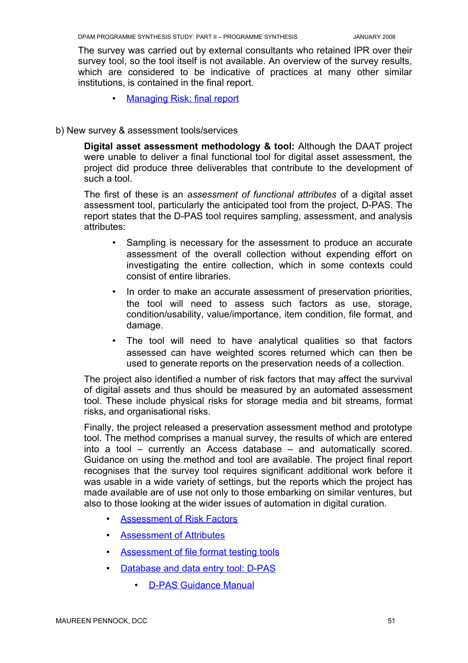The survey was carried out by external consultants who retained IPR over their survey tool, so the tool itself is not available. An overview of the survey results, which are considered to be indicative of practices at many other similar institutions, is contained in the final report.

• Managing Risk: final report

#### b) New survey & assessment tools/services

**Digital asset assessment methodology & tool:** Although the DAAT project were unable to deliver a final functional tool for digital asset assessment, the project did produce three deliverables that contribute to the development of such a tool.

The first of these is an *assessment of functional attributes* of a digital asset assessment tool, particularly the anticipated tool from the project, D-PAS. The report states that the D-PAS tool requires sampling, assessment, and analysis attributes:

- Sampling is necessary for the assessment to produce an accurate assessment of the overall collection without expending effort on investigating the entire collection, which in some contexts could consist of entire libraries.
- In order to make an accurate assessment of preservation priorities, the tool will need to assess such factors as use, storage, condition/usability, value/importance, item condition, file format, and damage.
- The tool will need to have analytical qualities so that factors assessed can have weighted scores returned which can then be used to generate reports on the preservation needs of a collection.

The project also identified a number of risk factors that may affect the survival of digital assets and thus should be measured by an automated assessment tool. These include physical risks for storage media and bit streams, format risks, and organisational risks.

Finally, the project released a preservation assessment method and prototype tool. The method comprises a manual survey, the results of which are entered into a tool – currently an Access database – and automatically scored. Guidance on using the method and tool are available. The project final report recognises that the survey tool requires significant additional work before it was usable in a wide variety of settings, but the reports which the project has made available are of use not only to those embarking on similar ventures, but also to those looking at the wider issues of automation in digital curation.

- **Assessment of [Risk Factors](http://www.ulcc.ac.uk/daat/project-deliverables.html)**
- Assessment of Attributes
- Assessment of file format testing tools
- Database and data [entry tool:](http://www.ulcc.ac.uk/daat/project-deliverables.html) D-PAS
	- D-PAS Guidance Manual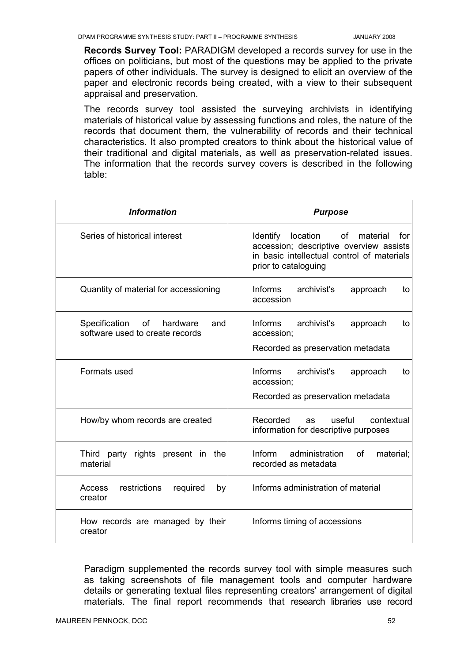**Records Survey Tool:** PARADIGM developed a records survey for use in the offices on politicians, but most of the questions may be applied to the private papers of other individuals. The survey is designed to elicit an overview of the paper and electronic records being created, with a view to their subsequent appraisal and preservation.

The records survey tool assisted the surveying archivists in identifying materials of historical value by assessing functions and roles, the nature of the records that document them, the vulnerability of records and their technical characteristics. It also prompted creators to think about the historical value of their traditional and digital materials, as well as preservation-related issues. The information that the records survey covers is described in the following table:

| <b>Information</b>                                                  | <b>Purpose</b>                                                                                                                                              |  |
|---------------------------------------------------------------------|-------------------------------------------------------------------------------------------------------------------------------------------------------------|--|
| Series of historical interest                                       | Identify location<br>of<br>material<br>for<br>accession; descriptive overview assists<br>in basic intellectual control of materials<br>prior to cataloguing |  |
| Quantity of material for accessioning                               | Informs<br>archivist's<br>approach<br>to<br>accession                                                                                                       |  |
| Specification of hardware<br>and<br>software used to create records | Informs<br>archivist's<br>approach<br>to<br>accession;<br>Recorded as preservation metadata                                                                 |  |
| Formats used                                                        | Informs<br>archivist's<br>approach<br>to<br>accession;<br>Recorded as preservation metadata                                                                 |  |
| How/by whom records are created                                     | Recorded<br>useful<br>contextual<br>as<br>information for descriptive purposes                                                                              |  |
| Third party rights present in the<br>material                       | Inform<br>administration<br>of<br>material;<br>recorded as metadata                                                                                         |  |
| Access<br>restrictions<br>required<br>by<br>creator                 | Informs administration of material                                                                                                                          |  |
| How records are managed by their<br>creator                         | Informs timing of accessions                                                                                                                                |  |

Paradigm supplemented the records survey tool with simple measures such as taking screenshots of file management tools and computer hardware details or generating textual files representing creators' arrangement of digital materials. The final report recommends that research libraries use record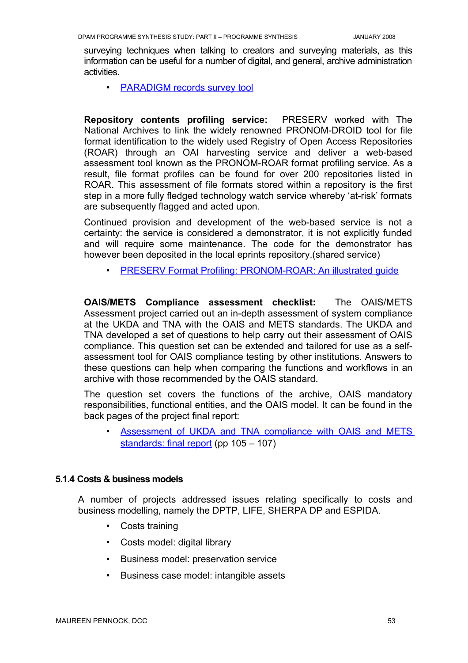surveying techniques when talking to creators and surveying materials, as this information can be useful for a number of digital, and general, archive administration activities.

• PARADIGM records survey tool

**Repository contents profiling service:** PRESERV worked with The National Archives to link the widely renowned PRONOM-DROID tool for file format identification to the widely used Registry of Open Access Repositories (ROAR) through an OAI harvesting service and deliver a web-based assessment tool known as the PRONOM-ROAR format profiling service. As a result, file format profiles can be found for over 200 repositories listed in ROAR. This assessment of file formats stored within a repository is the first step in a more fully fledged technology watch service whereby 'at-risk' formats are subsequently flagged and acted upon.

Continued provision and development of the web-based service is not a certainty: the service is considered a demonstrator, it is not explicitly funded and will require some maintenance. The code for the demonstrator has however been deposited in the local eprints repository.(shared service)

• PRESERV Format Profiling: PRONOM-ROAR: An illustrated quide

**OAIS/METS Compliance assessment checklist:** The OAIS/METS Assessment project carried out an in-depth assessment of system compliance at the UKDA and TNA with the OAIS and METS standards. The UKDA and TNA developed a set of questions to help carry out their assessment of OAIS compliance. This question set can be extended and tailored for use as a selfassessment tool for OAIS compliance testing by other institutions. Answers to these questions can help when comparing the functions and workflows in an archive with those recommended by the OAIS standard.

The question set covers the functions of the archive, OAIS mandatory responsibilities, functional entities, and the OAIS model. It can be found in the back pages of the project final report:

Assessment of UKDA and TNA compliance with OAIS and METS [standards:](http://www.jisc.ac.uk/uploaded_documents/oaismets.pdf) final report (pp 105 – 107)

## **5.1.4 Costs & business models**

A number of projects addressed issues relating specifically to costs and business modelling, namely the DPTP, LIFE, SHERPA DP and ESPIDA.

- Costs training
- Costs model: digital library
- Business model: preservation service
- Business case model: intangible assets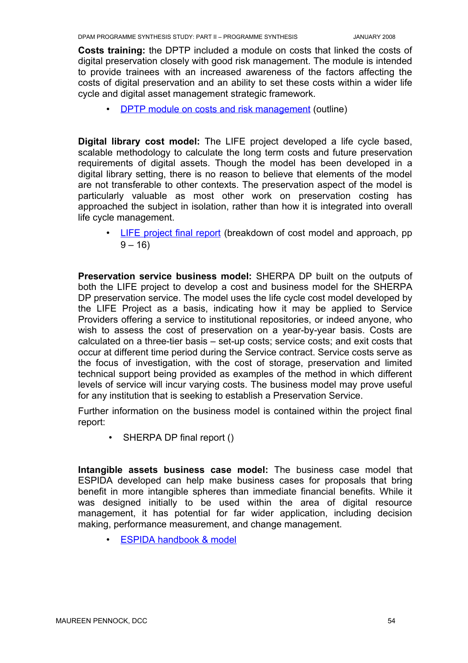**Costs training:** the DPTP included a module on costs that linked the costs of digital preservation closely with good risk management. The module is intended to provide trainees with an increased awareness of the factors affecting the costs of digital preservation and an ability to set these costs within a wider life cycle and digital asset management strategic framework.

• DPTP module on costs and [risk management](http://www.ulcc.ac.uk/dptp/modules/costs-and-risks-management.html) (outline)

**Digital library cost model:** The LIFE project developed a life cycle based, scalable methodology to calculate the long term costs and future preservation requirements of digital assets. Though the model has been developed in a digital library setting, there is no reason to believe that elements of the model are not transferable to other contexts. The preservation aspect of the model is particularly valuable as most other work on preservation costing has approached the subject in isolation, rather than how it is integrated into overall life cycle management.

• LIFE [project](http://eprints.ucl.ac.uk/archive/00001854/) final report (breakdown of cost model and approach, pp  $9 - 16$ 

**Preservation service business model:** SHERPA DP built on the outputs of both the LIFE project to develop a cost and business model for the SHERPA DP preservation service. The model uses the life cycle cost model developed by the LIFE Project as a basis, indicating how it may be applied to Service Providers offering a service to institutional repositories, or indeed anyone, who wish to assess the cost of preservation on a year-by-year basis. Costs are calculated on a three-tier basis – set-up costs; service costs; and exit costs that occur at different time period during the Service contract. Service costs serve as the focus of investigation, with the cost of storage, preservation and limited technical support being provided as examples of the method in which different levels of service will incur varying costs. The business model may prove useful for any institution that is seeking to establish a Preservation Service.

Further information on the business model is contained within the project final report:

• SHERPA DP final report ()

**Intangible assets business case model:** The business case model that ESPIDA developed can help make business cases for proposals that bring benefit in more intangible spheres than immediate financial benefits. While it was designed initially to be used within the area of digital resource management, it has potential for far wider application, including decision making, performance measurement, and change management.

• ESPIDA handbook & model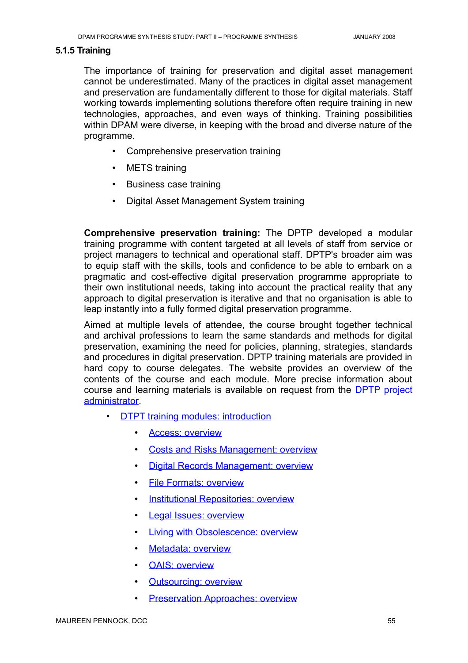#### **5.1.5 Training**

The importance of training for preservation and digital asset management cannot be underestimated. Many of the practices in digital asset management and preservation are fundamentally different to those for digital materials. Staff working towards implementing solutions therefore often require training in new technologies, approaches, and even ways of thinking. Training possibilities within DPAM were diverse, in keeping with the broad and diverse nature of the programme.

- Comprehensive preservation training
- METS training
- Business case training
- Digital Asset Management System training

**Comprehensive preservation training:** The DPTP developed a modular training programme with content targeted at all levels of staff from service or project managers to technical and operational staff. DPTP's broader aim was to equip staff with the skills, tools and confidence to be able to embark on a pragmatic and cost-effective digital preservation programme appropriate to their own institutional needs, taking into account the practical reality that any approach to digital preservation is iterative and that no organisation is able to leap instantly into a fully formed digital preservation programme.

Aimed at multiple levels of attendee, the course brought together technical and archival professions to learn the same standards and methods for digital preservation, examining the need for policies, planning, strategies, standards and procedures in digital preservation. DPTP training materials are provided in hard copy to course delegates. The website provides an overview of the contents of the course and each module. More precise information about course and learning materials is available on request from the **DPTP** [project](mailto:dptp-admin@ulcc.ac.uk) [administrator](mailto:dptp-admin@ulcc.ac.uk).

- **DTPT training modules: [introduction](http://www.ulcc.ac.uk/dptp/modules.html)** 
	- Access: [overview](http://www.ulcc.ac.uk/dptp/modules/access.html)
	- Costs and [Risks Management:](http://www.ulcc.ac.uk/dptp/modules/costs-and-risks-management.html) overview
	- Digital [Records Management:](http://www.ulcc.ac.uk/dptp/modules/digital-records-management.html) overview
	- File Formats: [overview](http://www.ulcc.ac.uk/dptp/modules/file-formats.html)
	- Institutional [Repositories:](http://www.ulcc.ac.uk/dptp/modules/institutional-repositories.html) overview
	- Legal Issues: [overview](http://www.ulcc.ac.uk/dptp/modules/legal-issues.html)
	- **Living with [Obsolescence:](http://www.ulcc.ac.uk/dptp/modules/living-with-obsolescence.html) overview**
	- Metadata: overview
	- OAIS: [overview](http://www.ulcc.ac.uk/dptp/modules/oais.html)
	- Outsourcing: overview
	- Preservation Approaches: overview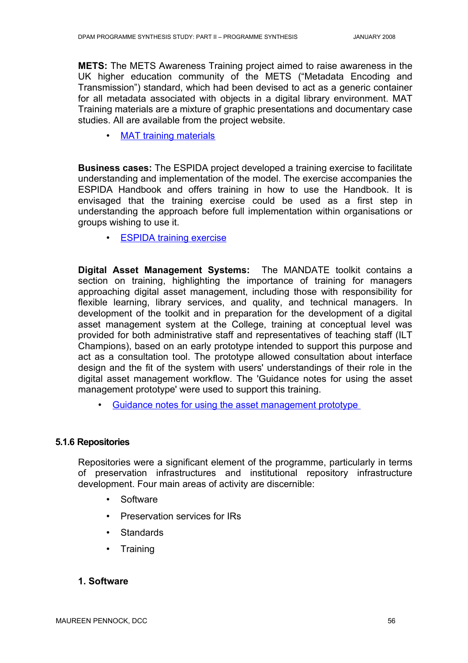**METS:** The METS Awareness Training project aimed to raise awareness in the UK higher education community of the METS ("Metadata Encoding and Transmission") standard, which had been devised to act as a generic container for all metadata associated with objects in a digital library environment. MAT Training materials are a mixture of graphic presentations and documentary case studies. All are available from the project website.

• [MAT training](http://www.odl.ox.ac.uk/projects/projects_mets.htm) materials

**Business cases:** The ESPIDA project developed a training exercise to facilitate understanding and implementation of the model. The exercise accompanies the ESPIDA Handbook and offers training in how to use the Handbook. It is envisaged that the training exercise could be used as a first step in understanding the approach before full implementation within organisations or groups wishing to use it.

• ESPIDA training exercise

**Digital Asset Management Systems:** The MANDATE toolkit contains a section on training, highlighting the importance of training for managers approaching digital asset management, including those with responsibility for flexible learning, library services, and quality, and technical managers. In development of the toolkit and in preparation for the development of a digital asset management system at the College, training at conceptual level was provided for both administrative staff and representatives of teaching staff (ILT Champions), based on an early prototype intended to support this purpose and act as a consultation tool. The prototype allowed consultation about interface design and the fit of the system with users' understandings of their role in the digital asset management workflow. The 'Guidance notes for using the asset management prototype' were used to support this training.

Guidance [notes for using](http://www.jwheatley.ac.uk/mandate/Toolkit/docs/GuidanceNotesForUsingTheAssetManagementPrototype.pdf) the asset management prototype

#### **5.1.6 Repositories**

Repositories were a significant element of the programme, particularly in terms of preservation infrastructures and institutional repository infrastructure development. Four main areas of activity are discernible:

- **Software**
- Preservation services for IRs
- Standards
- Training

#### **1. Software**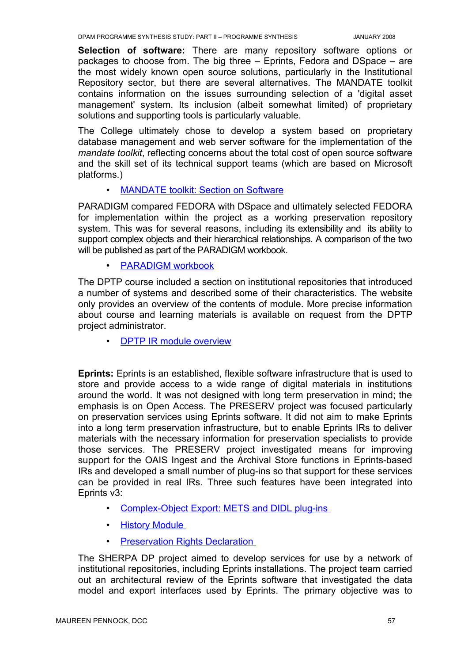**Selection of software:** There are many repository software options or packages to choose from. The big three – Eprints, Fedora and DSpace – are the most widely known open source solutions, particularly in the Institutional Repository sector, but there are several alternatives. The MANDATE toolkit contains information on the issues surrounding selection of a 'digital asset management' system. Its inclusion (albeit somewhat limited) of proprietary solutions and supporting tools is particularly valuable.

The College ultimately chose to develop a system based on proprietary database management and web server software for the implementation of the *mandate toolkit*, reflecting concerns about the total cost of open source software and the skill set of its technical support teams (which are based on Microsoft platforms.)

## • MANDATE toolkit: Section on Software

PARADIGM compared FEDORA with DSpace and ultimately selected FEDORA for implementation within the project as a working preservation repository system. This was for several reasons, including its extensibility and its ability to support complex objects and their hierarchical relationships. A comparison of the two will be published as part of the PARADIGM workbook.

• PARADIGM workbook

The DPTP course included a section on institutional repositories that introduced a number of systems and described some of their characteristics. The website only provides an overview of the contents of module. More precise information about course and learning materials is available on request from the DPTP project administrator.

• DPTP IR module [overview](http://www.ulcc.ac.uk/dptp/modules/institutional-repositories.html)

**Eprints:** Eprints is an established, flexible software infrastructure that is used to store and provide access to a wide range of digital materials in institutions around the world. It was not designed with long term preservation in mind; the emphasis is on Open Access. The PRESERV project was focused particularly on preservation services using Eprints software. It did not aim to make Eprints into a long term preservation infrastructure, but to enable Eprints IRs to deliver materials with the necessary information for preservation specialists to provide those services. The PRESERV project investigated means for improving support for the OAIS Ingest and the Archival Store functions in Eprints-based IRs and developed a small number of plug-ins so that support for these services can be provided in real IRs. Three such features have been integrated into Eprints v3:

- Complex-Object Export: METS and DIDL plug-ins
- History Module
- Preservation [Rights Declaration](http://wiki.eprints.org/w/Preservation_Support#Preservation_Rights_Declaration)

The SHERPA DP project aimed to develop services for use by a network of institutional repositories, including Eprints installations. The project team carried out an architectural review of the Eprints software that investigated the data model and export interfaces used by Eprints. The primary objective was to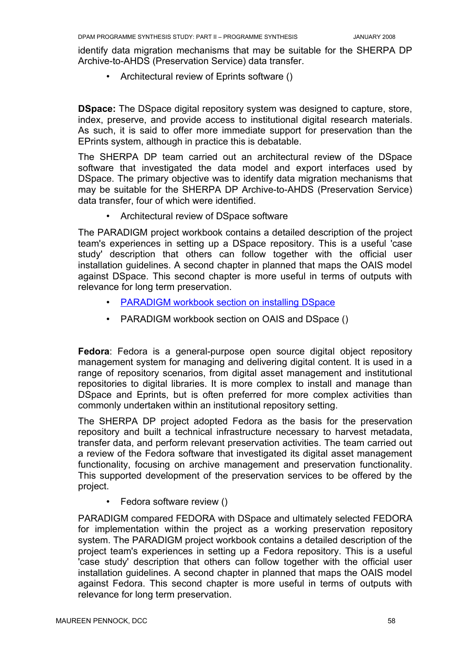identify data migration mechanisms that may be suitable for the SHERPA DP Archive-to-AHDS (Preservation Service) data transfer.

• Architectural review of Eprints software ()

**DSpace:** The DSpace digital repository system was designed to capture, store, index, preserve, and provide access to institutional digital research materials. As such, it is said to offer more immediate support for preservation than the EPrints system, although in practice this is debatable.

The SHERPA DP team carried out an architectural review of the DSpace software that investigated the data model and export interfaces used by DSpace. The primary objective was to identify data migration mechanisms that may be suitable for the SHERPA DP Archive-to-AHDS (Preservation Service) data transfer, four of which were identified.

• Architectural review of DSpace software

The PARADIGM project workbook contains a detailed description of the project team's experiences in setting up a DSpace repository. This is a useful 'case study' description that others can follow together with the official user installation guidelines. A second chapter in planned that maps the OAIS model against DSpace. This second chapter is more useful in terms of outputs with relevance for long term preservation.

- PARADIGM workbook section on installing DSpace
- PARADIGM workbook section on OAIS and DSpace ()

**Fedora**: Fedora is a general-purpose open source digital object repository management system for managing and delivering digital content. It is used in a range of repository scenarios, from digital asset management and institutional repositories to digital libraries. It is more complex to install and manage than DSpace and Eprints, but is often preferred for more complex activities than commonly undertaken within an institutional repository setting.

The SHERPA DP project adopted Fedora as the basis for the preservation repository and built a technical infrastructure necessary to harvest metadata, transfer data, and perform relevant preservation activities. The team carried out a review of the Fedora software that investigated its digital asset management functionality, focusing on archive management and preservation functionality. This supported development of the preservation services to be offered by the project.

• Fedora software review ()

PARADIGM compared FEDORA with DSpace and ultimately selected FEDORA for implementation within the project as a working preservation repository system. The PARADIGM project workbook contains a detailed description of the project team's experiences in setting up a Fedora repository. This is a useful 'case study' description that others can follow together with the official user installation guidelines. A second chapter in planned that maps the OAIS model against Fedora. This second chapter is more useful in terms of outputs with relevance for long term preservation.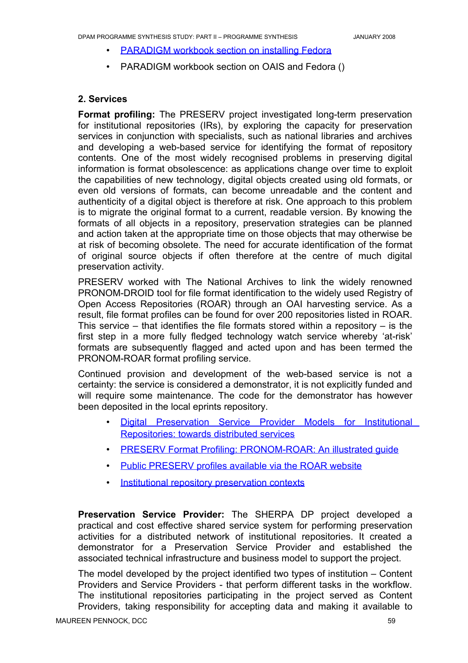- PARADIGM workbook section on installing Fedora
- PARADIGM workbook section on OAIS and Fedora ()

# **2. Services**

**Format profiling:** The PRESERV project investigated long-term preservation for institutional repositories (IRs), by exploring the capacity for preservation services in conjunction with specialists, such as national libraries and archives and developing a web-based service for identifying the format of repository contents. One of the most widely recognised problems in preserving digital information is format obsolescence: as applications change over time to exploit the capabilities of new technology, digital objects created using old formats, or even old versions of formats, can become unreadable and the content and authenticity of a digital object is therefore at risk. One approach to this problem is to migrate the original format to a current, readable version. By knowing the formats of all objects in a repository, preservation strategies can be planned and action taken at the appropriate time on those objects that may otherwise be at risk of becoming obsolete. The need for accurate identification of the format of original source objects if often therefore at the centre of much digital preservation activity.

PRESERV worked with The National Archives to link the widely renowned PRONOM-DROID tool for file format identification to the widely used Registry of Open Access Repositories (ROAR) through an OAI harvesting service. As a result, file format profiles can be found for over 200 repositories listed in ROAR. This service – that identifies the file formats stored within a repository – is the first step in a more fully fledged technology watch service whereby 'at-risk' formats are subsequently flagged and acted upon and has been termed the PRONOM-ROAR format profiling service.

Continued provision and development of the web-based service is not a certainty: the service is considered a demonstrator, it is not explicitly funded and will require some maintenance. The code for the demonstrator has however been deposited in the local eprints repository.

- Digital [Preservation](http://preserv.eprints.org/papers/models/models-paper.html) Service Provider Models for Institutional Repositories: [towards distributed](http://preserv.eprints.org/papers/models/models-paper.html) services
- PRESERV Format Profiling: PRONOM-ROAR: An illustrated guide
- Public PRESERV profiles available via the ROAR website
- Institutional [repository preservation](http://preserv.eprints.org/contexts.shtml) contexts

**Preservation Service Provider:** The SHERPA DP project developed a practical and cost effective shared service system for performing preservation activities for a distributed network of institutional repositories. It created a demonstrator for a Preservation Service Provider and established the associated technical infrastructure and business model to support the project.

The model developed by the project identified two types of institution – Content Providers and Service Providers - that perform different tasks in the workflow. The institutional repositories participating in the project served as Content Providers, taking responsibility for accepting data and making it available to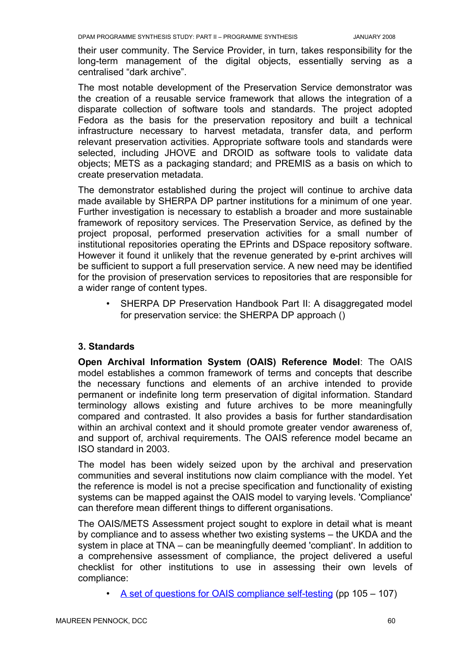their user community. The Service Provider, in turn, takes responsibility for the long-term management of the digital objects, essentially serving as a centralised "dark archive".

The most notable development of the Preservation Service demonstrator was the creation of a reusable service framework that allows the integration of a disparate collection of software tools and standards. The project adopted Fedora as the basis for the preservation repository and built a technical infrastructure necessary to harvest metadata, transfer data, and perform relevant preservation activities. Appropriate software tools and standards were selected, including JHOVE and DROID as software tools to validate data objects; METS as a packaging standard; and PREMIS as a basis on which to create preservation metadata.

The demonstrator established during the project will continue to archive data made available by SHERPA DP partner institutions for a minimum of one year. Further investigation is necessary to establish a broader and more sustainable framework of repository services. The Preservation Service, as defined by the project proposal, performed preservation activities for a small number of institutional repositories operating the EPrints and DSpace repository software. However it found it unlikely that the revenue generated by e-print archives will be sufficient to support a full preservation service. A new need may be identified for the provision of preservation services to repositories that are responsible for a wider range of content types.

• SHERPA DP Preservation Handbook Part II: A disaggregated model for preservation service: the SHERPA DP approach ()

#### **3. Standards**

**Open Archival Information System (OAIS) Reference Model**: The OAIS model establishes a common framework of terms and concepts that describe the necessary functions and elements of an archive intended to provide permanent or indefinite long term preservation of digital information. Standard terminology allows existing and future archives to be more meaningfully compared and contrasted. It also provides a basis for further standardisation within an archival context and it should promote greater vendor awareness of, and support of, archival requirements. The OAIS reference model became an ISO standard in 2003.

The model has been widely seized upon by the archival and preservation communities and several institutions now claim compliance with the model. Yet the reference is model is not a precise specification and functionality of existing systems can be mapped against the OAIS model to varying levels. 'Compliance' can therefore mean different things to different organisations.

The OAIS/METS Assessment project sought to explore in detail what is meant by compliance and to assess whether two existing systems – the UKDA and the system in place at TNA – can be meaningfully deemed 'compliant'. In addition to a comprehensive assessment of compliance, the project delivered a useful checklist for other institutions to use in assessing their own levels of compliance:

• A set of [questions for OAIS compliance](http://www.jisc.ac.uk/uploaded_documents/oaismets.pdf) self-testing (pp 105 – 107)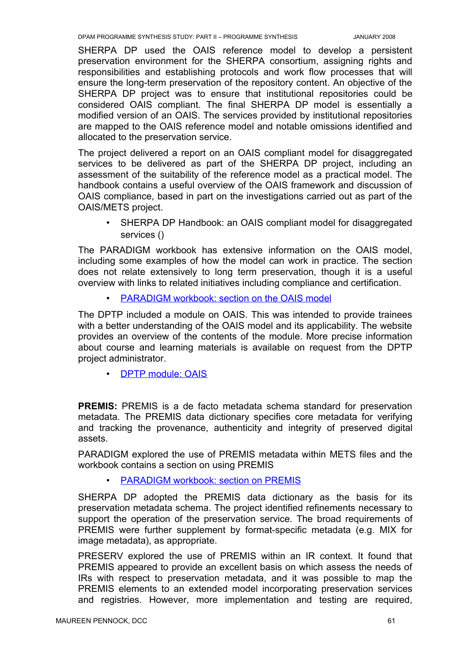SHERPA DP used the OAIS reference model to develop a persistent preservation environment for the SHERPA consortium, assigning rights and responsibilities and establishing protocols and work flow processes that will ensure the long-term preservation of the repository content. An objective of the SHERPA DP project was to ensure that institutional repositories could be considered OAIS compliant. The final SHERPA DP model is essentially a modified version of an OAIS. The services provided by institutional repositories are mapped to the OAIS reference model and notable omissions identified and allocated to the preservation service.

The project delivered a report on an OAIS compliant model for disaggregated services to be delivered as part of the SHERPA DP project, including an assessment of the suitability of the reference model as a practical model. The handbook contains a useful overview of the OAIS framework and discussion of OAIS compliance, based in part on the investigations carried out as part of the OAIS/METS project.

• SHERPA DP Handbook: an OAIS compliant model for disaggregated services ()

The PARADIGM workbook has extensive information on the OAIS model, including some examples of how the model can work in practice. The section does not relate extensively to long term preservation, though it is a useful overview with links to related initiatives including compliance and certification.

• PARADIGM workbook: section on the OAIS model

The DPTP included a module on OAIS. This was intended to provide trainees with a better understanding of the OAIS model and its applicability. The website provides an overview of the contents of the module. More precise information about course and learning materials is available on request from the DPTP project administrator.

• DPTP module: OAIS

**PREMIS:** PREMIS is a de facto metadata schema standard for preservation metadata. The PREMIS data dictionary specifies core metadata for verifying and tracking the provenance, authenticity and integrity of preserved digital assets.

PARADIGM explored the use of PREMIS metadata within METS files and the workbook contains a section on using PREMIS

PARADIGM workbook: section on PREMIS

SHERPA DP adopted the PREMIS data dictionary as the basis for its preservation metadata schema. The project identified refinements necessary to support the operation of the preservation service. The broad requirements of PREMIS were further supplement by format-specific metadata (e.g. MIX for image metadata), as appropriate.

PRESERV explored the use of PREMIS within an IR context. It found that PREMIS appeared to provide an excellent basis on which assess the needs of IRs with respect to preservation metadata, and it was possible to map the PREMIS elements to an extended model incorporating preservation services and registries. However, more implementation and testing are required,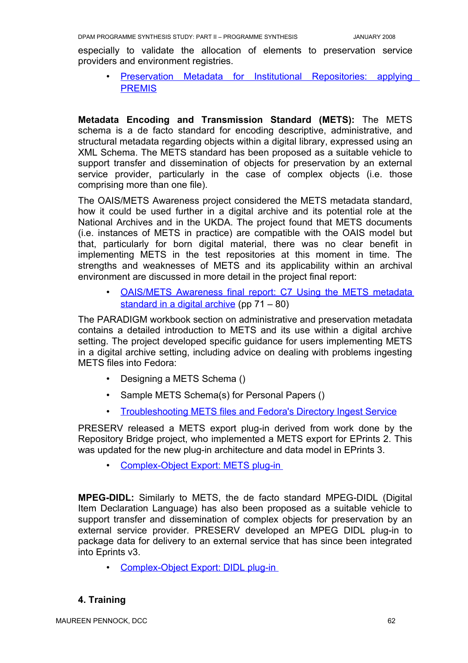especially to validate the allocation of elements to preservation service providers and environment registries.

• Preservation Metadata for Institutional [Repositories:](http://preserv.eprints.org/papers/presmeta/presmeta-paper.html) applying [PREMIS](http://preserv.eprints.org/papers/presmeta/presmeta-paper.html)

**Metadata Encoding and Transmission Standard (METS):** The METS schema is a de facto standard for encoding descriptive, administrative, and structural metadata regarding objects within a digital library, expressed using an XML Schema. The METS standard has been proposed as a suitable vehicle to support transfer and dissemination of objects for preservation by an external service provider, particularly in the case of complex objects (i.e. those comprising more than one file).

The OAIS/METS Awareness project considered the METS metadata standard, how it could be used further in a digital archive and its potential role at the National Archives and in the UKDA. The project found that METS documents (i.e. instances of METS in practice) are compatible with the OAIS model but that, particularly for born digital material, there was no clear benefit in implementing METS in the test repositories at this moment in time. The strengths and weaknesses of METS and its applicability within an archival environment are discussed in more detail in the project final report:

• [O AIS/METS](http://www.jisc.ac.uk/uploaded_documents/oaismets.pdf) Awareness final report: C7 Using the METS metadata [standard](http://www.jisc.ac.uk/uploaded_documents/oaismets.pdf) in a digital archive (pp 71 – 80)

The PARADIGM workbook section on administrative and preservation metadata contains a detailed introduction to METS and its use within a digital archive setting. The project developed specific guidance for users implementing METS in a digital archive setting, including advice on dealing with problems ingesting METS files into Fedora:

- Designing a METS Schema ()
- Sample METS Schema(s) for Personal Papers ()
- Troubleshooting METS files and [Fedora's Directory Ingest](http://www.paradigm.ac.uk/workbook/ingest/fedora-diringest.html) Service

PRESERV released a METS export plug-in derived from work done by the Repository Bridge project, who implemented a METS export for EPrints 2. This was updated for the new plug-in architecture and data model in EPrints 3.

• Complex-Object Export: METS plug-in

**MPEG-DIDL:** Similarly to METS, the de facto standard MPEG-DIDL (Digital Item Declaration Language) has also been proposed as a suitable vehicle to support transfer and dissemination of complex objects for preservation by an external service provider. PRESERV developed an MPEG DIDL plug-in to package data for delivery to an external service that has since been integrated into Eprints v3.

• Complex-Object Export: DIDL plug-in

# **4. Training**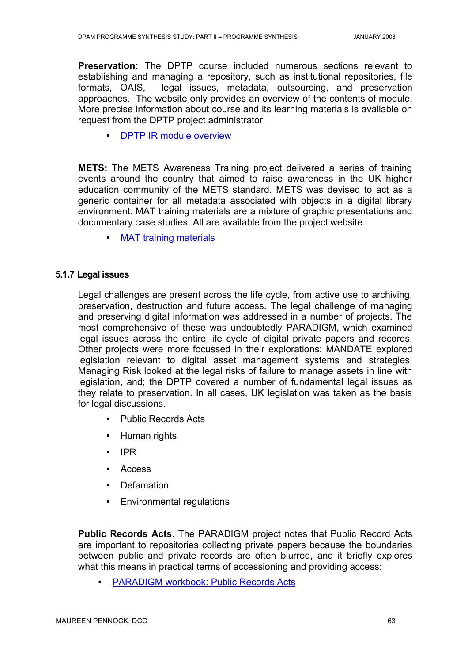**Preservation:** The DPTP course included numerous sections relevant to establishing and managing a repository, such as institutional repositories, file formats, OAIS, legal issues, metadata, outsourcing, and preservation approaches. The website only provides an overview of the contents of module. More precise information about course and its learning materials is available on request from the DPTP project administrator.

• DPTP IR module [overview](http://www.ulcc.ac.uk/dptp/modules/institutional-repositories.html)

**METS:** The METS Awareness Training project delivered a series of training events around the country that aimed to raise awareness in the UK higher education community of the METS standard. METS was devised to act as a generic container for all metadata associated with objects in a digital library environment. MAT training materials are a mixture of graphic presentations and documentary case studies. All are available from the project website.

• [MAT training](http://www.odl.ox.ac.uk/projects/projects_mets.htm) materials

#### **5.1.7 Legal issues**

Legal challenges are present across the life cycle, from active use to archiving, preservation, destruction and future access. The legal challenge of managing and preserving digital information was addressed in a number of projects. The most comprehensive of these was undoubtedly PARADIGM, which examined legal issues across the entire life cycle of digital private papers and records. Other projects were more focussed in their explorations: MANDATE explored legislation relevant to digital asset management systems and strategies; Managing Risk looked at the legal risks of failure to manage assets in line with legislation, and; the DPTP covered a number of fundamental legal issues as they relate to preservation. In all cases, UK legislation was taken as the basis for legal discussions.

- Public Records Acts
- Human rights
- IPR
- Access
- Defamation
- Environmental regulations

**Public Records Acts.** The PARADIGM project notes that Public Record Acts are important to repositories collecting private papers because the boundaries between public and private records are often blurred, and it briefly explores what this means in practical terms of accessioning and providing access:

• PARADIGM workbook: Public Records Acts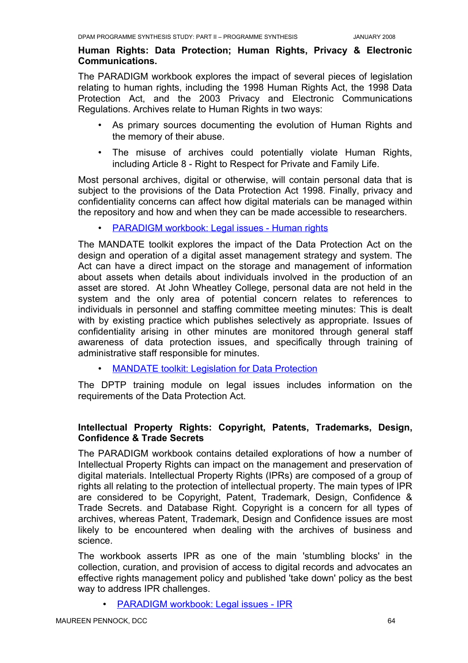## **Human Rights: Data Protection; Human Rights, Privacy & Electronic Communications.**

The PARADIGM workbook explores the impact of several pieces of legislation relating to human rights, including the 1998 Human Rights Act, the 1998 Data Protection Act, and the 2003 Privacy and Electronic Communications Regulations. Archives relate to Human Rights in two ways:

- As primary sources documenting the evolution of Human Rights and the memory of their abuse.
- The misuse of archives could potentially violate Human Rights, including Article 8 - Right to Respect for Private and Family Life.

Most personal archives, digital or otherwise, will contain personal data that is subject to the provisions of the Data Protection Act 1998. Finally, privacy and confidentiality concerns can affect how digital materials can be managed within the repository and how and when they can be made accessible to researchers.

PARADIGM workbook: Legal issues - Human rights

The MANDATE toolkit explores the impact of the Data Protection Act on the design and operation of a digital asset management strategy and system. The Act can have a direct impact on the storage and management of information about assets when details about individuals involved in the production of an asset are stored. At John Wheatley College, personal data are not held in the system and the only area of potential concern relates to references to individuals in personnel and staffing committee meeting minutes: This is dealt with by existing practice which publishes selectively as appropriate. Issues of confidentiality arising in other minutes are monitored through general staff awareness of data protection issues, and specifically through training of administrative staff responsible for minutes.

**MANDATE toolkit: Legislation for Data Protection** 

The DPTP training module on legal issues includes information on the requirements of the Data Protection Act.

# **Intellectual Property Rights: Copyright, Patents, Trademarks, Design, Confidence & Trade Secrets**

The PARADIGM workbook contains detailed explorations of how a number of Intellectual Property Rights can impact on the management and preservation of digital materials. Intellectual Property Rights (IPRs) are composed of a group of rights all relating to the protection of intellectual property. The main types of IPR are considered to be Copyright, Patent, Trademark, Design, Confidence & Trade Secrets. and Database Right. Copyright is a concern for all types of archives, whereas Patent, Trademark, Design and Confidence issues are most likely to be encountered when dealing with the archives of business and science.

The workbook asserts IPR as one of the main 'stumbling blocks' in the collection, curation, and provision of access to digital records and advocates an effective rights management policy and published 'take down' policy as the best way to address IPR challenges.

PARADIGM workbook: Legal issues - IPR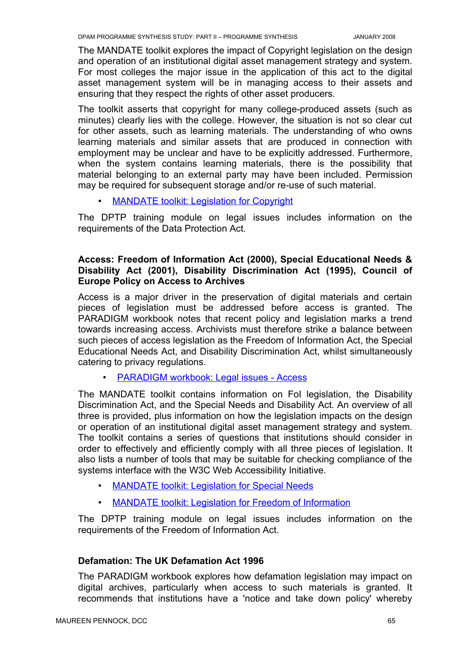The MANDATE toolkit explores the impact of Copyright legislation on the design and operation of an institutional digital asset management strategy and system. For most colleges the major issue in the application of this act to the digital asset management system will be in managing access to their assets and ensuring that they respect the rights of other asset producers.

The toolkit asserts that copyright for many college-produced assets (such as minutes) clearly lies with the college. However, the situation is not so clear cut for other assets, such as learning materials. The understanding of who owns learning materials and similar assets that are produced in connection with employment may be unclear and have to be explicitly addressed. Furthermore, when the system contains learning materials, there is the possibility that material belonging to an external party may have been included. Permission may be required for subsequent storage and/or re-use of such material.

**MANDATE toolkit: Legislation for Copyright** 

The DPTP training module on legal issues includes information on the requirements of the Data Protection Act.

# **Access: Freedom of Information Act (2000), Special Educational Needs & Disability Act (2001), Disability Discrimination Act (1995), Council of Europe Policy on Access to Archives**

Access is a major driver in the preservation of digital materials and certain pieces of legislation must be addressed before access is granted. The PARADIGM workbook notes that recent policy and legislation marks a trend towards increasing access. Archivists must therefore strike a balance between such pieces of access legislation as the Freedom of Information Act, the Special Educational Needs Act, and Disability Discrimination Act, whilst simultaneously catering to privacy regulations.

• PARADIGM workbook: Legal issues - Access

The MANDATE toolkit contains information on FoI legislation, the Disability Discrimination Act, and the Special Needs and Disability Act. An overview of all three is provided, plus information on how the legislation impacts on the design or operation of an institutional digital asset management strategy and system. The toolkit contains a series of questions that institutions should consider in order to effectively and efficiently comply with all three pieces of legislation. It also lists a number of tools that may be suitable for checking compliance of the systems interface with the W3C Web Accessibility Initiative.

- **MANDATE toolkit: Legislation for Special Needs**
- **MANDATE toolkit: Legislation for Freedom of Information**

The DPTP training module on legal issues includes information on the requirements of the Freedom of Information Act.

# **Defamation: The UK Defamation Act 1996**

The PARADIGM workbook explores how defamation legislation may impact on digital archives, particularly when access to such materials is granted. It recommends that institutions have a 'notice and take down policy' whereby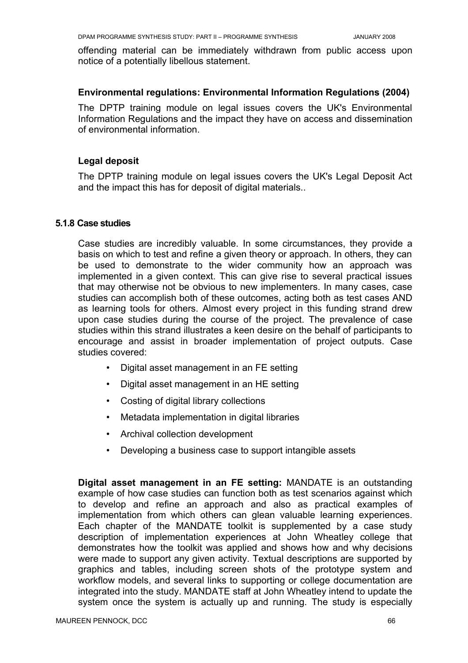offending material can be immediately withdrawn from public access upon notice of a potentially libellous statement.

## **Environmental regulations: Environmental Information Regulations (2004)**

The DPTP training module on legal issues covers the UK's Environmental Information Regulations and the impact they have on access and dissemination of environmental information.

## **Legal deposit**

The DPTP training module on legal issues covers the UK's Legal Deposit Act and the impact this has for deposit of digital materials..

#### **5.1.8 Case studies**

Case studies are incredibly valuable. In some circumstances, they provide a basis on which to test and refine a given theory or approach. In others, they can be used to demonstrate to the wider community how an approach was implemented in a given context. This can give rise to several practical issues that may otherwise not be obvious to new implementers. In many cases, case studies can accomplish both of these outcomes, acting both as test cases AND as learning tools for others. Almost every project in this funding strand drew upon case studies during the course of the project. The prevalence of case studies within this strand illustrates a keen desire on the behalf of participants to encourage and assist in broader implementation of project outputs. Case studies covered:

- Digital asset management in an FE setting
- Digital asset management in an HE setting
- Costing of digital library collections
- Metadata implementation in digital libraries
- Archival collection development
- Developing a business case to support intangible assets

**Digital asset management in an FE setting:** MANDATE is an outstanding example of how case studies can function both as test scenarios against which to develop and refine an approach and also as practical examples of implementation from which others can glean valuable learning experiences. Each chapter of the MANDATE toolkit is supplemented by a case study description of implementation experiences at John Wheatley college that demonstrates how the toolkit was applied and shows how and why decisions were made to support any given activity. Textual descriptions are supported by graphics and tables, including screen shots of the prototype system and workflow models, and several links to supporting or college documentation are integrated into the study. MANDATE staff at John Wheatley intend to update the system once the system is actually up and running. The study is especially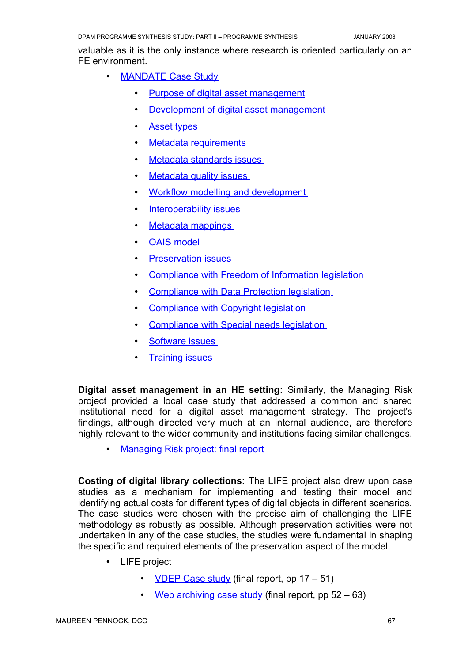valuable as it is the only instance where research is oriented particularly on an FE environment.

- MANDATE Case Study
	- Purpose of digital asset [management](http://www.jwheatley.ac.uk/mandate/Toolkit/casestudy.htm#strategypurpose)
	- Development of digital asset management
	- Asset types
	- Metadata requirements
	- Metadata standards issues
	- Metadata quality issues
	- Workflow modelling and development
	- Interoperability issues
	- Metadata mappings
	- OAIS model
	- Preservation issues
	- Compliance with Freedom of Information legislation
	- Compliance with Data Protection legislation
	- Compliance with Copyright legislation
	- Compliance with Special needs legislation
	- Software issues
	- **Training issues**

**Digital asset management in an HE setting:** Similarly, the Managing Risk project provided a local case study that addressed a common and shared institutional need for a digital asset management strategy. The project's findings, although directed very much at an internal audience, are therefore highly relevant to the wider community and institutions facing similar challenges.

• Managing [Risk project:](http://www.jisc.ac.uk/whatwedo/programmes/programme_preservation/programme_404/project_managingrisk.aspx) final report

**Costing of digital library collections:** The LIFE project also drew upon case studies as a mechanism for implementing and testing their model and identifying actual costs for different types of digital objects in different scenarios. The case studies were chosen with the precise aim of challenging the LIFE methodology as robustly as possible. Although preservation activities were not undertaken in any of the case studies, the studies were fundamental in shaping the specific and required elements of the preservation aspect of the model.

- LIFE project
	- VDEP Case study (final report, pp  $17 51$ )
	- Web [archiving](http://eprints.ucl.ac.uk/archive/00001854/01/LifeProjMaster.pdf) case study (final report, pp  $52 63$ )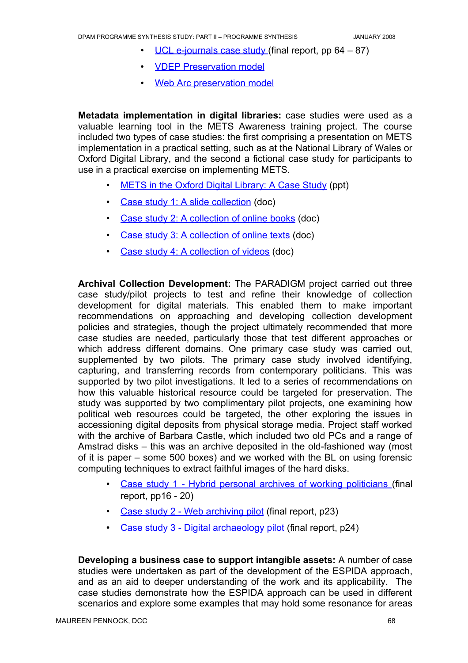- UCL [e-journals case](http://eprints.ucl.ac.uk/archive/00001854/01/LifeProjMaster.pdf) study (final report, pp  $64 87$ )
- VDEP Preservation model
- Web [Arc preservation](http://www.ucl.ac.uk/ls/lifeproject/documentation/WebArcPreserve.xls) model

**Metadata implementation in digital libraries:** case studies were used as a valuable learning tool in the METS Awareness training project. The course included two types of case studies: the first comprising a presentation on METS implementation in a practical setting, such as at the National Library of Wales or Oxford Digital Library, and the second a fictional case study for participants to use in a practical exercise on implementing METS.

- METS in the Oxford Digital Library: A Case Study (ppt)
- Case study 1: A slide [collection](http://www.odl.ox.ac.uk/projects/casestudy/casestudy1.doc) (doc)
- Case study 2: [A collection](http://www.odl.ox.ac.uk/projects/casestudy/casestudy2.doc) of online books (doc)
- Case study 3: [A collection](http://www.odl.ox.ac.uk/projects/casestudy/casestudy3.doc) of online texts (doc)
- Case study 4: [A collection](http://www.odl.ox.ac.uk/projects/casestudy/casestudy4.doc) of videos (doc)

**Archival Collection Development:** The PARADIGM project carried out three case study/pilot projects to test and refine their knowledge of collection development for digital materials. This enabled them to make important recommendations on approaching and developing collection development policies and strategies, though the project ultimately recommended that more case studies are needed, particularly those that test different approaches or which address different domains. One primary case study was carried out, supplemented by two pilots. The primary case study involved identifying, capturing, and transferring records from contemporary politicians. This was supported by two pilot investigations. It led to a series of recommendations on how this valuable historical resource could be targeted for preservation. The study was supported by two complimentary pilot projects, one examining how political web resources could be targeted, the other exploring the issues in accessioning digital deposits from physical storage media. Project staff worked with the archive of Barbara Castle, which included two old PCs and a range of Amstrad disks – this was an archive deposited in the old-fashioned way (most of it is paper – some 500 boxes) and we worked with the BL on using forensic computing techniques to extract faithful images of the hard disks.

- Case study 1 Hybrid personal archives of working [politicians](http://www.paradigm.ac.uk/projectdocs/jiscreports/ParadigmFinalReportv1.pdf) (final report, pp16 - 20)
- Case study 2 Web [archiving](http://www.paradigm.ac.uk/projectdocs/jiscreports/ParadigmFinalReportv1.pdf) pilot (final report, p23)
- Case study 3 Digital [archaeology pilot](http://www.paradigm.ac.uk/projectdocs/jiscreports/ParadigmFinalReportv1.pdf) (final report, p24)

**Developing a business case to support intangible assets:** A number of case studies were undertaken as part of the development of the ESPIDA approach, and as an aid to deeper understanding of the work and its applicability. The case studies demonstrate how the ESPIDA approach can be used in different scenarios and explore some examples that may hold some resonance for areas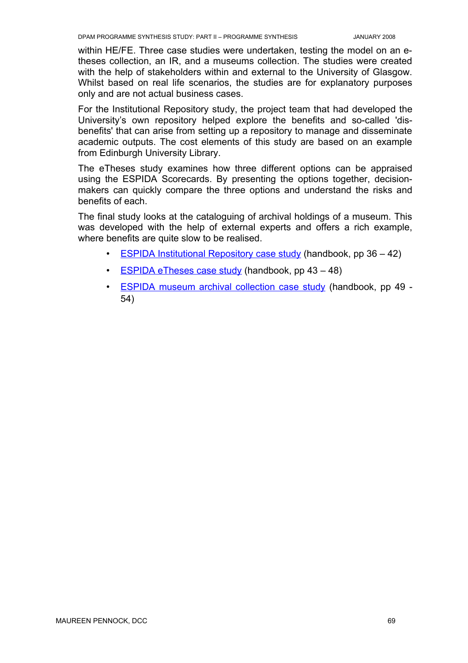within HE/FE. Three case studies were undertaken, testing the model on an etheses collection, an IR, and a museums collection. The studies were created with the help of stakeholders within and external to the University of Glasgow. Whilst based on real life scenarios, the studies are for explanatory purposes only and are not actual business cases.

For the Institutional Repository study, the project team that had developed the University's own repository helped explore the benefits and so-called 'disbenefits' that can arise from setting up a repository to manage and disseminate academic outputs. The cost elements of this study are based on an example from Edinburgh University Library.

The eTheses study examines how three different options can be appraised using the ESPIDA Scorecards. By presenting the options together, decisionmakers can quickly compare the three options and understand the risks and benefits of each.

The final study looks at the cataloguing of archival holdings of a museum. This was developed with the help of external experts and offers a rich example, where benefits are quite slow to be realised.

- ESPIDA Institutional Repository case study (handbook, pp  $36 42$ )
- ESPIDA eTheses case study (handbook, pp  $43 48$ )
- ESPIDA museum archival [collection](http://hdl.handle.net/1905/691) case study (handbook, pp 49 -54)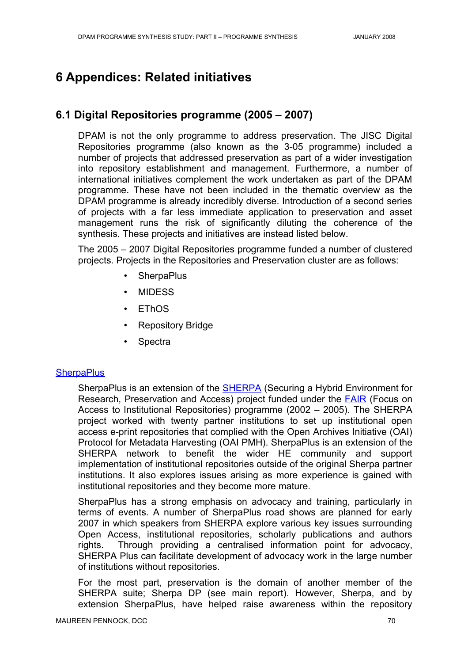# **6 Appendices: Related initiatives**

# **6.1 Digital Repositories programme (2005 – 2007)**

DPAM is not the only programme to address preservation. The JISC Digital Repositories programme (also known as the 3-05 programme) included a number of projects that addressed preservation as part of a wider investigation into repository establishment and management. Furthermore, a number of international initiatives complement the work undertaken as part of the DPAM programme. These have not been included in the thematic overview as the DPAM programme is already incredibly diverse. Introduction of a second series of projects with a far less immediate application to preservation and asset management runs the risk of significantly diluting the coherence of the synthesis. These projects and initiatives are instead listed below.

The 2005 – 2007 Digital Repositories programme funded a number of clustered projects. Projects in the Repositories and Preservation cluster are as follows:

- **SherpaPlus**
- MIDESS
- EThOS
- Repository Bridge
- **Spectra**

#### **[SherpaPlus](http://www.sherpa.ac.uk/projects/sherpaplus.html)**

SherpaPlus is an extension of the **[SHERPA](http://www.sherpa.ac.uk/projects/sherpa.html)** (Securing a Hybrid Environment for Research, Preservation and Access) project funded under the **[FAIR](http://www.jisc.ac.uk/whatwedo/programmes/programme_fair.aspx)** (Focus on Access to Institutional Repositories) programme (2002 – 2005). The SHERPA project worked with twenty partner institutions to set up institutional open access e-print repositories that complied with the Open Archives Initiative (OAI) Protocol for Metadata Harvesting (OAI PMH). SherpaPlus is an extension of the SHERPA network to benefit the wider HE community and support implementation of institutional repositories outside of the original Sherpa partner institutions. It also explores issues arising as more experience is gained with institutional repositories and they become more mature.

SherpaPlus has a strong emphasis on advocacy and training, particularly in terms of events. A number of SherpaPlus road shows are planned for early 2007 in which speakers from SHERPA explore various key issues surrounding Open Access, institutional repositories, scholarly publications and authors rights. Through providing a centralised information point for advocacy, SHERPA Plus can facilitate development of advocacy work in the large number of institutions without repositories.

For the most part, preservation is the domain of another member of the SHERPA suite; Sherpa DP (see main report). However, Sherpa, and by extension SherpaPlus, have helped raise awareness within the repository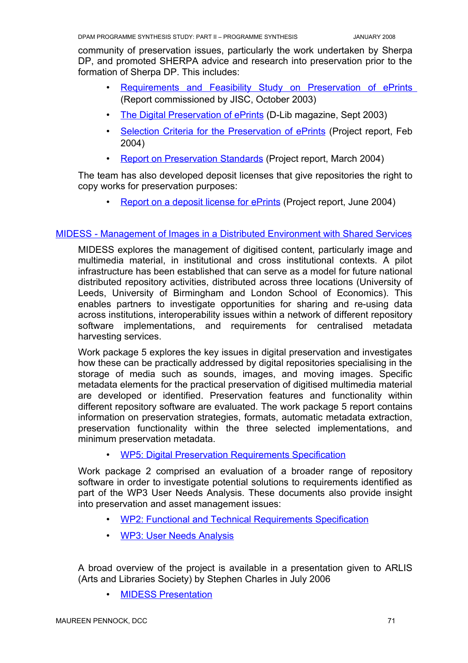community of preservation issues, particularly the work undertaken by Sherpa DP, and promoted SHERPA advice and research into preservation prior to the formation of Sherpa DP. This includes:

- **Requirements and Feasibility Study on Preservation of ePrints** (Report commissioned by JISC, October 2003)
- The Digital [Preservation](http://www.dlib.org/dlib/september03/pinfield/09pinfield.html) of ePrints (D-Lib magazine, Sept 2003)
- Selection Criteria for the [Preservation](http://www.sherpa.ac.uk/documents/D4-4_Preservation_Selection_Criteria.pdf) of ePrints (Project report, Feb 2004)
- Report on [Preservation](http://www.sherpa.ac.uk/documents/D4-5_Report_on_Preservation_Standards.pdf) Standards (Project report, March 2004)

The team has also developed deposit licenses that give repositories the right to copy works for preservation purposes:

• Report on a deposit license [for ePrints](http://www.sherpa.ac.uk/documents/D4-2_Report_on_a_deposit_licence_for_E-prints.pdf) (Project report, June 2004)

### [MIDESS - Management](http://www.leeds.ac.uk/library/midess/) of Images in a Distributed Environment with Shared Services

MIDESS explores the management of digitised content, particularly image and multimedia material, in institutional and cross institutional contexts. A pilot infrastructure has been established that can serve as a model for future national distributed repository activities, distributed across three locations (University of Leeds, University of Birmingham and London School of Economics). This enables partners to investigate opportunities for sharing and re-using data across institutions, interoperability issues within a network of different repository software implementations, and requirements for centralised metadata harvesting services.

Work package 5 explores the key issues in digital preservation and investigates how these can be practically addressed by digital repositories specialising in the storage of media such as sounds, images, and moving images. Specific metadata elements for the practical preservation of digitised multimedia material are developed or identified. Preservation features and functionality within different repository software are evaluated. The work package 5 report contains information on preservation strategies, formats, automatic metadata extraction, preservation functionality within the three selected implementations, and minimum preservation metadata.

• WP5: Digital Preservation [Requirements Specification](http://www.leeds.ac.uk/library/midess/MIDESS_Workpackage_5_Digital_Preservation.pdf)

Work package 2 comprised an evaluation of a broader range of repository software in order to investigate potential solutions to requirements identified as part of the WP3 User Needs Analysis. These documents also provide insight into preservation and asset management issues:

- WP2: Functional and Technical [Requirements Specification](http://www.leeds.ac.uk/library/midess/MIDESS workpackage 2  Functional and Technical Requirements Specification.pdf)
- WP3: [User Needs Analysis](http://www.leeds.ac.uk/library/midess/MIDESS workpackage 3 User Requirements Specification.pdf)

A broad overview of the project is available in a presentation given to ARLIS (Arts and Libraries Society) by Stephen Charles in July 2006

**MIDESS Presentation**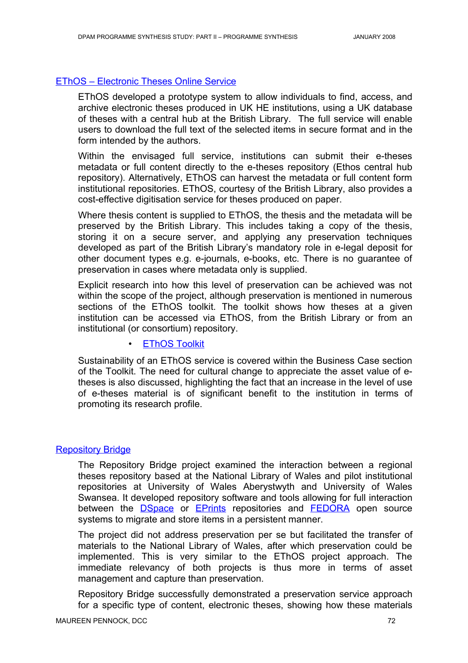### EThOS – [Electronic Theses Online](http://www.ethos.ac.uk/) Service

EThOS developed a prototype system to allow individuals to find, access, and archive electronic theses produced in UK HE institutions, using a UK database of theses with a central hub at the British Library. The full service will enable users to download the full text of the selected items in secure format and in the form intended by the authors.

Within the envisaged full service, institutions can submit their e-theses metadata or full content directly to the e-theses repository (Ethos central hub repository). Alternatively, EThOS can harvest the metadata or full content form institutional repositories. EThOS, courtesy of the British Library, also provides a cost-effective digitisation service for theses produced on paper.

Where thesis content is supplied to EThOS, the thesis and the metadata will be preserved by the British Library. This includes taking a copy of the thesis, storing it on a secure server, and applying any preservation techniques developed as part of the British Library's mandatory role in e-legal deposit for other document types e.g. e-journals, e-books, etc. There is no guarantee of preservation in cases where metadata only is supplied.

Explicit research into how this level of preservation can be achieved was not within the scope of the project, although preservation is mentioned in numerous sections of the EThOS toolkit. The toolkit shows how theses at a given institution can be accessed via EThOS, from the British Library or from an institutional (or consortium) repository.

## • EThOS Toolkit

Sustainability of an EThOS service is covered within the Business Case section of the Toolkit. The need for cultural change to appreciate the asset value of etheses is also discussed, highlighting the fact that an increase in the level of use of e-theses material is of significant benefit to the institution in terms of promoting its research profile.

#### [Repository Bridge](http://www.inf.aber.ac.uk/bridge/)

The Repository Bridge project examined the interaction between a regional theses repository based at the National Library of Wales and pilot institutional repositories at University of Wales Aberystwyth and University of Wales Swansea. It developed repository software and tools allowing for full interaction between the **[DSpace](http://www.dspace.org/)** or **[EPrints](http://www.inf.aber.ac.uk/bridge/.http:/www.eprints.org/software/)** repositories and **[FEDORA](http://www.fedora.info/)** open source systems to migrate and store items in a persistent manner.

The project did not address preservation per se but facilitated the transfer of materials to the National Library of Wales, after which preservation could be implemented. This is very similar to the EThOS project approach. The immediate relevancy of both projects is thus more in terms of asset management and capture than preservation.

Repository Bridge successfully demonstrated a preservation service approach for a specific type of content, electronic theses, showing how these materials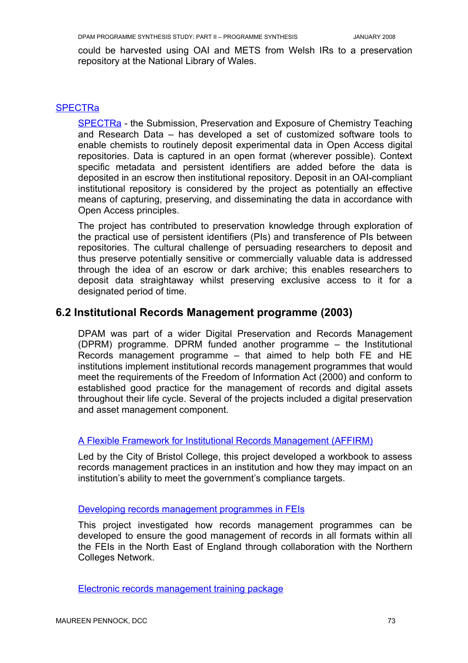could be harvested using OAI and METS from Welsh IRs to a preservation repository at the National Library of Wales.

#### **[SPECTRa](http://www.lib.cam.ac.uk/spectra/)**

[SPECTRa](http://www.ukoln.ac.uk/repositories/digirep/index/SPECTRa) - the Submission, Preservation and Exposure of Chemistry Teaching and Research Data – has developed a set of customized software tools to enable chemists to routinely deposit experimental data in Open Access digital repositories. Data is captured in an open format (wherever possible). Context specific metadata and persistent identifiers are added before the data is deposited in an escrow then institutional repository. Deposit in an OAI-compliant institutional repository is considered by the project as potentially an effective means of capturing, preserving, and disseminating the data in accordance with Open Access principles.

The project has contributed to preservation knowledge through exploration of the practical use of persistent identifiers (PIs) and transference of PIs between repositories. The cultural challenge of persuading researchers to deposit and thus preserve potentially sensitive or commercially valuable data is addressed through the idea of an escrow or dark archive; this enables researchers to deposit data straightaway whilst preserving exclusive access to it for a designated period of time.

## **6.2 Institutional Records Management programme (2003)**

DPAM was part of a wider Digital Preservation and Records Management (DPRM) programme. DPRM funded another programme – the Institutional Records management programme – that aimed to help both FE and HE institutions implement institutional records management programmes that would meet the requirements of the Freedom of Information Act (2000) and conform to established good practice for the management of records and digital assets throughout their life cycle. Several of the projects included a digital preservation and asset management component.

#### A Flexible [Framework for Institutional](http://www.westerncc.ac.uk/affirm/guide.html) Records Management (AFFIRM)

Led by the City of Bristol College, this project developed a workbook to assess records management practices in an institution and how they may impact on an institution's ability to meet the government's compliance targets.

#### Developing [records management](http://www.jisc.ac.uk/whatwedo/programmes/programme_supporting_irm/project_rminfe.aspx) programmes in FEIs

This project investigated how records management programmes can be developed to ensure the good management of records in all formats within all the FEIs in the North East of England through collaboration with the Northern Colleges Network.

[Electronic records management](http://www.jisc.ac.uk/whatwedo/programmes/programme_supporting_irm/project_ermpackage.aspx) training package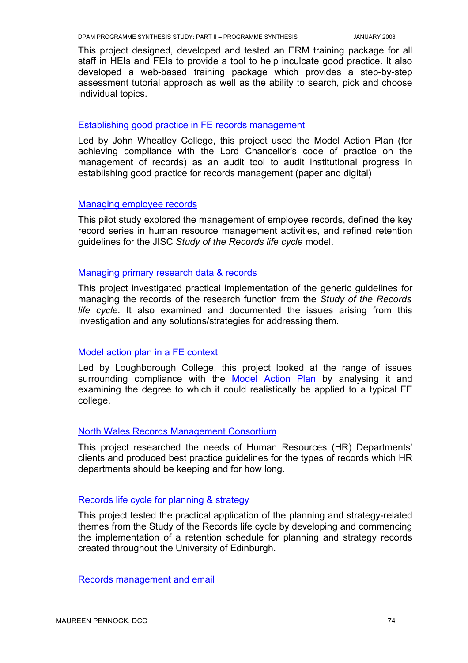This project designed, developed and tested an ERM training package for all staff in HEIs and FEIs to provide a tool to help inculcate good practice. It also developed a web-based training package which provides a step-by-step assessment tutorial approach as well as the ability to search, pick and choose individual topics.

#### Establishing good practice in [FE records management](http://www.jisc.ac.uk/whatwedo/programmes/programme_supporting_irm/project_goodferm.aspx)

Led by John Wheatley College, this project used the Model Action Plan (for achieving compliance with the Lord Chancellor's code of practice on the management of records) as an audit tool to audit institutional progress in establishing good practice for records management (paper and digital)

#### [Managing](http://www.jisc.ac.uk/whatwedo/programmes/programme_supporting_irm/project_employeerecs.aspx) employee records

This pilot study explored the management of employee records, defined the key record series in human resource management activities, and refined retention guidelines for the JISC *Study of the Records life cycle* model.

#### Managing [primary research](http://www.jisc.ac.uk/whatwedo/programmes/programme_supporting_irm/project_elecresearch.aspx) data & records

This project investigated practical implementation of the generic guidelines for managing the records of the research function from the *Study of the Records life cycle*. It also examined and documented the issues arising from this investigation and any solutions/strategies for addressing them.

#### Model action plan in a [FE context](http://www.jisc.ac.uk/whatwedo/programmes/programme_supporting_irm/project_mapfe.aspx)

Led by Loughborough College, this project looked at the range of issues surrounding compliance with the Model [Action](http://www.jisc.ac.uk/whatwedo/programmes/programme_supporting_irm/reports_modelaction.aspx) Plan by analysing it and examining the degree to which it could realistically be applied to a typical FE college.

#### North [Wales Records Management](http://www.jisc.ac.uk/whatwedo/programmes/programme_supporting_irm/project_nwconsortium.aspx) Consortium

This project researched the needs of Human Resources (HR) Departments' clients and produced best practice guidelines for the types of records which HR departments should be keeping and for how long.

#### [Records life](http://www.recordsmanagement.ed.ac.uk/InfoStaff/rmstaff/RMprojects/JISCPlanFun.htm) cycle for planning & strategy

This project tested the practical application of the planning and strategy-related themes from the Study of the Records life cycle by developing and commencing the implementation of a retention schedule for planning and strategy records created throughout the University of Edinburgh.

[Records management](http://www.lboro.ac.uk/computing/irm/) and email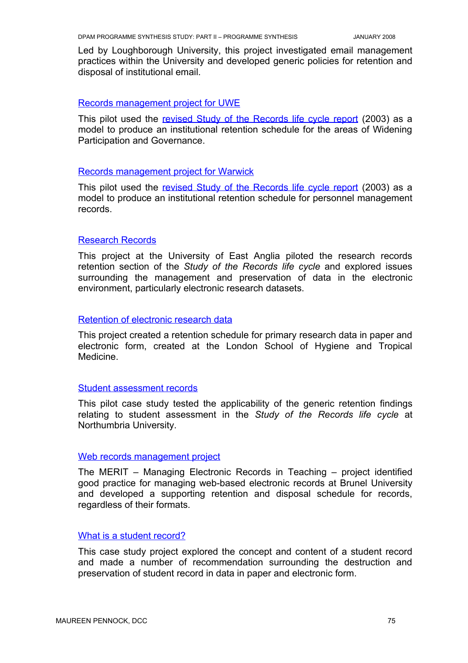Led by Loughborough University, this project investigated email management practices within the University and developed generic policies for retention and disposal of institutional email.

#### [Records management](http://www.uwe.ac.uk/research/recordsManagement/) project for UWE

This pilot used the revised Study of the [Records](http://www.jisc.ac.uk/index.cfm?name=srl_structure) life cycle report (2003) as a model to produce an institutional retention schedule for the areas of Widening Participation and Governance.

#### [Records management](http://www2.warwick.ac.uk/services/archive/rm/jisc/) project for Warwick

This pilot used the revised Study of the [Records](http://www.jisc.ac.uk/index.cfm?name=srl_structure) life cycle report (2003) as a model to produce an institutional retention schedule for personnel management records.

#### [Research](http://www.jisc.ac.uk/whatwedo/programmes/programme_supporting_irm/project_researchrecs.aspx) Records

This project at the University of East Anglia piloted the research records retention section of the *Study of the Records life cycle* and explored issues surrounding the management and preservation of data in the electronic environment, particularly electronic research datasets.

### Retention of [electronic research](http://www.lshtm.ac.uk/library/archives/recordsmanagement.html) data

This project created a retention schedule for primary research data in paper and electronic form, created at the London School of Hygiene and Tropical Medicine.

#### Student [assessment](http://www.jisc.ac.uk/whatwedo/programmes/programme_supporting_irm/project_northumbria1a.aspx) records

This pilot case study tested the applicability of the generic retention findings relating to student assessment in the *Study of the Records life cycle* at Northumbria University.

#### Web [records management](http://www.jisc.ac.uk/whatwedo/programmes/programme_supporting_irm/project_webrm.aspx) project

The MERIT – Managing Electronic Records in Teaching – project identified good practice for managing web-based electronic records at Brunel University and developed a supporting retention and disposal schedule for records, regardless of their formats.

### What is a student [record?](http://www.jisc.ac.uk/whatwedo/programmes/programme_supporting_irm/project_studentrecord.aspx)

This case study project explored the concept and content of a student record and made a number of recommendation surrounding the destruction and preservation of student record in data in paper and electronic form.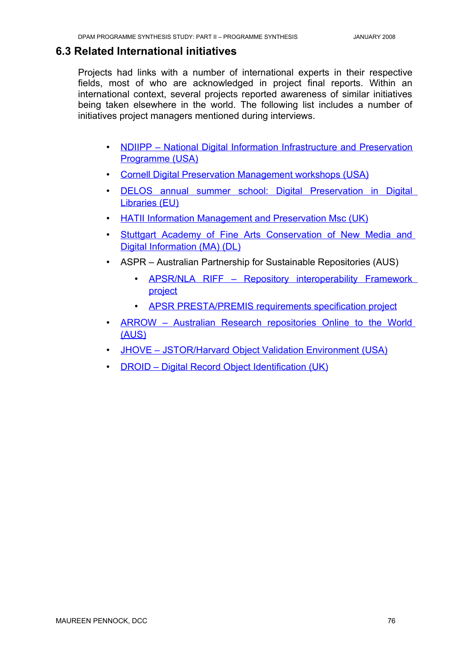## **6.3 Related International initiatives**

Projects had links with a number of international experts in their respective fields, most of who are acknowledged in project final reports. Within an international context, several projects reported awareness of similar initiatives being taken elsewhere in the world. The following list includes a number of initiatives project managers mentioned during interviews.

- NDIIPP National Digital Information [Infrastructure](http://www.digitalpreservation.gov/) and Preservation [Programme](http://www.digitalpreservation.gov/) (USA)
- Cornell Digital Preservation Management [workshops \(USA\)](http://www.library.cornell.edu/iris/dpworkshop/)
- DELOS annual summer school: Digital [Preservation](http://www.dpc.delos.info/ss06/) in Digital [Libraries \(EU\)](http://www.dpc.delos.info/ss06/)
- HATII Information [Management](http://www.hatii.arts.gla.ac.uk/imp/index.htm) and Preservation Msc (UK)
- Stuttgart Academy of Fine Arts [Conservation](http://www.mediaconservation.abk-stuttgart.de/home_e.htm) of New Media and Digital [Information](http://www.mediaconservation.abk-stuttgart.de/home_e.htm) (MA) (DL)
- ASPR Australian Partnership for Sustainable Repositories (AUS)
	- APSR/NLA RIFF Repository [interoperability](http://www.apsr.edu.au/currentprojects/index.htm#riff) Framework [project](http://www.apsr.edu.au/currentprojects/index.htm#riff)
	- [APSR PRESTA/PREMIS requirements specification](http://www.apsr.edu.au/presta/index.htm) project
- ARROW Australian Research [repositories](http://www.arrow.edu.au/) Online to the World [\(AUS\)](http://www.arrow.edu.au/)
- JHOVE [JSTOR/Harvard](http://hul.harvard.edu/jhove/) Object Validation Environment (USA)
- DROID Digital Record Object [Identification](http://droid.sourceforge.net/wiki/index.php/Development_History) (UK)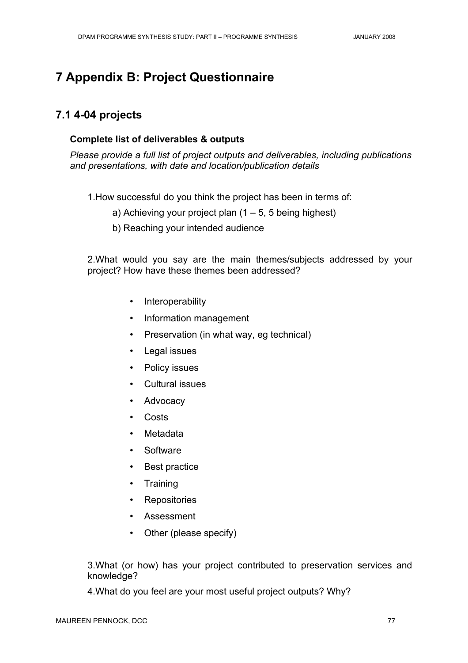# **7 Appendix B: Project Questionnaire**

# **7.1 4-04 projects**

## **Complete list of deliverables & outputs**

*Please provide a full list of project outputs and deliverables, including publications and presentations, with date and location/publication details*

1.How successful do you think the project has been in terms of:

a) Achieving your project plan  $(1 – 5, 5)$  being highest)

b) Reaching your intended audience

2.What would you say are the main themes/subjects addressed by your project? How have these themes been addressed?

- Interoperability
- Information management
- Preservation (in what way, eg technical)
- Legal issues
- Policy issues
- Cultural issues
- **Advocacy**
- Costs
- Metadata
- **Software**
- Best practice
- Training
- **Repositories**
- Assessment
- Other (please specify)

3.What (or how) has your project contributed to preservation services and knowledge?

4.What do you feel are your most useful project outputs? Why?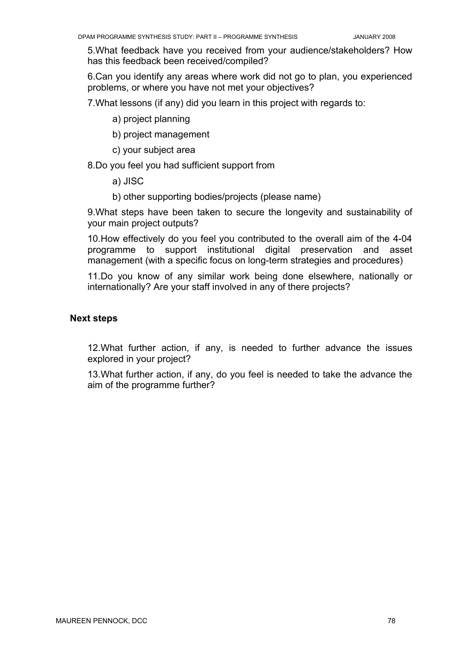5.What feedback have you received from your audience/stakeholders? How has this feedback been received/compiled?

6.Can you identify any areas where work did not go to plan, you experienced problems, or where you have not met your objectives?

7.What lessons (if any) did you learn in this project with regards to:

a) project planning

b) project management

c) your subject area

8.Do you feel you had sufficient support from

a) JISC

b) other supporting bodies/projects (please name)

9.What steps have been taken to secure the longevity and sustainability of your main project outputs?

10.How effectively do you feel you contributed to the overall aim of the 4-04 programme to support institutional digital preservation and asset management (with a specific focus on long-term strategies and procedures)

11.Do you know of any similar work being done elsewhere, nationally or internationally? Are your staff involved in any of there projects?

#### **Next steps**

12.What further action, if any, is needed to further advance the issues explored in your project?

13.What further action, if any, do you feel is needed to take the advance the aim of the programme further?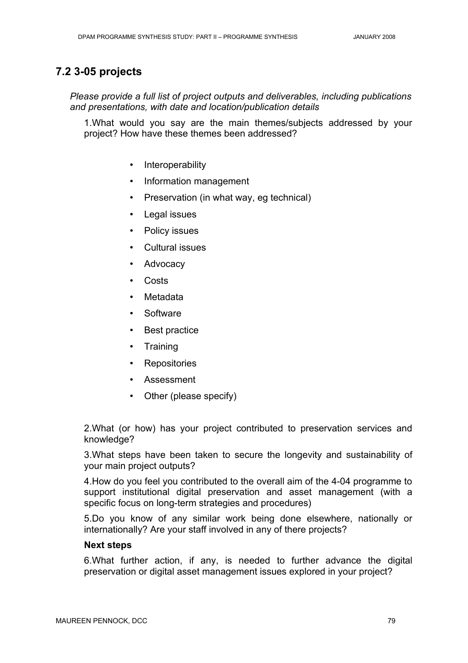# **7.2 3-05 projects**

*Please provide a full list of project outputs and deliverables, including publications and presentations, with date and location/publication details*

1.What would you say are the main themes/subjects addressed by your project? How have these themes been addressed?

- Interoperability
- Information management
- Preservation (in what way, eg technical)
- Legal issues
- Policy issues
- Cultural issues
- **Advocacy**
- **Costs**
- **Metadata**
- **Software**
- Best practice
- **Training**
- **Repositories**
- **Assessment**
- Other (please specify)

2.What (or how) has your project contributed to preservation services and knowledge?

3.What steps have been taken to secure the longevity and sustainability of your main project outputs?

4.How do you feel you contributed to the overall aim of the 4-04 programme to support institutional digital preservation and asset management (with a specific focus on long-term strategies and procedures)

5.Do you know of any similar work being done elsewhere, nationally or internationally? Are your staff involved in any of there projects?

## **Next steps**

6.What further action, if any, is needed to further advance the digital preservation or digital asset management issues explored in your project?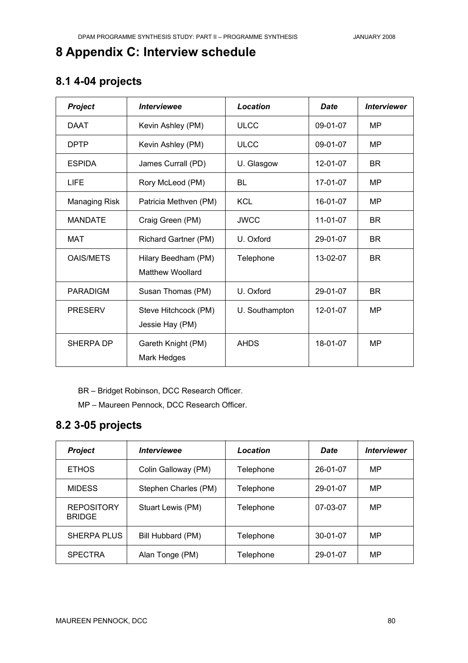# **8 Appendix C: Interview schedule**

# **8.1 4-04 projects**

| <b>Project</b>       | <i><b>Interviewee</b></i>                      | Location       | <b>Date</b> | <b>Interviewer</b> |
|----------------------|------------------------------------------------|----------------|-------------|--------------------|
| <b>DAAT</b>          | Kevin Ashley (PM)                              | <b>ULCC</b>    | 09-01-07    | MP                 |
| <b>DPTP</b>          | Kevin Ashley (PM)                              | <b>ULCC</b>    | 09-01-07    | MP                 |
| <b>ESPIDA</b>        | James Currall (PD)                             | U. Glasgow     | 12-01-07    | <b>BR</b>          |
| <b>LIFE</b>          | Rory McLeod (PM)                               | <b>BL</b>      | 17-01-07    | MP                 |
| <b>Managing Risk</b> | Patricia Methven (PM)                          | <b>KCL</b>     | 16-01-07    | MP                 |
| <b>MANDATE</b>       | Craig Green (PM)                               | <b>JWCC</b>    | 11-01-07    | <b>BR</b>          |
| MAT                  | Richard Gartner (PM)                           | U. Oxford      | 29-01-07    | <b>BR</b>          |
| <b>OAIS/METS</b>     | Hilary Beedham (PM)<br><b>Matthew Woollard</b> | Telephone      | 13-02-07    | <b>BR</b>          |
| PARADIGM             | Susan Thomas (PM)                              | U. Oxford      | 29-01-07    | <b>BR</b>          |
| <b>PRESERV</b>       | Steve Hitchcock (PM)<br>Jessie Hay (PM)        | U. Southampton | 12-01-07    | MP                 |
| SHERPA DP            | Gareth Knight (PM)<br>Mark Hedges              | <b>AHDS</b>    | 18-01-07    | MP                 |

BR – Bridget Robinson, DCC Research Officer.

MP – Maureen Pennock, DCC Research Officer.

# **8.2 3-05 projects**

| <b>Project</b>                     | <b>Interviewee</b>   | Location  | <b>Date</b>    | <b>Interviewer</b> |
|------------------------------------|----------------------|-----------|----------------|--------------------|
| <b>ETHOS</b>                       | Colin Galloway (PM)  | Telephone | 26-01-07       | MP                 |
| <b>MIDESS</b>                      | Stephen Charles (PM) | Telephone | 29-01-07       | MP                 |
| <b>REPOSITORY</b><br><b>BRIDGE</b> | Stuart Lewis (PM)    | Telephone | 07-03-07       | MP                 |
| <b>SHERPA PLUS</b>                 | Bill Hubbard (PM)    | Telephone | $30 - 01 - 07$ | MP                 |
| <b>SPECTRA</b>                     | Alan Tonge (PM)      | Telephone | 29-01-07       | MP                 |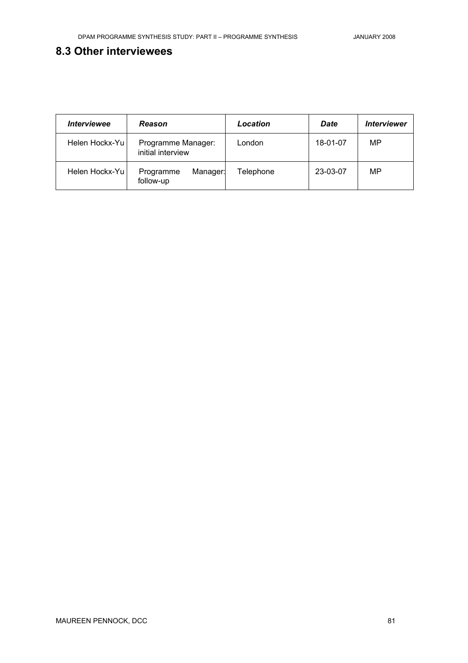# **8.3 Other interviewees**

| <i><b>Interviewee</b></i> | Reason                                  | Location  | Date     | <b>Interviewer</b> |
|---------------------------|-----------------------------------------|-----------|----------|--------------------|
| Helen Hockx-Yu            | Programme Manager:<br>initial interview | London    | 18-01-07 | MP                 |
| Helen Hockx-Yu            | Programme<br>Manager:<br>follow-up      | Telephone | 23-03-07 | MP                 |